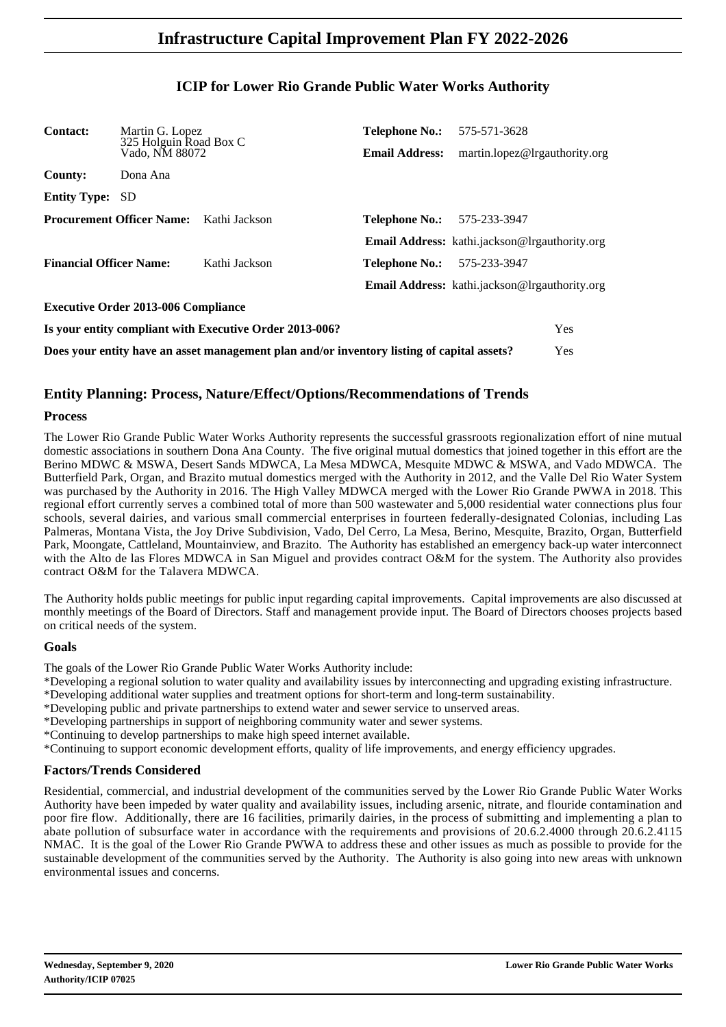### **ICIP for Lower Rio Grande Public Water Works Authority**

| <b>Contact:</b><br>Martin G. Lopez<br>325 Holguin Road Box C |                                                |                                                                                            | <b>Telephone No.:</b> 575-571-3628 |                                                      |            |
|--------------------------------------------------------------|------------------------------------------------|--------------------------------------------------------------------------------------------|------------------------------------|------------------------------------------------------|------------|
|                                                              | Vado, NM 88072                                 |                                                                                            | <b>Email Address:</b>              | martin.lopez@lrgauthority.org                        |            |
| <b>County:</b>                                               | Dona Ana                                       |                                                                                            |                                    |                                                      |            |
| <b>Entity Type:</b>                                          | <b>SD</b>                                      |                                                                                            |                                    |                                                      |            |
|                                                              | <b>Procurement Officer Name:</b> Kathi Jackson |                                                                                            | <b>Telephone No.:</b>              | 575-233-3947                                         |            |
|                                                              |                                                |                                                                                            |                                    | <b>Email Address:</b> kathi.jackson@lrgauthority.org |            |
| <b>Financial Officer Name:</b>                               |                                                | Kathi Jackson                                                                              | <b>Telephone No.:</b>              | 575-233-3947                                         |            |
|                                                              |                                                |                                                                                            |                                    | <b>Email Address:</b> kathi.jackson@lrgauthority.org |            |
|                                                              | <b>Executive Order 2013-006 Compliance</b>     |                                                                                            |                                    |                                                      |            |
|                                                              |                                                | Is your entity compliant with Executive Order 2013-006?                                    |                                    |                                                      | <b>Yes</b> |
|                                                              |                                                | Does your entity have an asset management plan and/or inventory listing of capital assets? |                                    |                                                      | Yes        |

### **Entity Planning: Process, Nature/Effect/Options/Recommendations of Trends**

#### **Process**

The Lower Rio Grande Public Water Works Authority represents the successful grassroots regionalization effort of nine mutual domestic associations in southern Dona Ana County. The five original mutual domestics that joined together in this effort are the Berino MDWC & MSWA, Desert Sands MDWCA, La Mesa MDWCA, Mesquite MDWC & MSWA, and Vado MDWCA. The Butterfield Park, Organ, and Brazito mutual domestics merged with the Authority in 2012, and the Valle Del Rio Water System was purchased by the Authority in 2016. The High Valley MDWCA merged with the Lower Rio Grande PWWA in 2018. This regional effort currently serves a combined total of more than 500 wastewater and 5,000 residential water connections plus four schools, several dairies, and various small commercial enterprises in fourteen federally-designated Colonias, including Las Palmeras, Montana Vista, the Joy Drive Subdivision, Vado, Del Cerro, La Mesa, Berino, Mesquite, Brazito, Organ, Butterfield Park, Moongate, Cattleland, Mountainview, and Brazito. The Authority has established an emergency back-up water interconnect with the Alto de las Flores MDWCA in San Miguel and provides contract O&M for the system. The Authority also provides contract O&M for the Talavera MDWCA.

The Authority holds public meetings for public input regarding capital improvements. Capital improvements are also discussed at monthly meetings of the Board of Directors. Staff and management provide input. The Board of Directors chooses projects based on critical needs of the system.

#### **Goals**

The goals of the Lower Rio Grande Public Water Works Authority include:

\*Developing a regional solution to water quality and availability issues by interconnecting and upgrading existing infrastructure.

- \*Developing additional water supplies and treatment options for short-term and long-term sustainability.
- \*Developing public and private partnerships to extend water and sewer service to unserved areas.

\*Developing partnerships in support of neighboring community water and sewer systems.

\*Continuing to develop partnerships to make high speed internet available.

\*Continuing to support economic development efforts, quality of life improvements, and energy efficiency upgrades.

#### **Factors/Trends Considered**

Residential, commercial, and industrial development of the communities served by the Lower Rio Grande Public Water Works Authority have been impeded by water quality and availability issues, including arsenic, nitrate, and flouride contamination and poor fire flow. Additionally, there are 16 facilities, primarily dairies, in the process of submitting and implementing a plan to abate pollution of subsurface water in accordance with the requirements and provisions of 20.6.2.4000 through 20.6.2.4115 NMAC. It is the goal of the Lower Rio Grande PWWA to address these and other issues as much as possible to provide for the sustainable development of the communities served by the Authority. The Authority is also going into new areas with unknown environmental issues and concerns.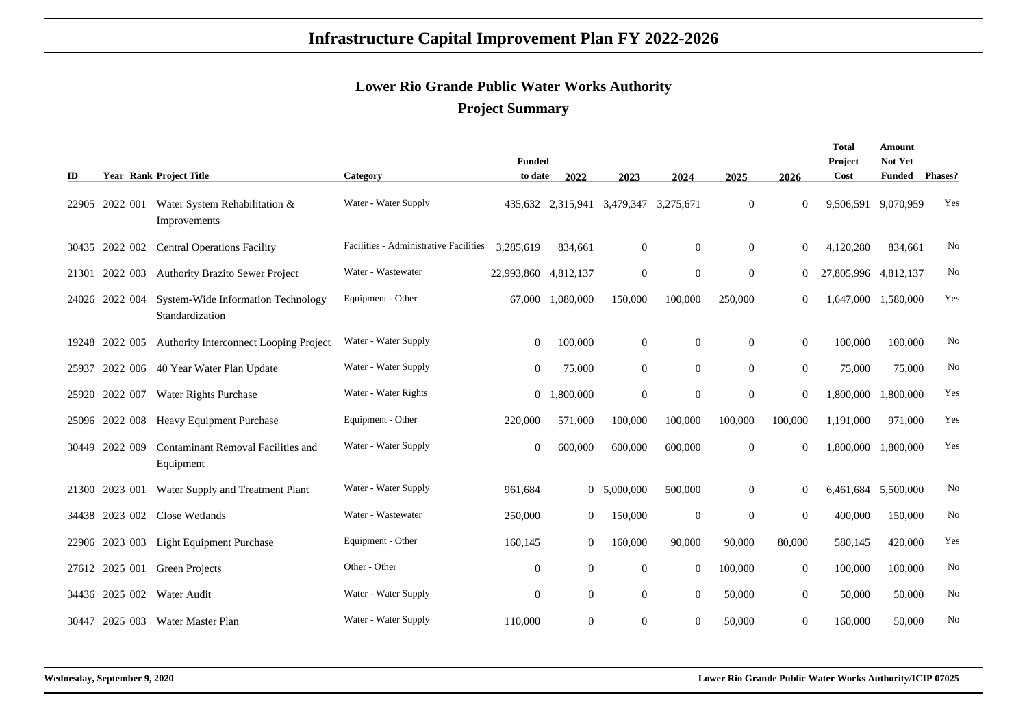### **Lower Rio Grande Public Water Works AuthorityProject Summary**

|       |                |                                                       |                                        |                  |                |                                       |                |                |                  | Total                | Amount        |         |
|-------|----------------|-------------------------------------------------------|----------------------------------------|------------------|----------------|---------------------------------------|----------------|----------------|------------------|----------------------|---------------|---------|
|       |                |                                                       |                                        | <b>Funded</b>    |                |                                       |                |                |                  | Project              | Not Yet       |         |
| ID    |                | <b>Year Rank Project Title</b>                        | Category                               | to date          | 2022           | 2023                                  | 2024           | 2025           | 2026             | Cost                 | <b>Funded</b> | Phases? |
|       | 22905 2022 001 | Water System Rehabilitation &<br>Improvements         | Water - Water Supply                   |                  |                | 435,632 2,315,941 3,479,347 3,275,671 |                | $\Omega$       | $\mathbf{0}$     | 9,506,591 9,070,959  |               | Yes     |
|       | 30435 2022 002 | <b>Central Operations Facility</b>                    | Facilities - Administrative Facilities | 3,285,619        | 834,661        | $\mathbf{0}$                          | $\mathbf{0}$   | $\overline{0}$ | $\theta$         | 4,120,280            | 834,661       | No      |
| 21301 | 2022 003       | <b>Authority Brazito Sewer Project</b>                | Water - Wastewater                     | 22,993,860       | 4,812,137      | $\boldsymbol{0}$                      | $\overline{0}$ | $\overline{0}$ | $\boldsymbol{0}$ | 27,805,996 4,812,137 |               | No      |
| 24026 | 2022 004       | System-Wide Information Technology<br>Standardization | Equipment - Other                      | 67,000           | 1,080,000      | 150,000                               | 100,000        | 250,000        | $\boldsymbol{0}$ | 1,647,000            | 1,580,000     | Yes     |
| 19248 | 2022 005       | Authority Interconnect Looping Project                | Water - Water Supply                   | $\mathbf{0}$     | 100,000        | $\overline{0}$                        | $\overline{0}$ | $\overline{0}$ | $\boldsymbol{0}$ | 100,000              | 100,000       | No      |
| 25937 | 2022 006       | 40 Year Water Plan Update                             | Water - Water Supply                   | $\mathbf{0}$     | 75,000         | $\overline{0}$                        | $\overline{0}$ | $\overline{0}$ | $\boldsymbol{0}$ | 75,000               | 75,000        | No      |
| 25920 | 2022 007       | <b>Water Rights Purchase</b>                          | Water - Water Rights                   | 0                | 1,800,000      | $\mathbf{0}$                          | $\overline{0}$ | $\overline{0}$ | $\overline{0}$   | 1,800,000            | 1,800,000     | Yes     |
|       | 25096 2022 008 | <b>Heavy Equipment Purchase</b>                       | Equipment - Other                      | 220,000          | 571,000        | 100,000                               | 100,000        | 100,000        | 100,000          | 1,191,000            | 971,000       | Yes     |
| 30449 | 2022 009       | Contaminant Removal Facilities and<br>Equipment       | Water - Water Supply                   | $\boldsymbol{0}$ | 600,000        | 600,000                               | 600,000        | $\overline{0}$ | $\overline{0}$   | 1,800,000            | 1,800,000     | Yes     |
| 21300 | 2023 001       | Water Supply and Treatment Plant                      | Water - Water Supply                   | 961,684          |                | 0, 5,000,000                          | 500,000        | $\overline{0}$ | $\theta$         | 6,461,684 5,500,000  |               | No      |
|       | 34438 2023 002 | Close Wetlands                                        | Water - Wastewater                     | 250,000          | $\overline{0}$ | 150,000                               | $\overline{0}$ | $\mathbf{0}$   | $\overline{0}$   | 400,000              | 150,000       | No      |
| 22906 | 2023 003       | Light Equipment Purchase                              | Equipment - Other                      | 160,145          | $\overline{0}$ | 160,000                               | 90,000         | 90,000         | 80,000           | 580,145              | 420,000       | Yes     |
|       | 27612 2025 001 | Green Projects                                        | Other - Other                          | $\mathbf{0}$     | $\overline{0}$ | $\mathbf{0}$                          | $\overline{0}$ | 100,000        | $\overline{0}$   | 100,000              | 100,000       | No      |
|       | 34436 2025 002 | Water Audit                                           | Water - Water Supply                   | $\overline{0}$   | $\overline{0}$ | $\overline{0}$                        | $\overline{0}$ | 50,000         | $\boldsymbol{0}$ | 50,000               | 50,000        | No      |
| 30447 |                | 2025 003 Water Master Plan                            | Water - Water Supply                   | 110,000          | $\overline{0}$ | $\mathbf{0}$                          | $\overline{0}$ | 50,000         | $\overline{0}$   | 160,000              | 50,000        | No      |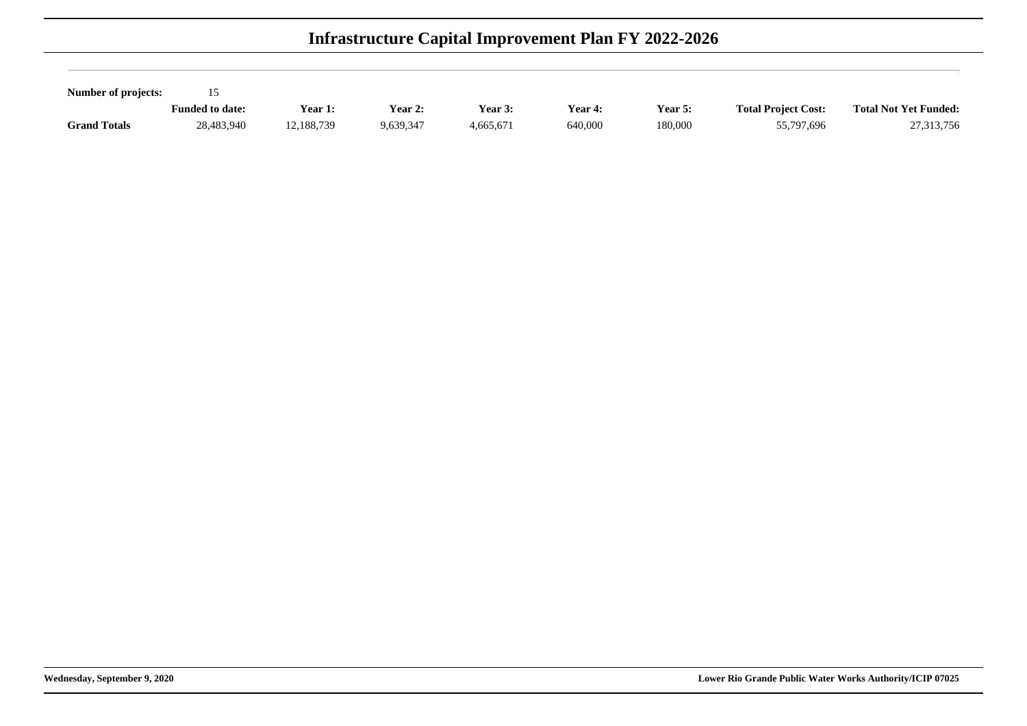| Number of projects: |                        |            |           |                |                |         |                            |                              |
|---------------------|------------------------|------------|-----------|----------------|----------------|---------|----------------------------|------------------------------|
|                     | <b>Funded to date:</b> | Year 1:    | Year $2:$ | <b>Year 3:</b> | <b>Year 4:</b> | Year 5: | <b>Total Project Cost:</b> | <b>Total Not Yet Funded:</b> |
| <b>Grand Totals</b> | 28,483,940             | 12.188.739 | 9,639,347 | 4,665,671      | 640,000        | 180,000 | 55,797,696                 | 27,313,756                   |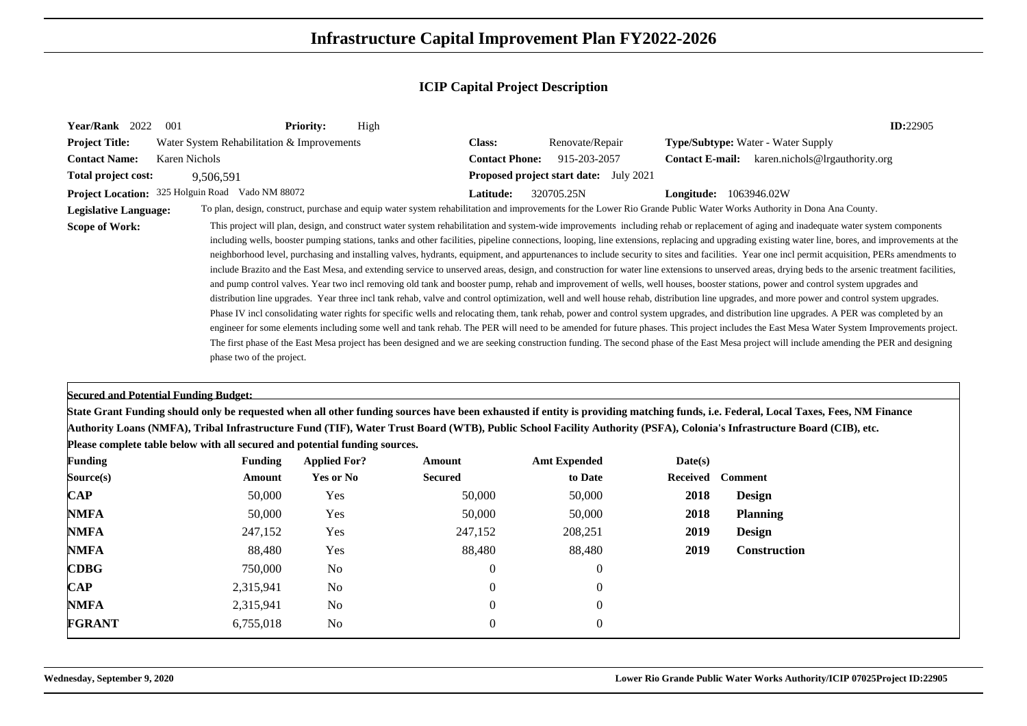| Year/Rank 2022               | 001                                                                         | <b>Priority:</b>                      | High           |                                               |          | <b>ID:22905</b>                                                                                                                                                                                                                                                                                                                                                                                                                                                                                                                                                                                                                                                                                                                                                                                                                                                                                                                                                                                                                                                                                                                                                                                                                                                                                                                                                                                                                                                                                                                                                                                                                                                                                                                                                            |
|------------------------------|-----------------------------------------------------------------------------|---------------------------------------|----------------|-----------------------------------------------|----------|----------------------------------------------------------------------------------------------------------------------------------------------------------------------------------------------------------------------------------------------------------------------------------------------------------------------------------------------------------------------------------------------------------------------------------------------------------------------------------------------------------------------------------------------------------------------------------------------------------------------------------------------------------------------------------------------------------------------------------------------------------------------------------------------------------------------------------------------------------------------------------------------------------------------------------------------------------------------------------------------------------------------------------------------------------------------------------------------------------------------------------------------------------------------------------------------------------------------------------------------------------------------------------------------------------------------------------------------------------------------------------------------------------------------------------------------------------------------------------------------------------------------------------------------------------------------------------------------------------------------------------------------------------------------------------------------------------------------------------------------------------------------------|
| <b>Project Title:</b>        | Water System Rehabilitation & Improvements                                  |                                       | <b>Class:</b>  | Renovate/Repair                               |          | <b>Type/Subtype:</b> Water - Water Supply                                                                                                                                                                                                                                                                                                                                                                                                                                                                                                                                                                                                                                                                                                                                                                                                                                                                                                                                                                                                                                                                                                                                                                                                                                                                                                                                                                                                                                                                                                                                                                                                                                                                                                                                  |
| <b>Contact Name:</b>         | <b>Karen Nichols</b>                                                        |                                       |                | 915-203-2057<br><b>Contact Phone:</b>         |          | <b>Contact E-mail:</b> karen.nichols@lrgauthority.org                                                                                                                                                                                                                                                                                                                                                                                                                                                                                                                                                                                                                                                                                                                                                                                                                                                                                                                                                                                                                                                                                                                                                                                                                                                                                                                                                                                                                                                                                                                                                                                                                                                                                                                      |
| Total project cost:          | 9,506,591                                                                   |                                       |                | <b>Proposed project start date:</b> July 2021 |          |                                                                                                                                                                                                                                                                                                                                                                                                                                                                                                                                                                                                                                                                                                                                                                                                                                                                                                                                                                                                                                                                                                                                                                                                                                                                                                                                                                                                                                                                                                                                                                                                                                                                                                                                                                            |
|                              | Project Location: 325 Holguin Road Vado NM 88072                            |                                       | Latitude:      | 320705.25N                                    |          | <b>Longitude:</b> 1063946.02W                                                                                                                                                                                                                                                                                                                                                                                                                                                                                                                                                                                                                                                                                                                                                                                                                                                                                                                                                                                                                                                                                                                                                                                                                                                                                                                                                                                                                                                                                                                                                                                                                                                                                                                                              |
| <b>Legislative Language:</b> |                                                                             |                                       |                |                                               |          | To plan, design, construct, purchase and equip water system rehabilitation and improvements for the Lower Rio Grande Public Water Works Authority in Dona Ana County.                                                                                                                                                                                                                                                                                                                                                                                                                                                                                                                                                                                                                                                                                                                                                                                                                                                                                                                                                                                                                                                                                                                                                                                                                                                                                                                                                                                                                                                                                                                                                                                                      |
| <b>Scope of Work:</b>        | phase two of the project.                                                   |                                       |                |                                               |          | This project will plan, design, and construct water system rehabilitation and system-wide improvements including rehab or replacement of aging and inadequate water system components<br>including wells, booster pumping stations, tanks and other facilities, pipeline connections, looping, line extensions, replacing and upgrading existing water line, bores, and improvements at the<br>neighborhood level, purchasing and installing valves, hydrants, equipment, and appurtenances to include security to sites and facilities. Year one incl permit acquisition, PERs amendments to<br>include Brazito and the East Mesa, and extending service to unserved areas, design, and construction for water line extensions to unserved areas, drying beds to the arsenic treatment facilities,<br>and pump control valves. Year two incl removing old tank and booster pump, rehab and improvement of wells, well houses, booster stations, power and control system upgrades and<br>distribution line upgrades. Year three incl tank rehab, valve and control optimization, well and well house rehab, distribution line upgrades, and more power and control system upgrades.<br>Phase IV incl consolidating water rights for specific wells and relocating them, tank rehab, power and control system upgrades, and distribution line upgrades. A PER was completed by an<br>engineer for some elements including some well and tank rehab. The PER will need to be amended for future phases. This project includes the East Mesa Water System Improvements project.<br>The first phase of the East Mesa project has been designed and we are seeking construction funding. The second phase of the East Mesa project will include amending the PER and designing |
|                              | <b>Secured and Potential Funding Budget:</b>                                |                                       |                |                                               |          |                                                                                                                                                                                                                                                                                                                                                                                                                                                                                                                                                                                                                                                                                                                                                                                                                                                                                                                                                                                                                                                                                                                                                                                                                                                                                                                                                                                                                                                                                                                                                                                                                                                                                                                                                                            |
|                              |                                                                             |                                       |                |                                               |          | State Grant Funding should only be requested when all other funding sources have been exhausted if entity is providing matching funds, i.e. Federal, Local Taxes, Fees, NM Finance                                                                                                                                                                                                                                                                                                                                                                                                                                                                                                                                                                                                                                                                                                                                                                                                                                                                                                                                                                                                                                                                                                                                                                                                                                                                                                                                                                                                                                                                                                                                                                                         |
|                              | Please complete table below with all secured and potential funding sources. |                                       |                |                                               |          | Authority Loans (NMFA), Tribal Infrastructure Fund (TIF), Water Trust Board (WTB), Public School Facility Authority (PSFA), Colonia's Infrastructure Board (CIB), etc.                                                                                                                                                                                                                                                                                                                                                                                                                                                                                                                                                                                                                                                                                                                                                                                                                                                                                                                                                                                                                                                                                                                                                                                                                                                                                                                                                                                                                                                                                                                                                                                                     |
| <b>Funding</b>               |                                                                             | <b>Funding</b><br><b>Applied For?</b> | Amount         | <b>Amt Expended</b>                           | Date(s)  |                                                                                                                                                                                                                                                                                                                                                                                                                                                                                                                                                                                                                                                                                                                                                                                                                                                                                                                                                                                                                                                                                                                                                                                                                                                                                                                                                                                                                                                                                                                                                                                                                                                                                                                                                                            |
| Source(s)                    |                                                                             | <b>Yes or No</b><br>Amount            | <b>Secured</b> | to Date                                       | Received | <b>Comment</b>                                                                                                                                                                                                                                                                                                                                                                                                                                                                                                                                                                                                                                                                                                                                                                                                                                                                                                                                                                                                                                                                                                                                                                                                                                                                                                                                                                                                                                                                                                                                                                                                                                                                                                                                                             |
| $\bf CAP$                    |                                                                             | 50,000<br>Yes                         | 50,000         | 50,000                                        | 2018     | Design                                                                                                                                                                                                                                                                                                                                                                                                                                                                                                                                                                                                                                                                                                                                                                                                                                                                                                                                                                                                                                                                                                                                                                                                                                                                                                                                                                                                                                                                                                                                                                                                                                                                                                                                                                     |
| <b>NMFA</b>                  |                                                                             | 50,000<br>Yes                         | 50,000         | 50,000                                        | 2018     | <b>Planning</b>                                                                                                                                                                                                                                                                                                                                                                                                                                                                                                                                                                                                                                                                                                                                                                                                                                                                                                                                                                                                                                                                                                                                                                                                                                                                                                                                                                                                                                                                                                                                                                                                                                                                                                                                                            |
| <b>NMFA</b>                  |                                                                             | 247,152<br>Yes                        | 247,152        | 208,251                                       | 2019     | <b>Design</b>                                                                                                                                                                                                                                                                                                                                                                                                                                                                                                                                                                                                                                                                                                                                                                                                                                                                                                                                                                                                                                                                                                                                                                                                                                                                                                                                                                                                                                                                                                                                                                                                                                                                                                                                                              |
| <b>NMFA</b>                  |                                                                             | 88,480<br>Yes                         | 88,480         | 88,480                                        | 2019     | Construction                                                                                                                                                                                                                                                                                                                                                                                                                                                                                                                                                                                                                                                                                                                                                                                                                                                                                                                                                                                                                                                                                                                                                                                                                                                                                                                                                                                                                                                                                                                                                                                                                                                                                                                                                               |
| <b>CDBG</b>                  |                                                                             | 750,000<br>N <sub>o</sub>             | $\mathbf{0}$   | $\overline{0}$                                |          |                                                                                                                                                                                                                                                                                                                                                                                                                                                                                                                                                                                                                                                                                                                                                                                                                                                                                                                                                                                                                                                                                                                                                                                                                                                                                                                                                                                                                                                                                                                                                                                                                                                                                                                                                                            |
| $\mathbf{CAP}$               | 2,315,941                                                                   | N <sub>o</sub>                        | $\Omega$       | $\overline{0}$                                |          |                                                                                                                                                                                                                                                                                                                                                                                                                                                                                                                                                                                                                                                                                                                                                                                                                                                                                                                                                                                                                                                                                                                                                                                                                                                                                                                                                                                                                                                                                                                                                                                                                                                                                                                                                                            |
| <b>NMFA</b>                  | 2,315,941                                                                   | N <sub>o</sub>                        | $\theta$       | $\Omega$                                      |          |                                                                                                                                                                                                                                                                                                                                                                                                                                                                                                                                                                                                                                                                                                                                                                                                                                                                                                                                                                                                                                                                                                                                                                                                                                                                                                                                                                                                                                                                                                                                                                                                                                                                                                                                                                            |
| <b>FGRANT</b>                | 6,755,018                                                                   | N <sub>o</sub>                        | $\Omega$       | $\Omega$                                      |          |                                                                                                                                                                                                                                                                                                                                                                                                                                                                                                                                                                                                                                                                                                                                                                                                                                                                                                                                                                                                                                                                                                                                                                                                                                                                                                                                                                                                                                                                                                                                                                                                                                                                                                                                                                            |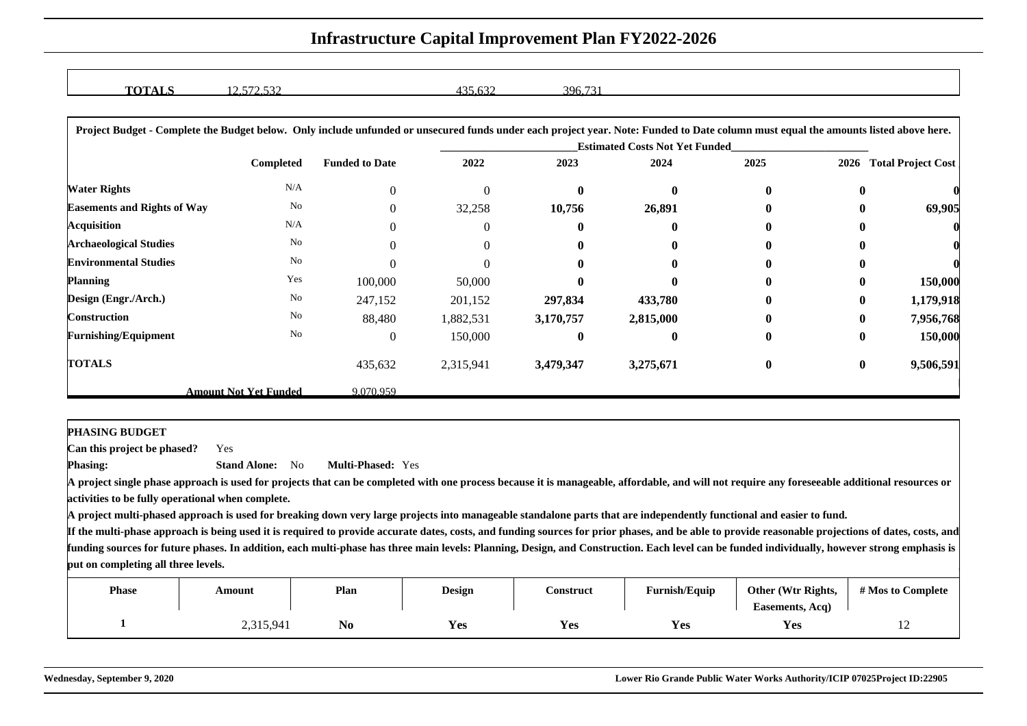| $\sim$<br><u>WALA</u> | $\sim$ $\sim$ $\sim$ | 225<br>$\sim$<br>.<br>∸ | the contract of the contract of the<br>396.731 |  |
|-----------------------|----------------------|-------------------------|------------------------------------------------|--|
|                       | $\frac{1}{2}$        |                         |                                                |  |

| Project Budget - Complete the Budget below. Only include unfunded or unsecured funds under each project year. Note: Funded to Date column must equal the amounts listed above here. |                              |                                       |           |           |           |              |          |                           |  |  |
|-------------------------------------------------------------------------------------------------------------------------------------------------------------------------------------|------------------------------|---------------------------------------|-----------|-----------|-----------|--------------|----------|---------------------------|--|--|
|                                                                                                                                                                                     |                              | <b>Estimated Costs Not Yet Funded</b> |           |           |           |              |          |                           |  |  |
|                                                                                                                                                                                     | <b>Completed</b>             | <b>Funded to Date</b>                 | 2022      | 2023      | 2024      | 2025         | 2026     | <b>Total Project Cost</b> |  |  |
| <b>Water Rights</b>                                                                                                                                                                 | N/A                          | $\Omega$                              | $\Omega$  | 0         | 0         | $\mathbf{0}$ | $\bf{0}$ |                           |  |  |
| <b>Easements and Rights of Way</b>                                                                                                                                                  | No                           |                                       | 32,258    | 10,756    | 26,891    | 0            | $\bf{0}$ | 69,905                    |  |  |
| Acquisition                                                                                                                                                                         | N/A                          |                                       | $\Omega$  | 0         |           | $\mathbf{0}$ | 0        |                           |  |  |
| <b>Archaeological Studies</b>                                                                                                                                                       | No                           |                                       | 0         |           |           |              | 0        |                           |  |  |
| <b>Environmental Studies</b>                                                                                                                                                        | No                           |                                       | 0         |           |           | $\mathbf{0}$ | 0        |                           |  |  |
| <b>Planning</b>                                                                                                                                                                     | Yes                          | 100,000                               | 50,000    |           |           |              | $\bf{0}$ | 150,000                   |  |  |
| Design (Engr./Arch.)                                                                                                                                                                | $\rm No$                     | 247,152                               | 201,152   | 297,834   | 433,780   | 0            | $\bf{0}$ | 1,179,918                 |  |  |
| Construction                                                                                                                                                                        | No                           | 88,480                                | 1,882,531 | 3,170,757 | 2,815,000 | 0            | $\bf{0}$ | 7,956,768                 |  |  |
| <b>Furnishing/Equipment</b>                                                                                                                                                         | No                           | $\theta$                              | 150,000   | 0         |           | $\bf{0}$     | $\bf{0}$ | 150,000                   |  |  |
| <b>TOTALS</b>                                                                                                                                                                       |                              | 435,632                               | 2,315,941 | 3,479,347 | 3,275,671 | $\bf{0}$     | $\bf{0}$ | 9,506,591                 |  |  |
|                                                                                                                                                                                     | <b>Amount Not Yet Funded</b> | 9.070.959                             |           |           |           |              |          |                           |  |  |

**PHASING BUDGET**

 **Can this project be phased?**Yes

**Phasing: Stand Alone:** No**Multi-Phased:** Yes

**A project single phase approach is used for projects that can be completed with one process because it is manageable, affordable, and will not require any foreseeable additional resources oractivities to be fully operational when complete.**

**A project multi-phased approach is used for breaking down very large projects into manageable standalone parts that are independently functional and easier to fund.**

| <b>Phase</b> | Amount    | Plan           | <b>Design</b> | <b>Construct</b> | <b>Furnish/Equip</b> | Other (Wtr Rights,<br>Easements, Acq) | # Mos to Complete |
|--------------|-----------|----------------|---------------|------------------|----------------------|---------------------------------------|-------------------|
|              | 2,315,941 | N <sub>0</sub> | <b>Yes</b>    | Y es             | Yes                  | <b>Yes</b>                            | $\overline{1}$    |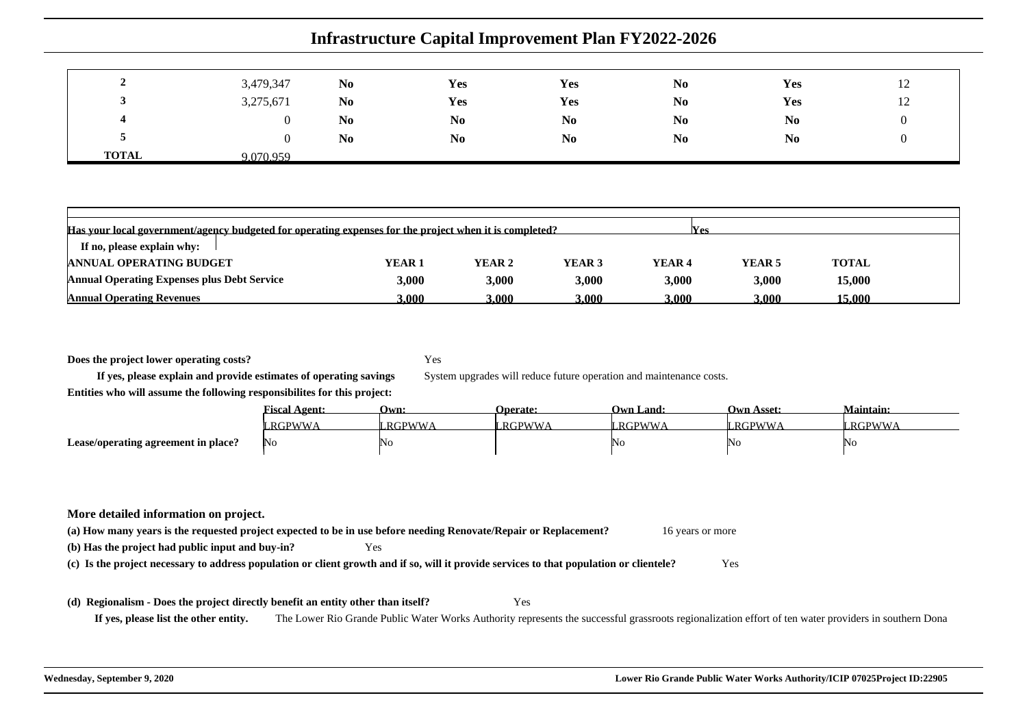|              | 3,479,347 | N <sub>0</sub> | Yes            | Yes            | N <sub>0</sub> | Yes            | 12 |
|--------------|-----------|----------------|----------------|----------------|----------------|----------------|----|
| ູ            | 3,275,671 | N <sub>0</sub> | Yes            | Yes            | N <sub>0</sub> | Yes            | 12 |
| 4            |           | N <sub>0</sub> | N <sub>0</sub> | N <sub>0</sub> | N <sub>0</sub> | N <sub>0</sub> |    |
| ◡            |           | N <sub>0</sub> | N <sub>0</sub> | N <sub>0</sub> | N <sub>0</sub> | N <sub>0</sub> |    |
| <b>TOTAL</b> | 9.070.959 |                |                |                |                |                |    |

| Has your local government/agency budgeted for operating expenses for the project when it is completed?<br>Wes |                   |        |        |                   |        |              |  |  |  |
|---------------------------------------------------------------------------------------------------------------|-------------------|--------|--------|-------------------|--------|--------------|--|--|--|
| If no, please explain why:                                                                                    |                   |        |        |                   |        |              |  |  |  |
| <b>ANNUAL OPERATING BUDGET</b>                                                                                | YEAR <sub>1</sub> | YEAR 2 | YEAR 3 | YEAR <sub>4</sub> | YEAR 5 | <b>TOTAL</b> |  |  |  |
| <b>Annual Operating Expenses plus Debt Service</b>                                                            | 3.000             | 3,000  | 3,000  | 3,000             | 3,000  | 15,000       |  |  |  |
| <b>Annual Operating Revenues</b>                                                                              | 3.000             | .000   | 3.000- | 3.000             | 3.000  | 5.000        |  |  |  |

**Does the project lower operating costs?**

Yes

System upgrades will reduce future operation and maintenance costs.

**If yes, please explain and provide estimates of operating savingsEntities who will assume the following responsibilites for this project:**

|                                     | <u> Fiscal Agent:</u> | Own:          | Operate:      | Own Land: | <b>Own Asset:</b> | <b>Maintain:</b> |
|-------------------------------------|-----------------------|---------------|---------------|-----------|-------------------|------------------|
|                                     | RGPWWA                | <b>RGPWWA</b> | <b>RGPWWA</b> | RGPWWA    | <b>RGPWWA</b>     | <b>RGPWWA</b>    |
| Lease/operating agreement in place? | No                    | 'No           |               | NO        | WΟ                | No               |

#### **More detailed information on project.**

**(a) How many years is the requested project expected to be in use before needing Renovate/Repair or Replacement?**16 years or more

| (b) Has the project had public input and buy-in? | Yes |
|--------------------------------------------------|-----|
|--------------------------------------------------|-----|

**(c) Is the project necessary to address population or client growth and if so, will it provide services to that population or clientele?**Yes

#### **(d) Regionalism - Does the project directly benefit an entity other than itself?**

**If yes, please list the other entity.**The Lower Rio Grande Public Water Works Authority represents the successful grassroots regionalization effort of ten water providers in southern Dona

Yes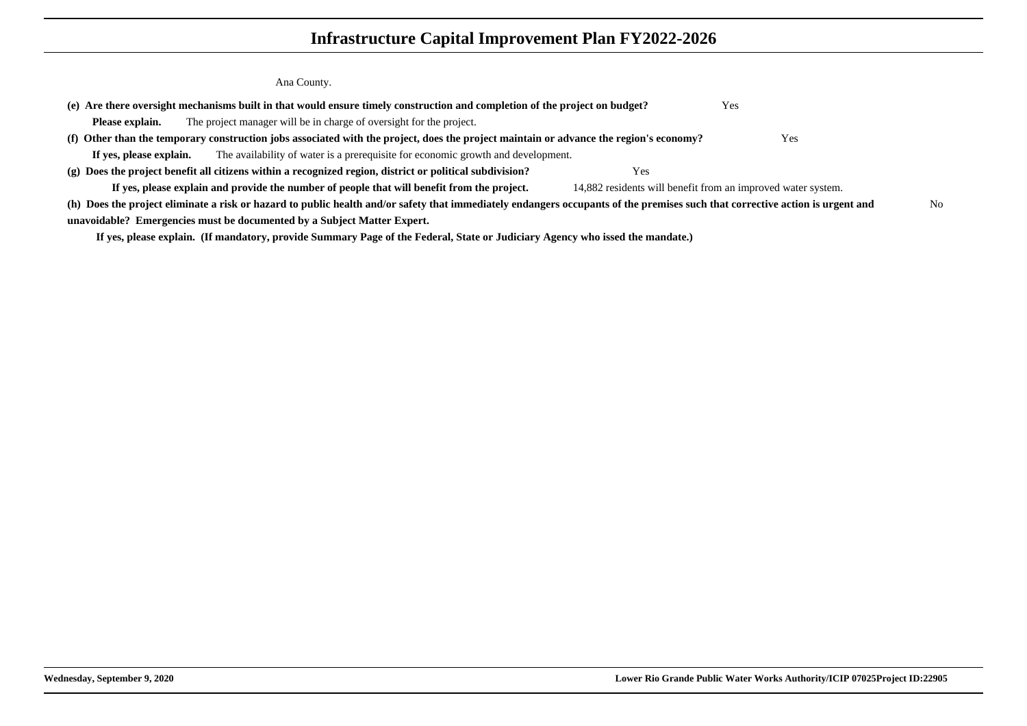Ana County.

|                         | (e) Are there oversight mechanisms built in that would ensure timely construction and completion of the project on budget?                                                    | Yes                                                          |    |
|-------------------------|-------------------------------------------------------------------------------------------------------------------------------------------------------------------------------|--------------------------------------------------------------|----|
| Please explain.         | The project manager will be in charge of oversight for the project.                                                                                                           |                                                              |    |
|                         | (f) Other than the temporary construction jobs associated with the project, does the project maintain or advance the region's economy?                                        | Yes                                                          |    |
| If yes, please explain. | The availability of water is a prerequisite for economic growth and development.                                                                                              |                                                              |    |
|                         | $(g)$ Does the project benefit all citizens within a recognized region, district or political subdivision?                                                                    | Yes                                                          |    |
|                         | If yes, please explain and provide the number of people that will benefit from the project.                                                                                   | 14,882 residents will benefit from an improved water system. |    |
|                         | (h) Does the project eliminate a risk or hazard to public health and/or safety that immediately endangers occupants of the premises such that corrective action is urgent and |                                                              | No |
|                         | unavoidable? Emergencies must be documented by a Subject Matter Expert.                                                                                                       |                                                              |    |
|                         |                                                                                                                                                                               |                                                              |    |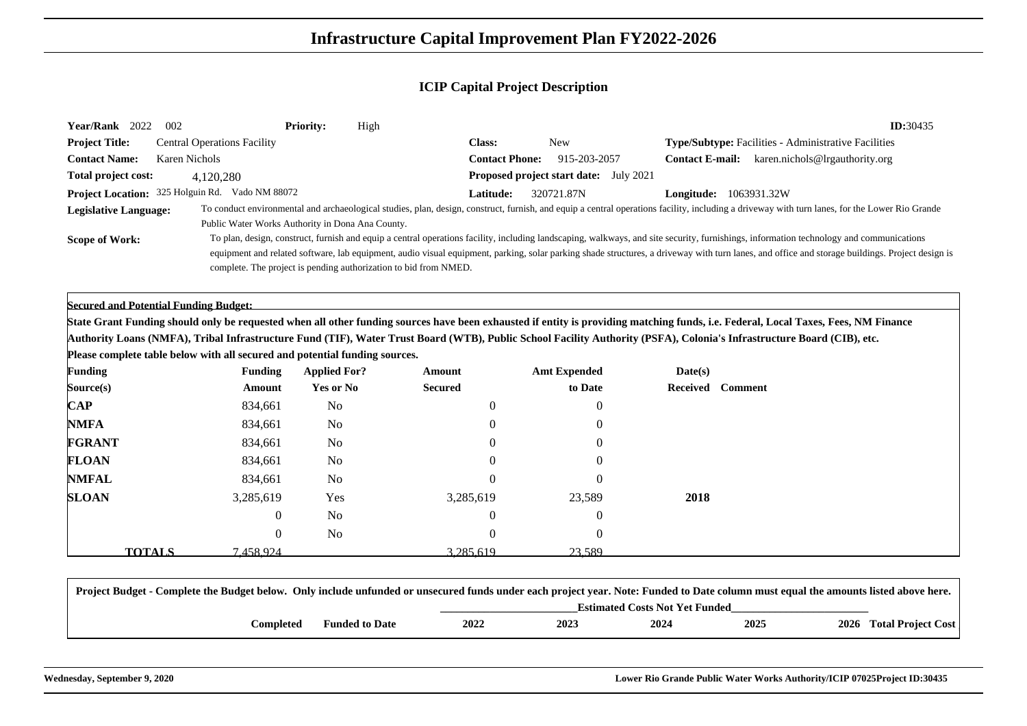| Year/Rank 2022<br>002                                                       |                                    | <b>Priority:</b><br>High                                         |                                                                                                                                                                        |                                               |                            | ID:30435                                                                                                                                                                                                                                                                                                                                                                                   |
|-----------------------------------------------------------------------------|------------------------------------|------------------------------------------------------------------|------------------------------------------------------------------------------------------------------------------------------------------------------------------------|-----------------------------------------------|----------------------------|--------------------------------------------------------------------------------------------------------------------------------------------------------------------------------------------------------------------------------------------------------------------------------------------------------------------------------------------------------------------------------------------|
| <b>Project Title:</b>                                                       | <b>Central Operations Facility</b> |                                                                  | <b>Class:</b>                                                                                                                                                          | <b>New</b>                                    |                            | Type/Subtype: Facilities - Administrative Facilities                                                                                                                                                                                                                                                                                                                                       |
| <b>Contact Name:</b>                                                        | <b>Karen Nichols</b>               |                                                                  | <b>Contact Phone:</b>                                                                                                                                                  | 915-203-2057                                  |                            | <b>Contact E-mail:</b> karen.nichols@lrgauthority.org                                                                                                                                                                                                                                                                                                                                      |
| Total project cost:                                                         | 4,120,280                          |                                                                  |                                                                                                                                                                        | <b>Proposed project start date:</b> July 2021 |                            |                                                                                                                                                                                                                                                                                                                                                                                            |
| Project Location: 325 Holguin Rd. Vado NM 88072                             |                                    |                                                                  | Latitude:                                                                                                                                                              | 320721.87N                                    | Longitude: 1063931.32W     |                                                                                                                                                                                                                                                                                                                                                                                            |
| <b>Legislative Language:</b>                                                |                                    | Public Water Works Authority in Dona Ana County.                 |                                                                                                                                                                        |                                               |                            | To conduct environmental and archaeological studies, plan, design, construct, furnish, and equip a central operations facility, including a driveway with turn lanes, for the Lower Rio Grande                                                                                                                                                                                             |
| <b>Scope of Work:</b>                                                       |                                    | complete. The project is pending authorization to bid from NMED. |                                                                                                                                                                        |                                               |                            | To plan, design, construct, furnish and equip a central operations facility, including landscaping, walkways, and site security, furnishings, information technology and communications<br>equipment and related software, lab equipment, audio visual equipment, parking, solar parking shade structures, a driveway with turn lanes, and office and storage buildings. Project design is |
| <b>Secured and Potential Funding Budget:</b>                                |                                    |                                                                  |                                                                                                                                                                        |                                               |                            |                                                                                                                                                                                                                                                                                                                                                                                            |
|                                                                             |                                    |                                                                  |                                                                                                                                                                        |                                               |                            | State Grant Funding should only be requested when all other funding sources have been exhausted if entity is providing matching funds, i.e. Federal, Local Taxes, Fees, NM Finance                                                                                                                                                                                                         |
|                                                                             |                                    |                                                                  | Authority Loans (NMFA), Tribal Infrastructure Fund (TIF), Water Trust Board (WTB), Public School Facility Authority (PSFA), Colonia's Infrastructure Board (CIB), etc. |                                               |                            |                                                                                                                                                                                                                                                                                                                                                                                            |
| Please complete table below with all secured and potential funding sources. |                                    |                                                                  |                                                                                                                                                                        |                                               |                            |                                                                                                                                                                                                                                                                                                                                                                                            |
| <b>Funding</b>                                                              | <b>Funding</b>                     | <b>Applied For?</b>                                              | Amount                                                                                                                                                                 | <b>Amt Expended</b>                           | Date(s)                    |                                                                                                                                                                                                                                                                                                                                                                                            |
| Source(s)                                                                   | Amount                             | <b>Yes or No</b>                                                 | <b>Secured</b>                                                                                                                                                         | to Date                                       | <b>Comment</b><br>Received |                                                                                                                                                                                                                                                                                                                                                                                            |
| <b>CAP</b>                                                                  | 834,661                            | N <sub>0</sub>                                                   | $\theta$                                                                                                                                                               | $\Omega$                                      |                            |                                                                                                                                                                                                                                                                                                                                                                                            |
| <b>NMFA</b>                                                                 | 834,661                            | N <sub>0</sub>                                                   |                                                                                                                                                                        |                                               |                            |                                                                                                                                                                                                                                                                                                                                                                                            |
| <b>FGRANT</b>                                                               | 834,661                            | N <sub>0</sub>                                                   |                                                                                                                                                                        |                                               |                            |                                                                                                                                                                                                                                                                                                                                                                                            |
| <b>FLOAN</b>                                                                | 834,661                            | No                                                               |                                                                                                                                                                        |                                               |                            |                                                                                                                                                                                                                                                                                                                                                                                            |
| <b>NMFAL</b>                                                                | 834,661                            | No                                                               |                                                                                                                                                                        |                                               |                            |                                                                                                                                                                                                                                                                                                                                                                                            |
| <b>SLOAN</b>                                                                | 3,285,619                          | Yes                                                              | 3,285,619                                                                                                                                                              | 23,589                                        | 2018                       |                                                                                                                                                                                                                                                                                                                                                                                            |
|                                                                             | 0                                  | N <sub>0</sub>                                                   |                                                                                                                                                                        | $\theta$                                      |                            |                                                                                                                                                                                                                                                                                                                                                                                            |
|                                                                             | 0                                  | No                                                               |                                                                                                                                                                        | $\Omega$                                      |                            |                                                                                                                                                                                                                                                                                                                                                                                            |
| <b>TOTALS</b>                                                               | 7.458.924                          |                                                                  | 3.285.619                                                                                                                                                              | 23.589                                        |                            |                                                                                                                                                                                                                                                                                                                                                                                            |

| Project Budget - Complete the Budget below. Only include unfunded or unsecured funds under each project year. Note: Funded to Date column must equal the amounts listed above here. |                       |      |      |      |      |                         |  |  |  |  |
|-------------------------------------------------------------------------------------------------------------------------------------------------------------------------------------|-----------------------|------|------|------|------|-------------------------|--|--|--|--|
| <b>Estimated Costs Not Yet Funded</b>                                                                                                                                               |                       |      |      |      |      |                         |  |  |  |  |
| <b>Completed</b>                                                                                                                                                                    | <b>Funded to Date</b> | 2022 | 2023 | 2024 | 2025 | 2026 Total Project Cost |  |  |  |  |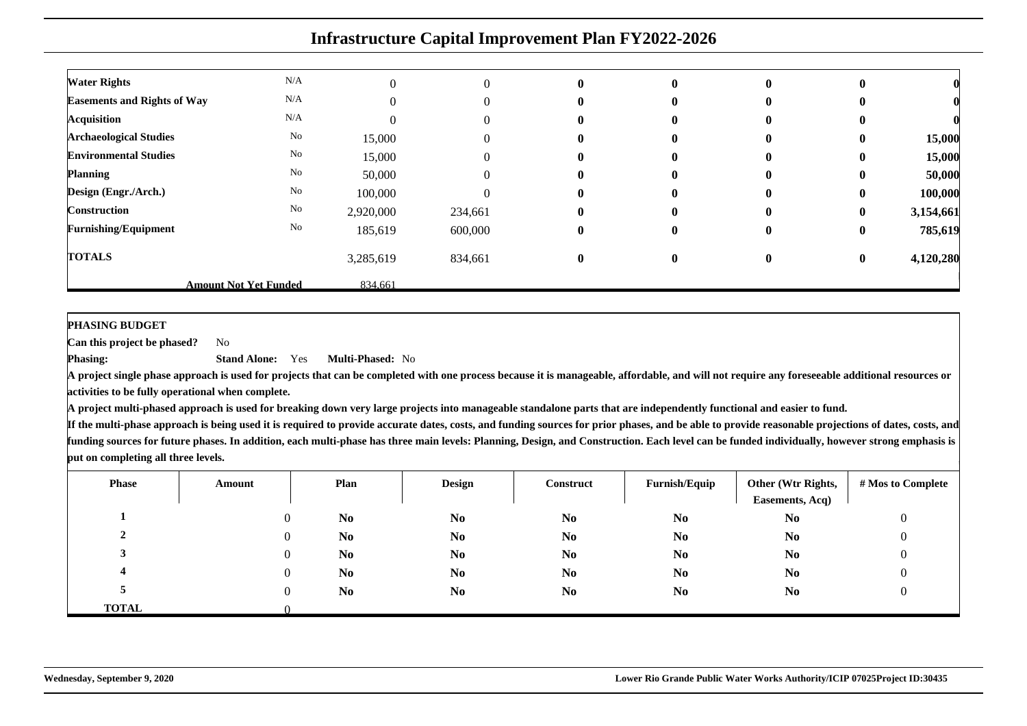| <b>Water Rights</b>                | N/A                          |           | 0       | $\mathbf{0}$ | $\mathbf{0}$ | $\bf{0}$     | $\bf{0}$     |           |
|------------------------------------|------------------------------|-----------|---------|--------------|--------------|--------------|--------------|-----------|
| <b>Easements and Rights of Way</b> | N/A                          |           | 0       | $\bf{0}$     | $\mathbf{0}$ | $\mathbf{0}$ | $\mathbf{0}$ |           |
| <b>Acquisition</b>                 | N/A                          |           | 0       | $\mathbf{0}$ | $\mathbf{0}$ | $\bf{0}$     | $\bf{0}$     |           |
| <b>Archaeological Studies</b>      | No                           | 15,000    | 0       | $\bf{0}$     | $\mathbf{0}$ | $\bf{0}$     | $\bf{0}$     | 15,000    |
| <b>Environmental Studies</b>       | No                           | 15,000    | 0       | $\mathbf{0}$ | 0            | $\bf{0}$     | $\bf{0}$     | 15,000    |
| <b>Planning</b>                    | No                           | 50,000    | 0       | $\bf{0}$     | $\mathbf{0}$ | $\bf{0}$     | $\bf{0}$     | 50,000    |
| Design (Engr./Arch.)               | No                           | 100,000   | 0       | $\mathbf{0}$ | $\mathbf{0}$ | $\mathbf{0}$ | $\bf{0}$     | 100,000   |
| <b>Construction</b>                | No                           | 2,920,000 | 234,661 | $\mathbf{0}$ | $\mathbf{0}$ | $\mathbf{0}$ | $\bf{0}$     | 3,154,661 |
| <b>Furnishing/Equipment</b>        | No                           | 185,619   | 600,000 | $\bf{0}$     | $\bf{0}$     | $\bf{0}$     | $\bf{0}$     | 785,619   |
| <b>TOTALS</b>                      |                              | 3,285,619 | 834,661 | $\bf{0}$     | $\bf{0}$     | $\bf{0}$     | $\bf{0}$     | 4,120,280 |
|                                    | <b>Amount Not Yet Funded</b> | 834.661   |         |              |              |              |              |           |

**PHASING BUDGET**

**Phasing:**

 **Can this project be phased?**No

> **Stand Alone:** Yes**Multi-Phased:** No

 **A project single phase approach is used for projects that can be completed with one process because it is manageable, affordable, and will not require any foreseeable additional resources oractivities to be fully operational when complete.**

**A project multi-phased approach is used for breaking down very large projects into manageable standalone parts that are independently functional and easier to fund.**

| <b>Phase</b> | Amount   | Plan           | <b>Design</b>  | Construct      | Furnish/Equip  | Other (Wtr Rights,<br>Easements, Acq) | # Mos to Complete |
|--------------|----------|----------------|----------------|----------------|----------------|---------------------------------------|-------------------|
|              | $\theta$ | N <sub>0</sub> | N <sub>0</sub> | N <sub>0</sub> | N <sub>0</sub> | N <sub>0</sub>                        | 0                 |
|              | $\Omega$ | N <sub>0</sub> | N <sub>0</sub> | N <sub>0</sub> | N <sub>0</sub> | N <sub>0</sub>                        | 0                 |
|              | $\theta$ | N <sub>0</sub> | N <sub>0</sub> | N <sub>0</sub> | N <sub>0</sub> | N <sub>0</sub>                        | O                 |
|              | $\Omega$ | N <sub>0</sub> | N <sub>0</sub> | N <sub>0</sub> | N <sub>0</sub> | N <sub>0</sub>                        | 0                 |
|              | $\Omega$ | N <sub>0</sub> | N <sub>0</sub> | N <sub>0</sub> | N <sub>0</sub> | N <sub>0</sub>                        |                   |
| <b>TOTAL</b> |          |                |                |                |                |                                       |                   |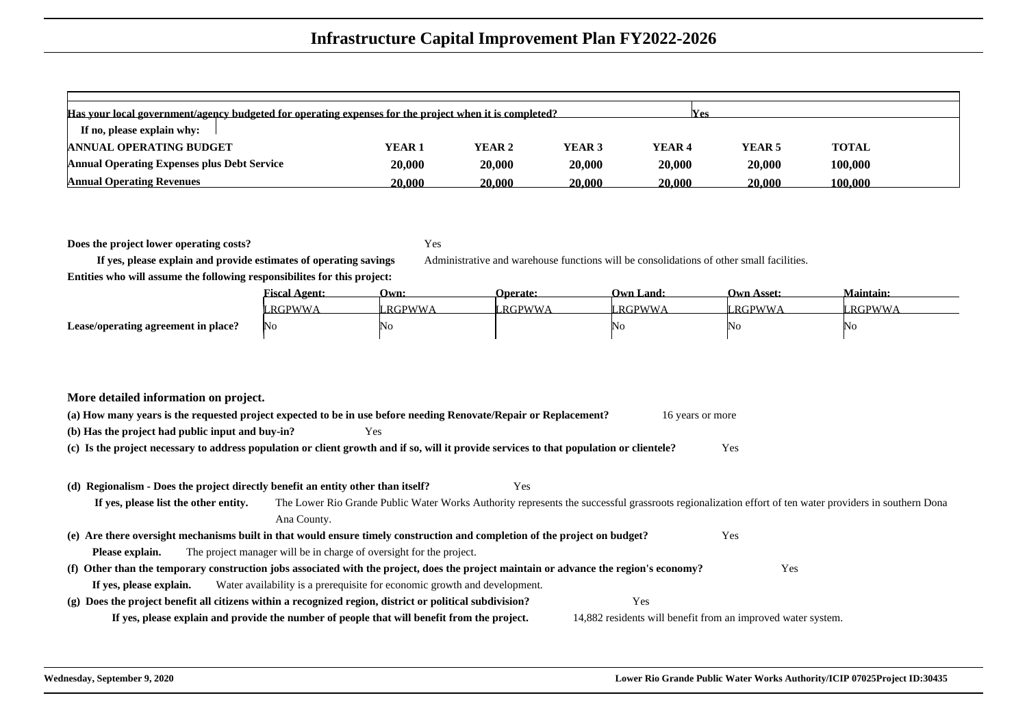| Has your local government/agency budgeted for operating expenses for the project when it is completed?<br><b>Yes</b> |        |        |        |                   |                   |         |  |  |  |  |  |  |
|----------------------------------------------------------------------------------------------------------------------|--------|--------|--------|-------------------|-------------------|---------|--|--|--|--|--|--|
| If no, please explain why:                                                                                           |        |        |        |                   |                   |         |  |  |  |  |  |  |
| <b>ANNUAL OPERATING BUDGET</b>                                                                                       | YEAR 1 | YEAR 2 | YEAR 3 | YEAR <sub>4</sub> | YEAR <sub>5</sub> | TOTAL   |  |  |  |  |  |  |
| <b>Annual Operating Expenses plus Debt Service</b>                                                                   | 20,000 | 20,000 | 20.000 | 20,000            | 20,000            | 100,000 |  |  |  |  |  |  |
| <b>Annual Operating Revenues</b>                                                                                     | 20.000 | 20.000 | 20.000 | 20,000            | 20,000            | 100.000 |  |  |  |  |  |  |

**Does the project lower operating costs?**

Yes

Administrative and warehouse functions will be consolidations of other small facilities.

**Entities who will assume the following responsibilites for this project:**

**If yes, please explain and provide estimates of operating savings**

|                                     | <b>Fiscal Agent:</b> | Own:     | <b>Operate:</b> | Own Land: | <b>Own Asset:</b> | <b>Maintain:</b> |
|-------------------------------------|----------------------|----------|-----------------|-----------|-------------------|------------------|
|                                     | <b>RGPWWA</b>        | * RGPWWA | <b>RGPWWA</b>   | RGPWWA    | RGPWWA            | RGPWWA           |
| Lease/operating agreement in place? | No                   | 'No      |                 | NU        | 'IN G             | NO               |

#### **More detailed information on project.**

| (a) How many years is the requested project expected to be in use before needing Renovate/Repair or Replacement?<br>16 years or more            |  |  |  |  |  |  |  |
|-------------------------------------------------------------------------------------------------------------------------------------------------|--|--|--|--|--|--|--|
| (b) Has the project had public input and buy-in?<br>Yes                                                                                         |  |  |  |  |  |  |  |
| Yes<br>(c) Is the project necessary to address population or client growth and if so, will it provide services to that population or clientele? |  |  |  |  |  |  |  |

#### **(d) Regionalism - Does the project directly benefit an entity other than itself?**Yes

**If yes, please list the other entity.** The Lower Rio Grande Public Water Works Authority represents the successful grassroots regionalization effort of ten water providers in southern DonaAna County.**(e) Are there oversight mechanisms built in that would ensure timely construction and completion of the project on budget?** Yes **Please explain.** The project manager will be in charge of oversight for the project. **(f) Other than the temporary construction jobs associated with the project, does the project maintain or advance the region's economy?** Yes **If yes, please explain.** Water availability is a prerequisite for economic growth and development. **(g) Does the project benefit all citizens within a recognized region, district or political subdivision?** Yes **If yes, please explain and provide the number of people that will benefit from the project.**14,882 residents will benefit from an improved water system.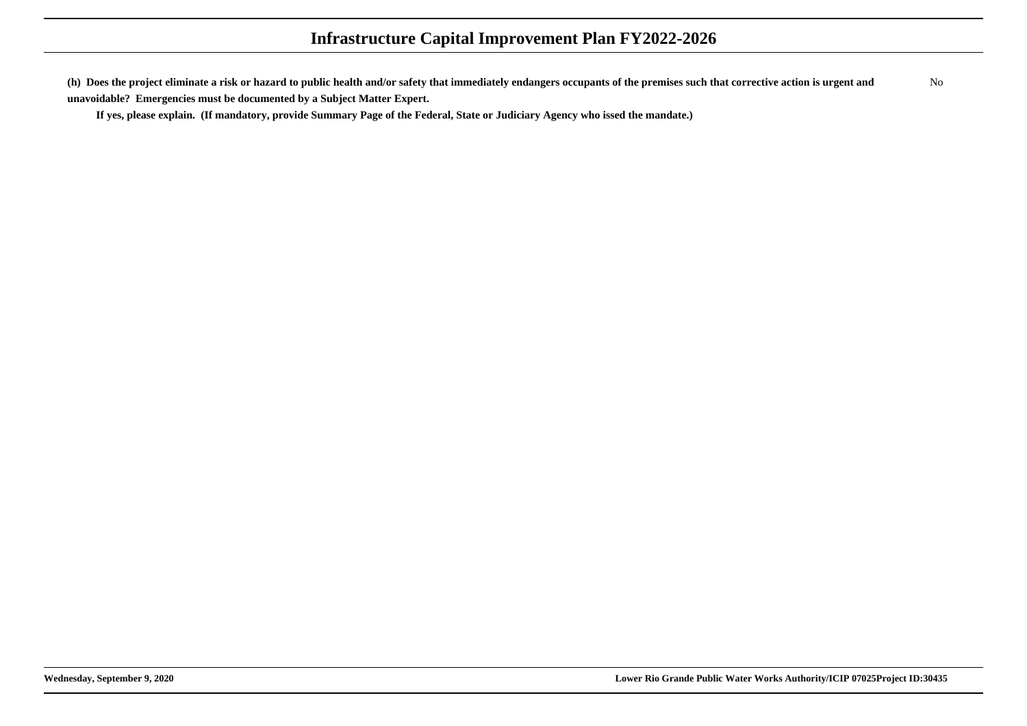**(h) Does the project eliminate a risk or hazard to public health and/or safety that immediately endangers occupants of the premises such that corrective action is urgent andunavoidable? Emergencies must be documented by a Subject Matter Expert.**No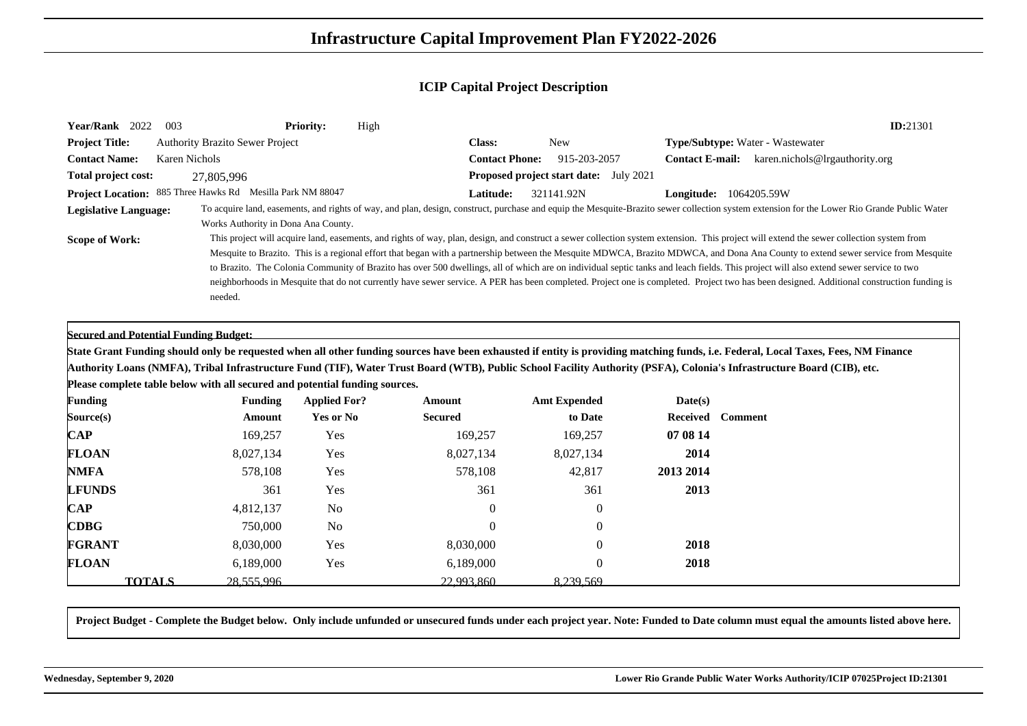| Year/Rank 2022               | 003                                                                         | <b>Priority:</b><br>High |                       |                                               |                               | ID:21301                                                                                                                                                                                                                                                                                                                                                                                                                                                                                                                                                                                                                                                                                                                                                            |
|------------------------------|-----------------------------------------------------------------------------|--------------------------|-----------------------|-----------------------------------------------|-------------------------------|---------------------------------------------------------------------------------------------------------------------------------------------------------------------------------------------------------------------------------------------------------------------------------------------------------------------------------------------------------------------------------------------------------------------------------------------------------------------------------------------------------------------------------------------------------------------------------------------------------------------------------------------------------------------------------------------------------------------------------------------------------------------|
| <b>Project Title:</b>        | <b>Authority Brazito Sewer Project</b>                                      |                          | <b>Class:</b>         | <b>New</b>                                    |                               | <b>Type/Subtype:</b> Water - Wastewater                                                                                                                                                                                                                                                                                                                                                                                                                                                                                                                                                                                                                                                                                                                             |
| <b>Contact Name:</b>         | <b>Karen Nichols</b>                                                        |                          | <b>Contact Phone:</b> | 915-203-2057                                  |                               | <b>Contact E-mail:</b> karen.nichols@lrgauthority.org                                                                                                                                                                                                                                                                                                                                                                                                                                                                                                                                                                                                                                                                                                               |
| Total project cost:          | 27,805,996                                                                  |                          |                       | <b>Proposed project start date:</b> July 2021 |                               |                                                                                                                                                                                                                                                                                                                                                                                                                                                                                                                                                                                                                                                                                                                                                                     |
|                              | Project Location: 885 Three Hawks Rd Mesilla Park NM 88047                  |                          | Latitude:             | 321141.92N                                    | <b>Longitude:</b> 1064205.59W |                                                                                                                                                                                                                                                                                                                                                                                                                                                                                                                                                                                                                                                                                                                                                                     |
| <b>Legislative Language:</b> | Works Authority in Dona Ana County.                                         |                          |                       |                                               |                               | To acquire land, easements, and rights of way, and plan, design, construct, purchase and equip the Mesquite-Brazito sewer collection system extension for the Lower Rio Grande Public Water                                                                                                                                                                                                                                                                                                                                                                                                                                                                                                                                                                         |
| <b>Scope of Work:</b>        | needed.                                                                     |                          |                       |                                               |                               | This project will acquire land, easements, and rights of way, plan, design, and construct a sewer collection system extension. This project will extend the sewer collection system from<br>Mesquite to Brazito. This is a regional effort that began with a partnership between the Mesquite MDWCA, Brazito MDWCA, and Dona Ana County to extend sewer service from Mesquite<br>to Brazito. The Colonia Community of Brazito has over 500 dwellings, all of which are on individual septic tanks and leach fields. This project will also extend sewer service to two<br>neighborhoods in Mesquite that do not currently have sewer service. A PER has been completed. Project one is completed. Project two has been designed. Additional construction funding is |
|                              | <b>Secured and Potential Funding Budget:</b>                                |                          |                       |                                               |                               | State Grant Funding should only be requested when all other funding sources have been exhausted if entity is providing matching funds, i.e. Federal, Local Taxes, Fees, NM Finance                                                                                                                                                                                                                                                                                                                                                                                                                                                                                                                                                                                  |
|                              |                                                                             |                          |                       |                                               |                               | Authority Loans (NMFA), Tribal Infrastructure Fund (TIF), Water Trust Board (WTB), Public School Facility Authority (PSFA), Colonia's Infrastructure Board (CIB), etc.                                                                                                                                                                                                                                                                                                                                                                                                                                                                                                                                                                                              |
|                              | Please complete table below with all secured and potential funding sources. |                          |                       |                                               |                               |                                                                                                                                                                                                                                                                                                                                                                                                                                                                                                                                                                                                                                                                                                                                                                     |
| <b>Funding</b>               | <b>Funding</b>                                                              | <b>Applied For?</b>      | Amount                | <b>Amt Expended</b>                           | Date(s)                       |                                                                                                                                                                                                                                                                                                                                                                                                                                                                                                                                                                                                                                                                                                                                                                     |
| Source(s)                    | Amount                                                                      | Yes or No                | <b>Secured</b>        | to Date                                       | Received                      | <b>Comment</b>                                                                                                                                                                                                                                                                                                                                                                                                                                                                                                                                                                                                                                                                                                                                                      |
| $\mathbf{CAP}$               | 169,257                                                                     | Yes                      | 169,257               | 169,257                                       | 07 08 14                      |                                                                                                                                                                                                                                                                                                                                                                                                                                                                                                                                                                                                                                                                                                                                                                     |
| <b>FLOAN</b>                 | 8,027,134                                                                   | Yes                      | 8,027,134             | 8,027,134                                     | 2014                          |                                                                                                                                                                                                                                                                                                                                                                                                                                                                                                                                                                                                                                                                                                                                                                     |
| <b>NMFA</b>                  | 578,108                                                                     | Yes                      | 578,108               | 42,817                                        | 2013 2014                     |                                                                                                                                                                                                                                                                                                                                                                                                                                                                                                                                                                                                                                                                                                                                                                     |
| <b>LFUNDS</b>                | 361                                                                         | Yes                      | 361                   | 361                                           | 2013                          |                                                                                                                                                                                                                                                                                                                                                                                                                                                                                                                                                                                                                                                                                                                                                                     |
| $\bf CAP$                    | 4,812,137                                                                   | N <sub>0</sub>           | $\theta$              | $\theta$                                      |                               |                                                                                                                                                                                                                                                                                                                                                                                                                                                                                                                                                                                                                                                                                                                                                                     |
| <b>CDBG</b>                  | 750,000                                                                     | N <sub>0</sub>           | $\Omega$              | $\theta$                                      |                               |                                                                                                                                                                                                                                                                                                                                                                                                                                                                                                                                                                                                                                                                                                                                                                     |
| <b>FGRANT</b>                | 8,030,000                                                                   | Yes                      | 8,030,000             | $\Omega$                                      | 2018                          |                                                                                                                                                                                                                                                                                                                                                                                                                                                                                                                                                                                                                                                                                                                                                                     |

**Project Budget - Complete the Budget below. Only include unfunded or unsecured funds under each project year. Note: Funded to Date column must equal the amounts listed above here.**

0

0 2018

**TOTALS**

**FLOAN**

**N** 6,189,000 Yes 6,189,000

 $\mathbf{S}$  28,555,996 22,993,860 8,239,569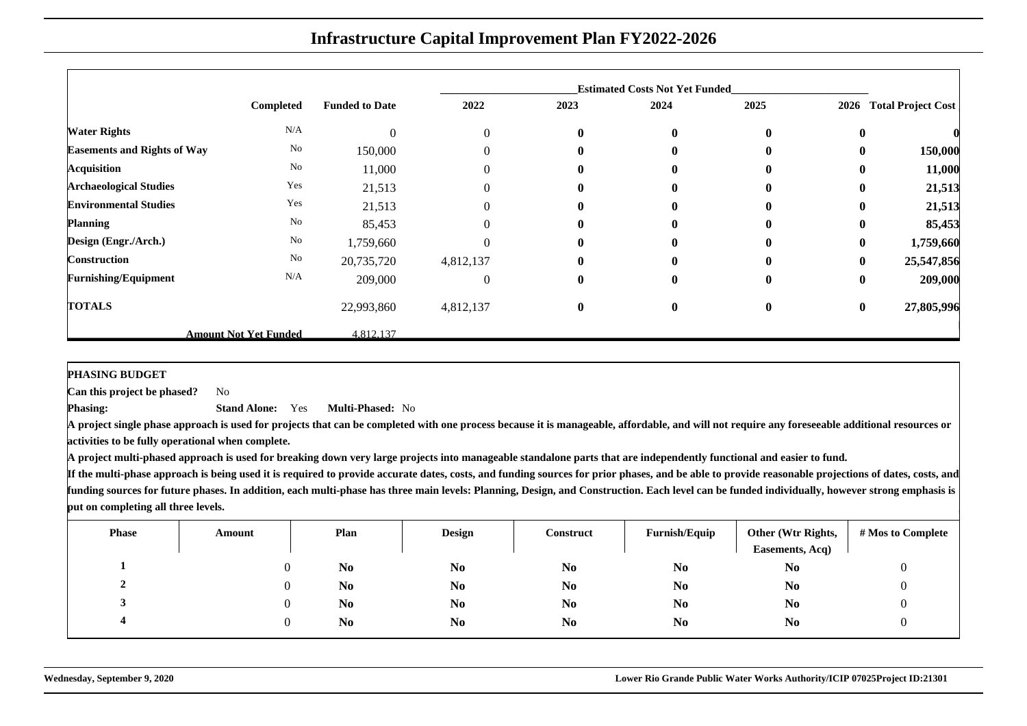|                                    |                              |                       |                |              | <b>Estimated Costs Not Yet Funded</b> |          |          |                           |
|------------------------------------|------------------------------|-----------------------|----------------|--------------|---------------------------------------|----------|----------|---------------------------|
|                                    | Completed                    | <b>Funded to Date</b> | 2022           | 2023         | 2024                                  | 2025     | 2026     | <b>Total Project Cost</b> |
| <b>Water Rights</b>                | N/A                          | $\theta$              | $\overline{0}$ | $\bf{0}$     | $\bf{0}$                              | $\bf{0}$ | $\bf{0}$ |                           |
| <b>Easements and Rights of Way</b> | $\rm No$                     | 150,000               |                | $\mathbf{0}$ | 0                                     | $\bf{0}$ | $\bf{0}$ | 150,000                   |
| <b>Acquisition</b>                 | $\rm No$                     | 11,000                | $\Omega$       | $\mathbf{0}$ | 0                                     | $\bf{0}$ | $\bf{0}$ | 11,000                    |
| <b>Archaeological Studies</b>      | Yes                          | 21,513                | $\Omega$       | $\mathbf{0}$ | 0                                     | $\bf{0}$ | $\bf{0}$ | 21,513                    |
| <b>Environmental Studies</b>       | Yes                          | 21,513                | 0              | $\mathbf{0}$ | 0                                     | $\bf{0}$ | 0        | 21,513                    |
| <b>Planning</b>                    | No                           | 85,453                | $\Omega$       | $\mathbf{0}$ | $\mathbf{0}$                          | $\bf{0}$ | $\bf{0}$ | 85,453                    |
| Design (Engr./Arch.)               | No                           | 1,759,660             |                | $\bf{0}$     | 0                                     | $\bf{0}$ | $\bf{0}$ | 1,759,660                 |
| <b>Construction</b>                | $\rm No$                     | 20,735,720            | 4,812,137      | $\mathbf{0}$ | $\mathbf{0}$                          | $\bf{0}$ | $\bf{0}$ | 25,547,856                |
| <b>Furnishing/Equipment</b>        | N/A                          | 209,000               | $\theta$       | $\bf{0}$     | $\bf{0}$                              | $\bf{0}$ | $\bf{0}$ | 209,000                   |
| <b>TOTALS</b>                      |                              | 22,993,860            | 4,812,137      | $\bf{0}$     | $\bf{0}$                              | $\bf{0}$ | $\bf{0}$ | 27,805,996                |
|                                    | <b>Amount Not Yet Funded</b> | 4.812.137             |                |              |                                       |          |          |                           |

**PHASING BUDGET**

 **Can this project be phased?**No

**Phasing: Stand Alone:** Yes**Multi-Phased:** No

 **A project single phase approach is used for projects that can be completed with one process because it is manageable, affordable, and will not require any foreseeable additional resources oractivities to be fully operational when complete.**

**A project multi-phased approach is used for breaking down very large projects into manageable standalone parts that are independently functional and easier to fund.**

| <b>Phase</b> | Amount | Plan           | <b>Design</b>  | Construct      | Furnish/Equip  | Other (Wtr Rights,<br>Easements, Acq) | # Mos to Complete |
|--------------|--------|----------------|----------------|----------------|----------------|---------------------------------------|-------------------|
|              |        | N <sub>0</sub> | N <sub>0</sub> | N <sub>0</sub> | N <sub>0</sub> | N <sub>0</sub>                        | U                 |
| ▵            |        | N <sub>0</sub> | N <sub>o</sub> | N <sub>0</sub> | N <sub>0</sub> | N <sub>0</sub>                        |                   |
|              |        | N <sub>0</sub> | N <sub>0</sub> | N <sub>0</sub> | N <sub>0</sub> | N <sub>0</sub>                        |                   |
|              |        | N <sub>0</sub> | N <sub>0</sub> | N <sub>0</sub> | N <sub>0</sub> | N <sub>0</sub>                        |                   |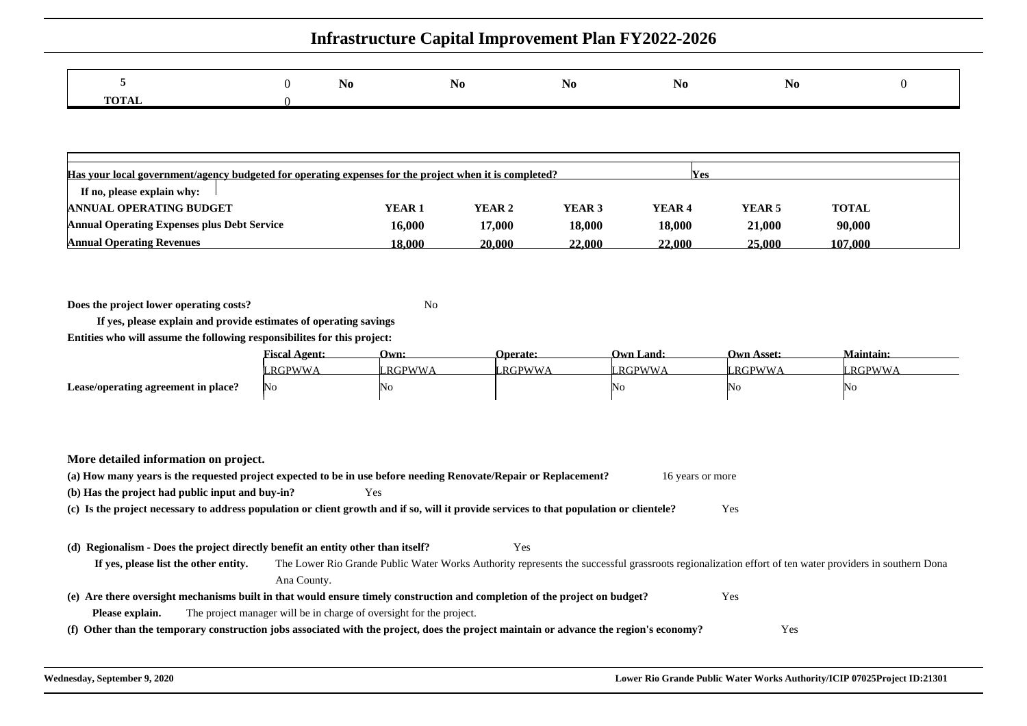|            |  | NO | NO |  |  |
|------------|--|----|----|--|--|
| — <u>—</u> |  |    |    |  |  |

| Has your local government/agency budgeted for operating expenses for the project when it is completed?<br><b>Nes</b> |         |        |                   |        |                   |              |  |  |  |  |
|----------------------------------------------------------------------------------------------------------------------|---------|--------|-------------------|--------|-------------------|--------------|--|--|--|--|
| If no, please explain why:                                                                                           |         |        |                   |        |                   |              |  |  |  |  |
| <b>ANNUAL OPERATING BUDGET</b>                                                                                       | YEAR 1  | YEAR 2 | YEAR <sub>3</sub> | YEAR 4 | YEAR <sub>5</sub> | <b>TOTAL</b> |  |  |  |  |
| <b>Annual Operating Expenses plus Debt Service</b>                                                                   | 16.000  | 17.000 | 18.000            | 18,000 | 21,000            | 90,000       |  |  |  |  |
| <b>Annual Operating Revenues</b>                                                                                     | 18.000- | 20.000 | 22.000            | 22.000 | 25.000            | 107.000      |  |  |  |  |

**Does the project lower operating costs?**<sup>2</sup> No

**If yes, please explain and provide estimates of operating savingsEntities who will assume the following responsibilites for this project:**

|                                     | $\blacksquare$<br><u> †iscal Agent:</u> | Own:   | <b>Operate:</b> | Own Land:     | Jwn Asset:     | Maintain:    |
|-------------------------------------|-----------------------------------------|--------|-----------------|---------------|----------------|--------------|
|                                     | RGPWWA                                  | RGPWWA | RGPWWA          | <b>RGPWWA</b> | $RGPWW \wedge$ | <b>RGPWW</b> |
| Lease/operating agreement in place? | No                                      | 'NG    |                 | ΙNΟ           | ו רו<br>.      |              |

**More detailed information on project.**

|                                                                                  | (a) How many years is the requested project expected to be in use before needing Renovate/Repair or Replacement?                                      | 16 years or more |  |
|----------------------------------------------------------------------------------|-------------------------------------------------------------------------------------------------------------------------------------------------------|------------------|--|
| (b) Has the project had public input and buy-in?                                 | Yes                                                                                                                                                   |                  |  |
|                                                                                  | (c) Is the project necessary to address population or client growth and if so, will it provide services to that population or clientele?              | Yes              |  |
|                                                                                  |                                                                                                                                                       |                  |  |
| (d) Regionalism - Does the project directly benefit an entity other than itself? | Yes                                                                                                                                                   |                  |  |
| If yes, please list the other entity.                                            | The Lower Rio Grande Public Water Works Authority represents the successful grassroots regionalization effort of ten water providers in southern Dona |                  |  |
|                                                                                  | Ana County.                                                                                                                                           |                  |  |
|                                                                                  | (e) Are there oversight mechanisms built in that would ensure timely construction and completion of the project on budget?                            | Yes              |  |
| Please explain.                                                                  | The project manager will be in charge of oversight for the project.                                                                                   |                  |  |
|                                                                                  | (f) Other than the temporary construction jobs associated with the project, does the project maintain or advance the region's economy?                | Yes              |  |
|                                                                                  |                                                                                                                                                       |                  |  |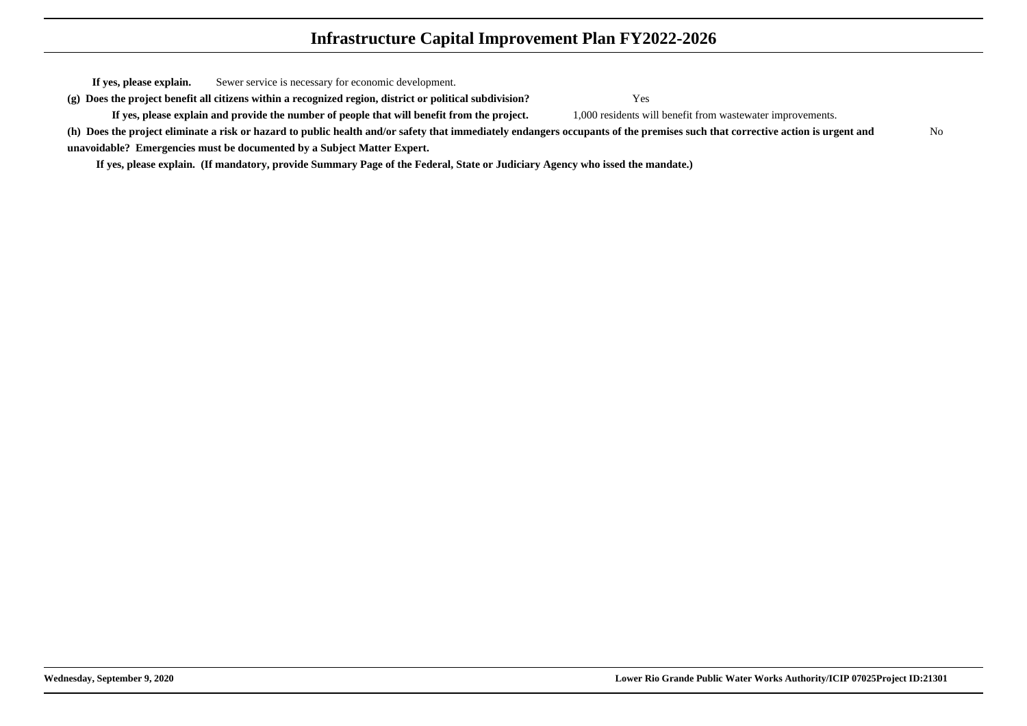**If yes, please explain.**Sewer service is necessary for economic development.

**(g) Does the project benefit all citizens within a recognized region, district or political subdivision?**

**If yes, please explain and provide the number of people that will benefit from the project.**

 Yes 1,000 residents will benefit from wastewater improvements.

**(h) Does the project eliminate a risk or hazard to public health and/or safety that immediately endangers occupants of the premises such that corrective action is urgent andunavoidable? Emergencies must be documented by a Subject Matter Expert.**No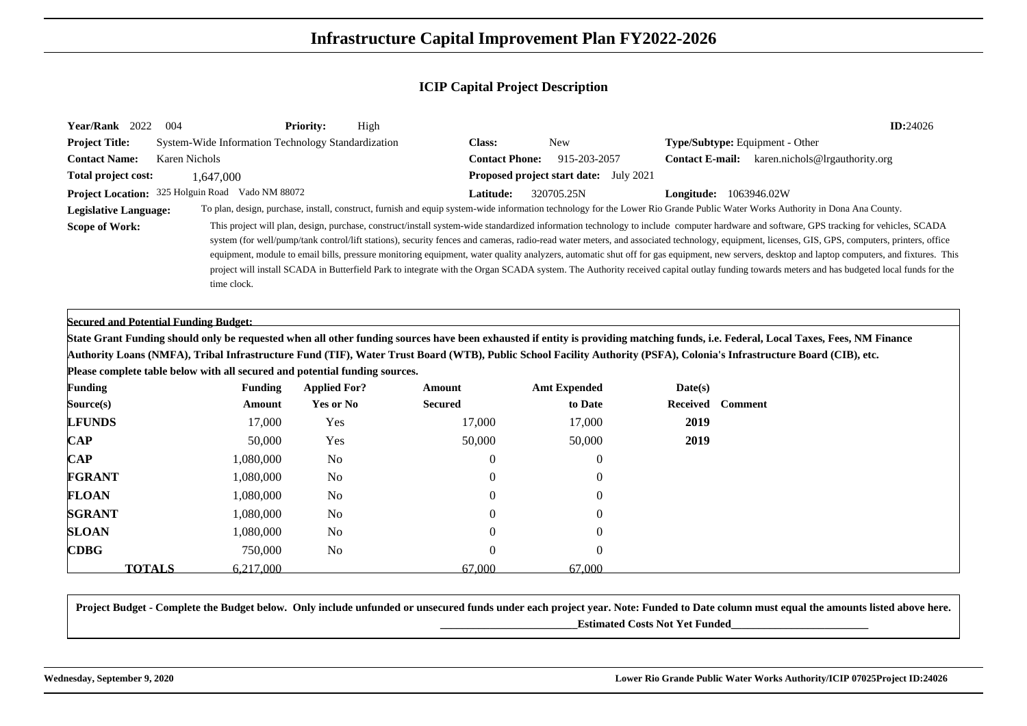| Year/Rank 2022<br>-004                       |                                                                             | <b>Priority:</b><br>High         |                          |                                               |                     | ID:24026                                                                                                                                                                                                                                                                                                                                                                                                                                                                                                                                                                                                                                                                                                                                                                                 |
|----------------------------------------------|-----------------------------------------------------------------------------|----------------------------------|--------------------------|-----------------------------------------------|---------------------|------------------------------------------------------------------------------------------------------------------------------------------------------------------------------------------------------------------------------------------------------------------------------------------------------------------------------------------------------------------------------------------------------------------------------------------------------------------------------------------------------------------------------------------------------------------------------------------------------------------------------------------------------------------------------------------------------------------------------------------------------------------------------------------|
| <b>Project Title:</b>                        | System-Wide Information Technology Standardization                          |                                  | <b>Class:</b>            | <b>New</b>                                    |                     | Type/Subtype: Equipment - Other                                                                                                                                                                                                                                                                                                                                                                                                                                                                                                                                                                                                                                                                                                                                                          |
| <b>Contact Name:</b>                         | <b>Karen Nichols</b>                                                        |                                  | <b>Contact Phone:</b>    | 915-203-2057                                  |                     | Contact E-mail: karen.nichols@lrgauthority.org                                                                                                                                                                                                                                                                                                                                                                                                                                                                                                                                                                                                                                                                                                                                           |
| Total project cost:                          | 1,647,000                                                                   |                                  |                          | <b>Proposed project start date:</b> July 2021 |                     |                                                                                                                                                                                                                                                                                                                                                                                                                                                                                                                                                                                                                                                                                                                                                                                          |
|                                              | Project Location: 325 Holguin Road Vado NM 88072                            |                                  | Latitude:                | 320705.25N                                    |                     | <b>Longitude:</b> 1063946.02W                                                                                                                                                                                                                                                                                                                                                                                                                                                                                                                                                                                                                                                                                                                                                            |
| <b>Legislative Language:</b>                 |                                                                             |                                  |                          |                                               |                     | To plan, design, purchase, install, construct, furnish and equip system-wide information technology for the Lower Rio Grande Public Water Works Authority in Dona Ana County.                                                                                                                                                                                                                                                                                                                                                                                                                                                                                                                                                                                                            |
| <b>Scope of Work:</b>                        | time clock.                                                                 |                                  |                          |                                               |                     | This project will plan, design, purchase, construct/install system-wide standardized information technology to include computer hardware and software, GPS tracking for vehicles, SCADA<br>system (for well/pump/tank control/lift stations), security fences and cameras, radio-read water meters, and associated technology, equipment, licenses, GIS, GPS, computers, printers, office<br>equipment, module to email bills, pressure monitoring equipment, water quality analyzers, automatic shut off for gas equipment, new servers, desktop and laptop computers, and fixtures. This<br>project will install SCADA in Butterfield Park to integrate with the Organ SCADA system. The Authority received capital outlay funding towards meters and has budgeted local funds for the |
| <b>Secured and Potential Funding Budget:</b> |                                                                             |                                  |                          |                                               |                     | State Grant Funding should only be requested when all other funding sources have been exhausted if entity is providing matching funds, i.e. Federal, Local Taxes, Fees, NM Finance                                                                                                                                                                                                                                                                                                                                                                                                                                                                                                                                                                                                       |
|                                              |                                                                             |                                  |                          |                                               |                     | Authority Loans (NMFA), Tribal Infrastructure Fund (TIF), Water Trust Board (WTB), Public School Facility Authority (PSFA), Colonia's Infrastructure Board (CIB), etc.                                                                                                                                                                                                                                                                                                                                                                                                                                                                                                                                                                                                                   |
|                                              | Please complete table below with all secured and potential funding sources. |                                  |                          |                                               |                     |                                                                                                                                                                                                                                                                                                                                                                                                                                                                                                                                                                                                                                                                                                                                                                                          |
| <b>Funding</b><br>Source(s)                  | <b>Funding</b><br>Amount                                                    | <b>Applied For?</b><br>Yes or No | Amount<br><b>Secured</b> | <b>Amt Expended</b><br>to Date                | Date(s)<br>Received | <b>Comment</b>                                                                                                                                                                                                                                                                                                                                                                                                                                                                                                                                                                                                                                                                                                                                                                           |
| <b>LFUNDS</b>                                | 17,000                                                                      | Yes                              | 17,000                   | 17,000                                        | 2019                |                                                                                                                                                                                                                                                                                                                                                                                                                                                                                                                                                                                                                                                                                                                                                                                          |
| $\bf CAP$                                    | 50,000                                                                      | Yes                              | 50,000                   | 50,000                                        | 2019                |                                                                                                                                                                                                                                                                                                                                                                                                                                                                                                                                                                                                                                                                                                                                                                                          |
| <b>CAP</b>                                   | 1,080,000                                                                   | N <sub>0</sub>                   | 0                        | $\theta$                                      |                     |                                                                                                                                                                                                                                                                                                                                                                                                                                                                                                                                                                                                                                                                                                                                                                                          |
| <b>FGRANT</b>                                |                                                                             | N <sub>0</sub>                   |                          | 0                                             |                     |                                                                                                                                                                                                                                                                                                                                                                                                                                                                                                                                                                                                                                                                                                                                                                                          |
|                                              | 1,080,000<br>1,080,000                                                      | N <sub>o</sub>                   |                          |                                               |                     |                                                                                                                                                                                                                                                                                                                                                                                                                                                                                                                                                                                                                                                                                                                                                                                          |
| <b>FLOAN</b>                                 |                                                                             |                                  |                          | 0                                             |                     |                                                                                                                                                                                                                                                                                                                                                                                                                                                                                                                                                                                                                                                                                                                                                                                          |
|                                              |                                                                             |                                  |                          |                                               |                     |                                                                                                                                                                                                                                                                                                                                                                                                                                                                                                                                                                                                                                                                                                                                                                                          |
| <b>SGRANT</b>                                | 1,080,000                                                                   | N <sub>0</sub>                   |                          | $\bigcap$                                     |                     |                                                                                                                                                                                                                                                                                                                                                                                                                                                                                                                                                                                                                                                                                                                                                                                          |
| <b>SLOAN</b><br><b>CDBG</b>                  | 1,080,000<br>750,000                                                        | No<br>N <sub>0</sub>             | $\theta$<br>0            | $\left($<br>0                                 |                     |                                                                                                                                                                                                                                                                                                                                                                                                                                                                                                                                                                                                                                                                                                                                                                                          |

**Project Budget - Complete the Budget below. Only include unfunded or unsecured funds under each project year. Note: Funded to Date column must equal the amounts listed above here.\_\_\_\_\_\_\_\_\_\_\_\_\_\_\_\_\_\_\_\_\_\_\_\_\_Estimated Costs Not Yet Funded\_\_\_\_\_\_\_\_\_\_\_\_\_\_\_\_\_\_\_\_\_\_\_\_\_**

67.000

**S** 6,217,000 67,000 67,000 67,000

**TOTALS**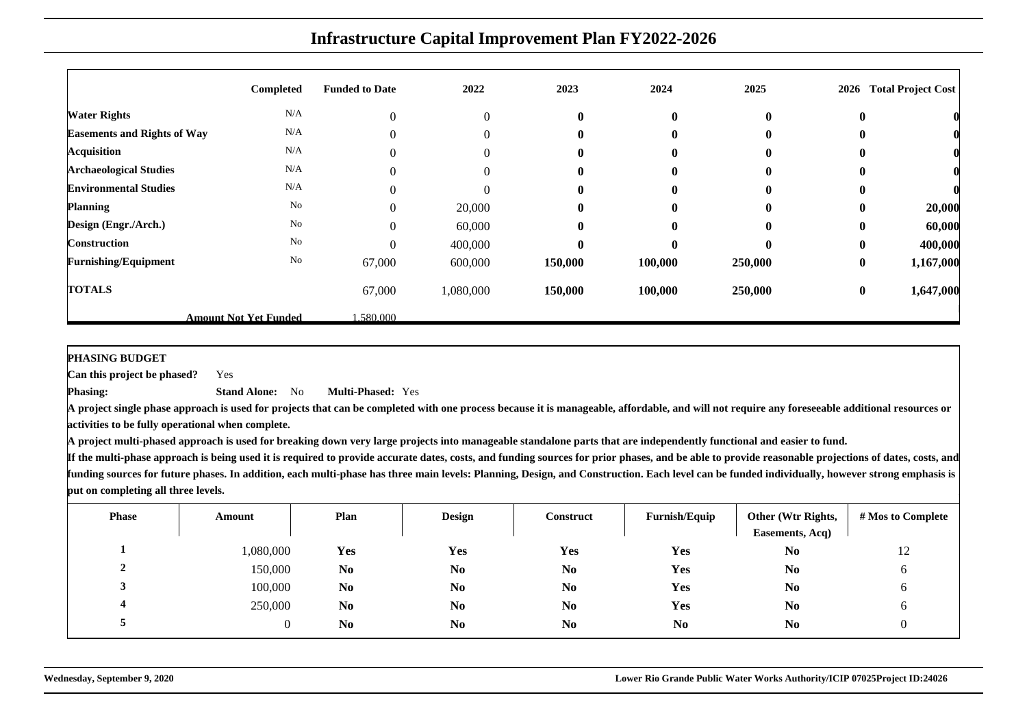|                                    | Completed                    | <b>Funded to Date</b> | 2022             | 2023         | 2024         | 2025     | 2026     | <b>Total Project Cost</b> |
|------------------------------------|------------------------------|-----------------------|------------------|--------------|--------------|----------|----------|---------------------------|
|                                    |                              |                       |                  |              |              |          |          |                           |
| <b>Water Rights</b>                | N/A                          | $\mathbf{0}$          | $\boldsymbol{0}$ | $\bf{0}$     | $\bf{0}$     | $\bf{0}$ | $\bf{0}$ |                           |
| <b>Easements and Rights of Way</b> | N/A                          | $\Omega$              | $\Omega$         | $\mathbf{0}$ | $\mathbf{0}$ | $\bf{0}$ | 0        |                           |
| <b>Acquisition</b>                 | N/A                          | $\theta$              | $\mathbf{0}$     | $\bf{0}$     | $\mathbf{0}$ | $\bf{0}$ | 0        |                           |
| <b>Archaeological Studies</b>      | N/A                          | $\theta$              | $\Omega$         | $\mathbf{0}$ | $\mathbf{0}$ | $\bf{0}$ | 0        |                           |
| <b>Environmental Studies</b>       | N/A                          | $\theta$              | $\Omega$         | $\bf{0}$     | $\mathbf{0}$ | $\bf{0}$ | $\bf{0}$ |                           |
| <b>Planning</b>                    | No                           | $\theta$              | 20,000           | $\mathbf{0}$ | $\mathbf{0}$ | $\bf{0}$ | $\bf{0}$ | 20,000                    |
| Design (Engr./Arch.)               | No                           | $\Omega$              | 60,000           | $\mathbf{0}$ | $\mathbf{0}$ | $\bf{0}$ | $\bf{0}$ | 60,000                    |
| <b>Construction</b>                | No                           | $\bigcap$             | 400,000          | $\mathbf{0}$ | $\mathbf{0}$ | $\bf{0}$ | $\bf{0}$ | 400,000                   |
| <b>Furnishing/Equipment</b>        | No                           | 67,000                | 600,000          | 150,000      | 100,000      | 250,000  | $\bf{0}$ | 1,167,000                 |
| <b>TOTALS</b>                      |                              | 67,000                | 1,080,000        | 150,000      | 100,000      | 250,000  | $\bf{0}$ | 1,647,000                 |
|                                    | <b>Amount Not Yet Funded</b> | .580.000              |                  |              |              |          |          |                           |

**PHASING BUDGET**

 **Can this project be phased?**Yes

**Phasing:**

 **Stand Alone:** No**Multi-Phased:** Yes

**A project single phase approach is used for projects that can be completed with one process because it is manageable, affordable, and will not require any foreseeable additional resources oractivities to be fully operational when complete.**

**A project multi-phased approach is used for breaking down very large projects into manageable standalone parts that are independently functional and easier to fund.**

| <b>Phase</b> | Amount    | Plan           | <b>Design</b>  | Construct      | <b>Furnish/Equip</b> | Other (Wtr Rights,<br>Easements, Acq) | # Mos to Complete |
|--------------|-----------|----------------|----------------|----------------|----------------------|---------------------------------------|-------------------|
|              | 1,080,000 | Yes            | Yes            | Yes            | Yes                  | N <sub>0</sub>                        | 12                |
|              | 150,000   | N <sub>0</sub> | N <sub>0</sub> | N <sub>0</sub> | Yes                  | N <sub>0</sub>                        | O                 |
|              | 100,000   | N <sub>0</sub> | N <sub>0</sub> | N <sub>0</sub> | <b>Yes</b>           | N <sub>0</sub>                        | O                 |
|              | 250,000   | N <sub>0</sub> | N <sub>0</sub> | N <sub>0</sub> | Yes                  | N <sub>0</sub>                        | O                 |
|              |           | No             | N <sub>0</sub> | N <sub>0</sub> | N <sub>0</sub>       | N <sub>0</sub>                        | 0                 |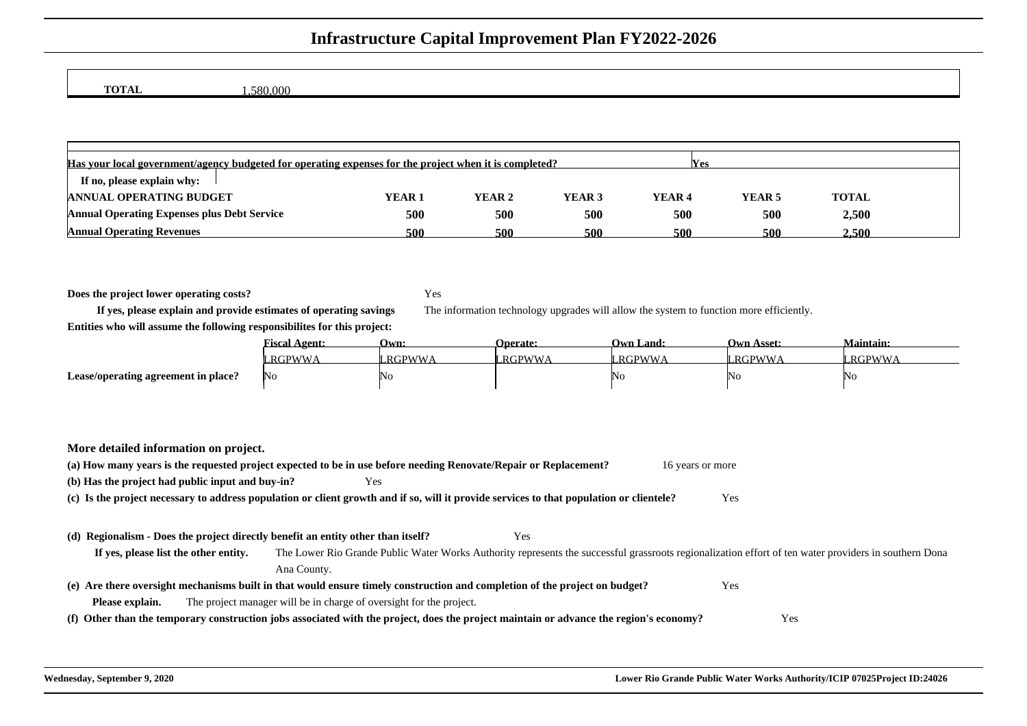**TOTAL**

1,580,000

| Has your local government/agency budgeted for operating expenses for the project when it is completed?<br><b>IYes</b> |                   |        |        |                   |        |              |  |  |  |  |
|-----------------------------------------------------------------------------------------------------------------------|-------------------|--------|--------|-------------------|--------|--------------|--|--|--|--|
| If no, please explain why:                                                                                            |                   |        |        |                   |        |              |  |  |  |  |
| <b>ANNUAL OPERATING BUDGET</b>                                                                                        | YEAR <sub>1</sub> | YEAR 2 | YEAR 3 | YEAR <sub>4</sub> | YEAR 5 | <b>TOTAL</b> |  |  |  |  |
| <b>Annual Operating Expenses plus Debt Service</b>                                                                    | 500               | 500    | 500    | 500               | 500    | 2,500        |  |  |  |  |
| <b>Annual Operating Revenues</b>                                                                                      | 500               | 500    | 500    | 500               | 500    | 2.500        |  |  |  |  |

**Does the project lower operating costs?**

Yes

The information technology upgrades will allow the system to function more efficiently.

**If yes, please explain and provide estimates of operating savingsEntities who will assume the following responsibilites for this project:**

|                                     | ≖<br><u> 'iscal Agent:</u> | Own:     | <b>Operate:</b> | l ) wn<br>Land: | Own Asset: | Maintain:    |
|-------------------------------------|----------------------------|----------|-----------------|-----------------|------------|--------------|
|                                     | $RGPWW+$                   | " RGPWWA | <b>RGPWWA</b>   | ™W∤             | RGPWWA     | <b>RGPWW</b> |
| Lease/operating agreement in place? | IN 0                       | NO       |                 | - 33            | NO         | I N U        |

| More detailed information on project.                                                                                                                                                          |                  |
|------------------------------------------------------------------------------------------------------------------------------------------------------------------------------------------------|------------------|
| (a) How many years is the requested project expected to be in use before needing Renovate/Repair or Replacement?                                                                               | 16 years or more |
| (b) Has the project had public input and buy-in?<br>Yes                                                                                                                                        |                  |
| (c) Is the project necessary to address population or client growth and if so, will it provide services to that population or clientele?                                                       | Yes              |
|                                                                                                                                                                                                |                  |
| (d) Regionalism - Does the project directly benefit an entity other than itself?<br>Yes                                                                                                        |                  |
| The Lower Rio Grande Public Water Works Authority represents the successful grassroots regionalization effort of ten water providers in southern Dona<br>If yes, please list the other entity. |                  |
| Ana County.                                                                                                                                                                                    |                  |
| (e) Are there oversight mechanisms built in that would ensure timely construction and completion of the project on budget?                                                                     | Yes              |
| The project manager will be in charge of oversight for the project.<br>Please explain.                                                                                                         |                  |
| (f) Other than the temporary construction jobs associated with the project, does the project maintain or advance the region's economy?                                                         | Yes              |
|                                                                                                                                                                                                |                  |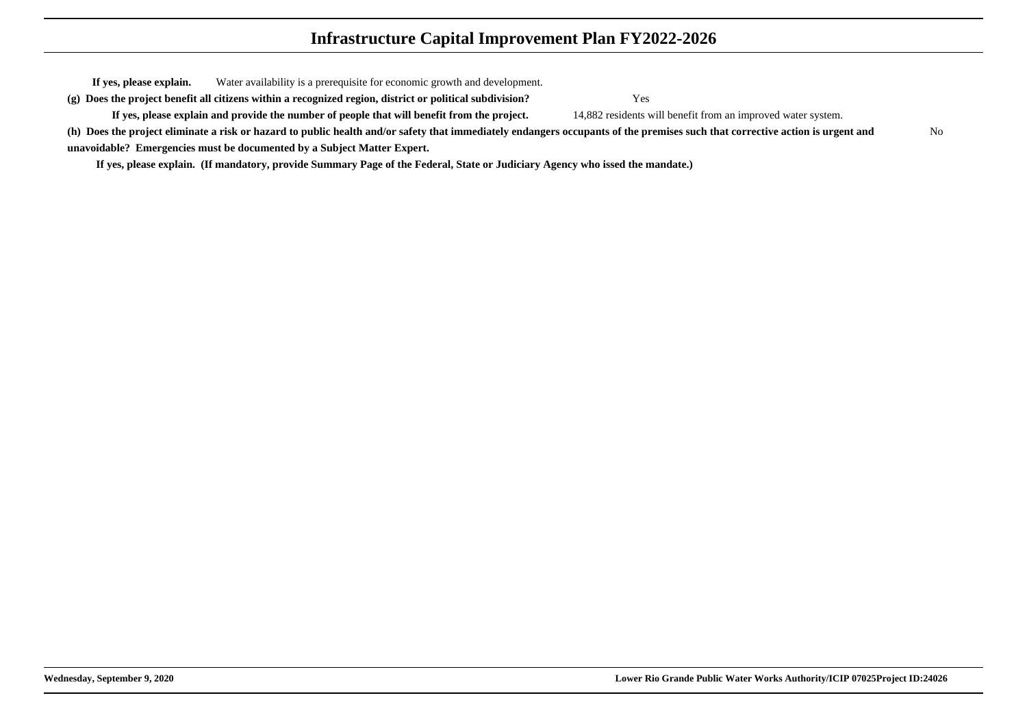**If yes, please explain.** Water availability is a prerequisite for economic growth and development. **(g) Does the project benefit all citizens within a recognized region, district or political subdivision?**

**If yes, please explain and provide the number of people that will benefit from the project.**

Yes

14,882 residents will benefit from an improved water system.

**(h) Does the project eliminate a risk or hazard to public health and/or safety that immediately endangers occupants of the premises such that corrective action is urgent andunavoidable? Emergencies must be documented by a Subject Matter Expert.**No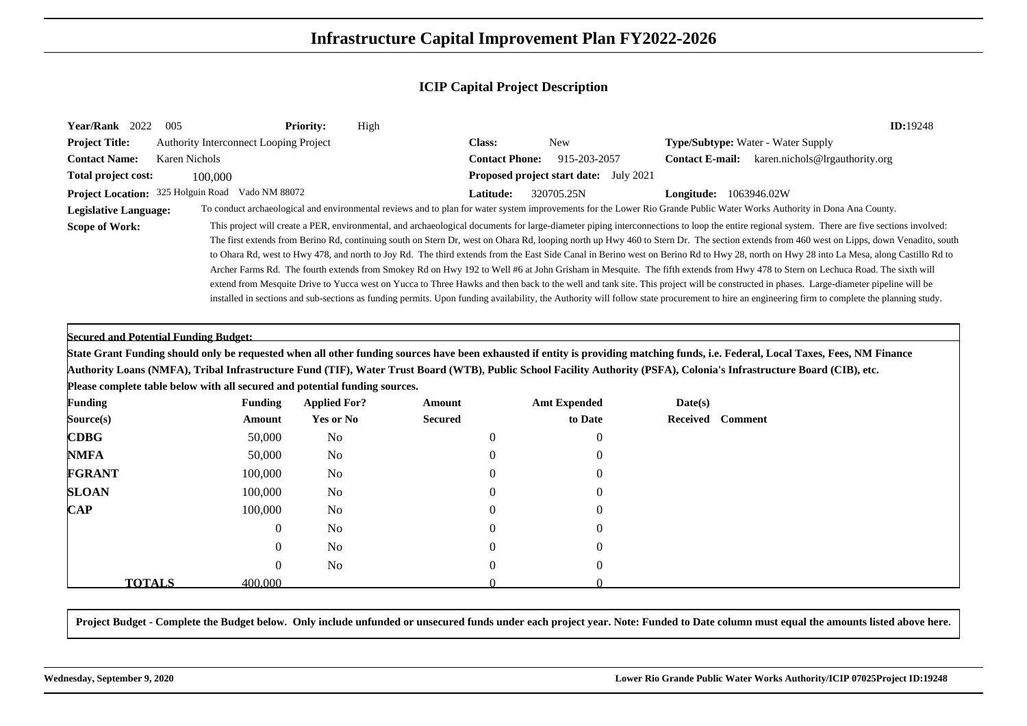| Year/Rank 2022<br>005                                                       |                                               | <b>Priority:</b><br>High |                       |                                        |                               | <b>ID:19248</b>                                                                                                                                                                                                                                                                                                                                                                                                                                                                                                                                                                                                                                                                                                                                                                                                                                                                                                                                                                                                                                                                                                                                                |
|-----------------------------------------------------------------------------|-----------------------------------------------|--------------------------|-----------------------|----------------------------------------|-------------------------------|----------------------------------------------------------------------------------------------------------------------------------------------------------------------------------------------------------------------------------------------------------------------------------------------------------------------------------------------------------------------------------------------------------------------------------------------------------------------------------------------------------------------------------------------------------------------------------------------------------------------------------------------------------------------------------------------------------------------------------------------------------------------------------------------------------------------------------------------------------------------------------------------------------------------------------------------------------------------------------------------------------------------------------------------------------------------------------------------------------------------------------------------------------------|
| <b>Project Title:</b>                                                       | <b>Authority Interconnect Looping Project</b> |                          | Class:                | <b>New</b>                             |                               | <b>Type/Subtype:</b> Water - Water Supply                                                                                                                                                                                                                                                                                                                                                                                                                                                                                                                                                                                                                                                                                                                                                                                                                                                                                                                                                                                                                                                                                                                      |
| <b>Contact Name:</b><br><b>Karen Nichols</b>                                |                                               |                          | <b>Contact Phone:</b> | 915-203-2057                           |                               | Contact E-mail: karen.nichols@lrgauthority.org                                                                                                                                                                                                                                                                                                                                                                                                                                                                                                                                                                                                                                                                                                                                                                                                                                                                                                                                                                                                                                                                                                                 |
| Total project cost:                                                         | 100,000                                       |                          |                       | Proposed project start date: July 2021 |                               |                                                                                                                                                                                                                                                                                                                                                                                                                                                                                                                                                                                                                                                                                                                                                                                                                                                                                                                                                                                                                                                                                                                                                                |
| Project Location: 325 Holguin Road Vado NM 88072                            |                                               |                          | Latitude:             | 320705.25N                             | <b>Longitude:</b> 1063946.02W |                                                                                                                                                                                                                                                                                                                                                                                                                                                                                                                                                                                                                                                                                                                                                                                                                                                                                                                                                                                                                                                                                                                                                                |
| <b>Legislative Language:</b>                                                |                                               |                          |                       |                                        |                               | To conduct archaeological and environmental reviews and to plan for water system improvements for the Lower Rio Grande Public Water Works Authority in Dona Ana County.                                                                                                                                                                                                                                                                                                                                                                                                                                                                                                                                                                                                                                                                                                                                                                                                                                                                                                                                                                                        |
| <b>Scope of Work:</b>                                                       |                                               |                          |                       |                                        |                               | This project will create a PER, environmental, and archaeological documents for large-diameter piping interconnections to loop the entire regional system. There are five sections involved:<br>The first extends from Berino Rd, continuing south on Stern Dr, west on Ohara Rd, looping north up Hwy 460 to Stern Dr. The section extends from 460 west on Lipps, down Venadito, south<br>to Ohara Rd, west to Hwy 478, and north to Joy Rd. The third extends from the East Side Canal in Berino west on Berino Rd to Hwy 28, north on Hwy 28 into La Mesa, along Castillo Rd to<br>Archer Farms Rd. The fourth extends from Smokey Rd on Hwy 192 to Well #6 at John Grisham in Mesquite. The fifth extends from Hwy 478 to Stern on Lechuca Road. The sixth will<br>extend from Mesquite Drive to Yucca west on Yucca to Three Hawks and then back to the well and tank site. This project will be constructed in phases. Large-diameter pipeline will be<br>installed in sections and sub-sections as funding permits. Upon funding availability, the Authority will follow state procurement to hire an engineering firm to complete the planning study. |
| <b>Secured and Potential Funding Budget:</b>                                |                                               |                          |                       |                                        |                               |                                                                                                                                                                                                                                                                                                                                                                                                                                                                                                                                                                                                                                                                                                                                                                                                                                                                                                                                                                                                                                                                                                                                                                |
|                                                                             |                                               |                          |                       |                                        |                               | State Grant Funding should only be requested when all other funding sources have been exhausted if entity is providing matching funds, i.e. Federal, Local Taxes, Fees, NM Finance                                                                                                                                                                                                                                                                                                                                                                                                                                                                                                                                                                                                                                                                                                                                                                                                                                                                                                                                                                             |
|                                                                             |                                               |                          |                       |                                        |                               | Authority Loans (NMFA), Tribal Infrastructure Fund (TIF), Water Trust Board (WTB), Public School Facility Authority (PSFA), Colonia's Infrastructure Board (CIB), etc.                                                                                                                                                                                                                                                                                                                                                                                                                                                                                                                                                                                                                                                                                                                                                                                                                                                                                                                                                                                         |
| Please complete table below with all secured and potential funding sources. |                                               |                          |                       |                                        |                               |                                                                                                                                                                                                                                                                                                                                                                                                                                                                                                                                                                                                                                                                                                                                                                                                                                                                                                                                                                                                                                                                                                                                                                |
| <b>Funding</b>                                                              | <b>Funding</b>                                | <b>Applied For?</b>      | Amount                | <b>Amt Expended</b>                    | Date(s)                       |                                                                                                                                                                                                                                                                                                                                                                                                                                                                                                                                                                                                                                                                                                                                                                                                                                                                                                                                                                                                                                                                                                                                                                |
| Source(s)                                                                   | Amount                                        | Yes or No                | <b>Secured</b>        | to Date                                | Received<br><b>Comment</b>    |                                                                                                                                                                                                                                                                                                                                                                                                                                                                                                                                                                                                                                                                                                                                                                                                                                                                                                                                                                                                                                                                                                                                                                |
| <b>CDBG</b>                                                                 | 50,000                                        | N <sub>0</sub>           | $\Omega$              | $\Omega$                               |                               |                                                                                                                                                                                                                                                                                                                                                                                                                                                                                                                                                                                                                                                                                                                                                                                                                                                                                                                                                                                                                                                                                                                                                                |
| <b>NMFA</b>                                                                 | 50,000                                        | N <sub>0</sub>           |                       | $\theta$                               |                               |                                                                                                                                                                                                                                                                                                                                                                                                                                                                                                                                                                                                                                                                                                                                                                                                                                                                                                                                                                                                                                                                                                                                                                |
| <b>FGRANT</b>                                                               | 100,000                                       | N <sub>0</sub>           |                       | $\theta$                               |                               |                                                                                                                                                                                                                                                                                                                                                                                                                                                                                                                                                                                                                                                                                                                                                                                                                                                                                                                                                                                                                                                                                                                                                                |
| <b>SLOAN</b>                                                                | 100,000                                       | N <sub>0</sub>           |                       |                                        |                               |                                                                                                                                                                                                                                                                                                                                                                                                                                                                                                                                                                                                                                                                                                                                                                                                                                                                                                                                                                                                                                                                                                                                                                |
| $\mathbf{CAP}$                                                              | 100,000                                       | No                       |                       |                                        |                               |                                                                                                                                                                                                                                                                                                                                                                                                                                                                                                                                                                                                                                                                                                                                                                                                                                                                                                                                                                                                                                                                                                                                                                |
|                                                                             | $\Omega$                                      | N <sub>0</sub>           |                       |                                        |                               |                                                                                                                                                                                                                                                                                                                                                                                                                                                                                                                                                                                                                                                                                                                                                                                                                                                                                                                                                                                                                                                                                                                                                                |
|                                                                             | 0                                             | N <sub>0</sub>           | 0                     |                                        |                               |                                                                                                                                                                                                                                                                                                                                                                                                                                                                                                                                                                                                                                                                                                                                                                                                                                                                                                                                                                                                                                                                                                                                                                |
|                                                                             | $\left($                                      | N <sub>0</sub>           | $\Omega$              | $\theta$                               |                               |                                                                                                                                                                                                                                                                                                                                                                                                                                                                                                                                                                                                                                                                                                                                                                                                                                                                                                                                                                                                                                                                                                                                                                |
| <b>TOTALS</b>                                                               | 400.000                                       |                          |                       |                                        |                               |                                                                                                                                                                                                                                                                                                                                                                                                                                                                                                                                                                                                                                                                                                                                                                                                                                                                                                                                                                                                                                                                                                                                                                |

**Project Budget - Complete the Budget below. Only include unfunded or unsecured funds under each project year. Note: Funded to Date column must equal the amounts listed above here.**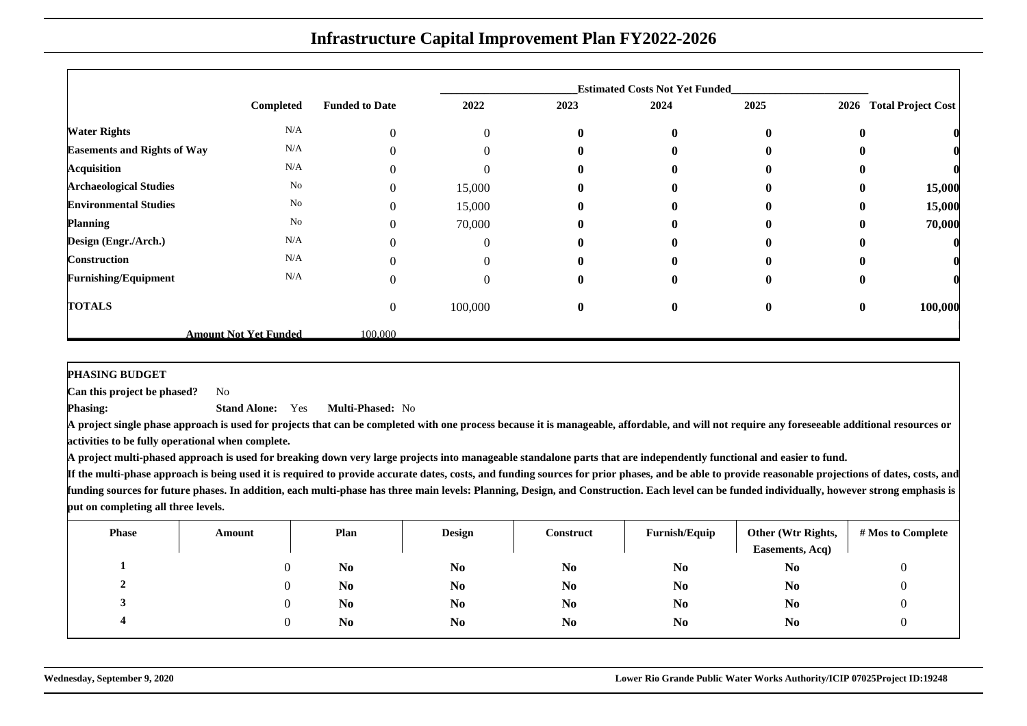|                                    |                              |                       |                |              | <b>Estimated Costs Not Yet Funded</b> |              |          |                           |
|------------------------------------|------------------------------|-----------------------|----------------|--------------|---------------------------------------|--------------|----------|---------------------------|
|                                    | Completed                    | <b>Funded to Date</b> | 2022           | 2023         | 2024                                  | 2025         | 2026     | <b>Total Project Cost</b> |
| <b>Water Rights</b>                | N/A                          | $\boldsymbol{0}$      | $\overline{0}$ | $\bf{0}$     | $\mathbf{0}$                          | $\bf{0}$     | $\bf{0}$ |                           |
| <b>Easements and Rights of Way</b> | N/A                          | $\Omega$              |                | $\mathbf{0}$ | $\mathbf{0}$                          | 0            |          |                           |
| <b>Acquisition</b>                 | N/A                          | $\mathbf{0}$          |                | $\bf{0}$     | $\bf{0}$                              | $\bf{0}$     | 0        |                           |
| <b>Archaeological Studies</b>      | No                           | $\mathbf{0}$          | 15,000         | $\mathbf{0}$ | $\mathbf{0}$                          | $\bf{0}$     | $\bf{0}$ | 15,000                    |
| <b>Environmental Studies</b>       | No                           | $\mathbf{0}$          | 15,000         | $\bf{0}$     | $\mathbf{0}$                          | $\mathbf{0}$ | $\bf{0}$ | 15,000                    |
| <b>Planning</b>                    | No                           | $\Omega$              | 70,000         | $\mathbf{0}$ | $\mathbf{0}$                          | $\mathbf{0}$ | $\bf{0}$ | 70,000                    |
| Design (Engr./Arch.)               | N/A                          | $\Omega$              |                | $\mathbf{0}$ | 0                                     | 0            | $\bf{0}$ |                           |
| Construction                       | N/A                          | $\Omega$              | $\Omega$       | $\mathbf{0}$ | $\mathbf{0}$                          | 0            |          |                           |
| <b>Furnishing/Equipment</b>        | N/A                          | $\mathbf{0}$          | $\Omega$       | $\bf{0}$     | $\mathbf{0}$                          | $\bf{0}$     | $\bf{0}$ |                           |
| <b>TOTALS</b>                      |                              | $\mathbf{0}$          | 100,000        | $\bf{0}$     | $\mathbf{0}$                          | $\bf{0}$     | $\bf{0}$ | 100,000                   |
|                                    | <b>Amount Not Yet Funded</b> | 100,000               |                |              |                                       |              |          |                           |

**PHASING BUDGET**

 **Can this project be phased?**No

**Phasing: Stand Alone:** Yes**Multi-Phased:** No

 **A project single phase approach is used for projects that can be completed with one process because it is manageable, affordable, and will not require any foreseeable additional resources oractivities to be fully operational when complete.**

**A project multi-phased approach is used for breaking down very large projects into manageable standalone parts that are independently functional and easier to fund.**

| <b>Phase</b> | Amount | Plan           | <b>Design</b>  | Construct      | Furnish/Equip  | Other (Wtr Rights,<br>Easements, Acq) | # Mos to Complete |
|--------------|--------|----------------|----------------|----------------|----------------|---------------------------------------|-------------------|
|              |        | N <sub>0</sub> | N <sub>0</sub> | N <sub>0</sub> | N <sub>0</sub> | N <sub>0</sub>                        | U                 |
| ▵            |        | N <sub>0</sub> | N <sub>o</sub> | N <sub>0</sub> | N <sub>0</sub> | N <sub>0</sub>                        |                   |
|              |        | N <sub>0</sub> | N <sub>0</sub> | N <sub>0</sub> | N <sub>0</sub> | N <sub>0</sub>                        |                   |
|              |        | N <sub>0</sub> | N <sub>0</sub> | N <sub>0</sub> | N <sub>0</sub> | N <sub>0</sub>                        |                   |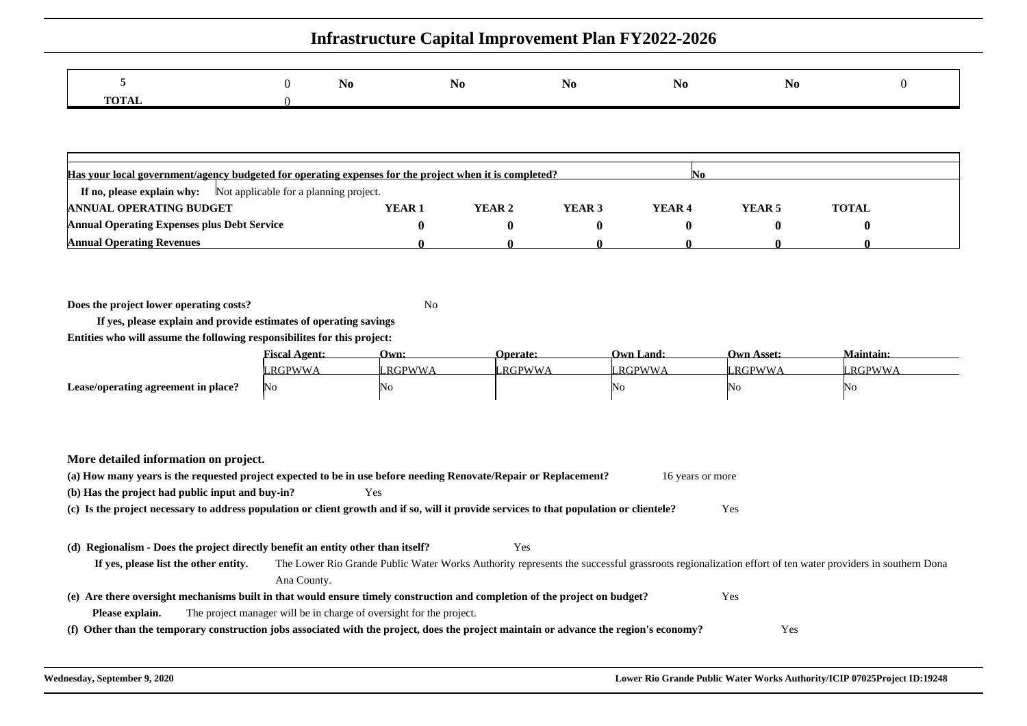|                  | 1NO. | N <sub>0</sub> | <b>INO</b> | <b>TAO</b> | N <sub>0</sub> |  |
|------------------|------|----------------|------------|------------|----------------|--|
| <b>TOTA</b><br>. |      |                |            |            |                |  |

| Has your local government/agency budgeted for operating expenses for the project when it is completed?<br>IN 0 |        |        |                   |                   |        |              |  |  |
|----------------------------------------------------------------------------------------------------------------|--------|--------|-------------------|-------------------|--------|--------------|--|--|
| <b>If no, please explain why:</b> Not applicable for a planning project.                                       |        |        |                   |                   |        |              |  |  |
| <b>ANNUAL OPERATING BUDGET</b>                                                                                 | YEAR 1 | YEAR 2 | YEAR <sub>3</sub> | YEAR <sub>4</sub> | YEAR 5 | <b>TOTAL</b> |  |  |
| <b>Annual Operating Expenses plus Debt Service</b>                                                             |        |        |                   |                   |        |              |  |  |
| <b>Annual Operating Revenues</b>                                                                               |        |        |                   |                   |        |              |  |  |

**Does the project lower operating costs?**<sup>2</sup> No

**If yes, please explain and provide estimates of operating savingsEntities who will assume the following responsibilites for this project:**

|                                     | $\blacksquare$<br><u> "iscal Agent:</u> | Own:     | <b>Operate:</b> | Own Land:     | <b>Own Asset:</b> | <b>Maintain:</b> |
|-------------------------------------|-----------------------------------------|----------|-----------------|---------------|-------------------|------------------|
|                                     | <b>RGPWWA</b>                           | " RGPWWA | <b>RGPWWA</b>   | <b>RGPWWA</b> | <b>RGPWWA</b>     | RGPWW            |
| Lease/operating agreement in place? | No.                                     | 'NC      |                 | 'No           | 'No               | 'NO              |

**More detailed information on project.**

|                                                                                  | (a) How many years is the requested project expected to be in use before needing Renovate/Repair or Replacement?                                      | 16 years or more |  |
|----------------------------------------------------------------------------------|-------------------------------------------------------------------------------------------------------------------------------------------------------|------------------|--|
| (b) Has the project had public input and buy-in?                                 | Yes                                                                                                                                                   |                  |  |
|                                                                                  | (c) Is the project necessary to address population or client growth and if so, will it provide services to that population or clientele?              | <b>Yes</b>       |  |
|                                                                                  |                                                                                                                                                       |                  |  |
| (d) Regionalism - Does the project directly benefit an entity other than itself? | Yes                                                                                                                                                   |                  |  |
| If yes, please list the other entity.                                            | The Lower Rio Grande Public Water Works Authority represents the successful grassroots regionalization effort of ten water providers in southern Dona |                  |  |
|                                                                                  | Ana County.                                                                                                                                           |                  |  |
|                                                                                  | (e) Are there oversight mechanisms built in that would ensure timely construction and completion of the project on budget?                            | Yes              |  |
| Please explain.                                                                  | The project manager will be in charge of oversight for the project.                                                                                   |                  |  |
|                                                                                  | (f) Other than the temporary construction jobs associated with the project, does the project maintain or advance the region's economy?                | Yes              |  |
|                                                                                  |                                                                                                                                                       |                  |  |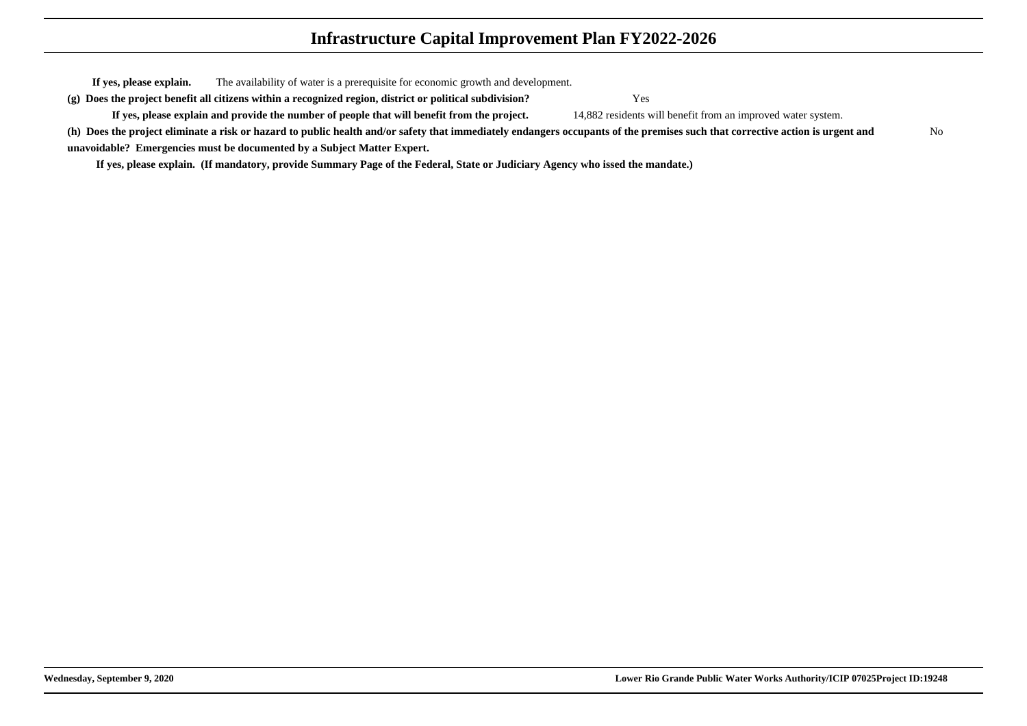**If yes, please explain.** The availability of water is a prerequisite for economic growth and development. **(g) Does the project benefit all citizens within a recognized region, district or political subdivision?**

**If yes, please explain and provide the number of people that will benefit from the project.**

Yes

14,882 residents will benefit from an improved water system.

**(h) Does the project eliminate a risk or hazard to public health and/or safety that immediately endangers occupants of the premises such that corrective action is urgent andunavoidable? Emergencies must be documented by a Subject Matter Expert.**No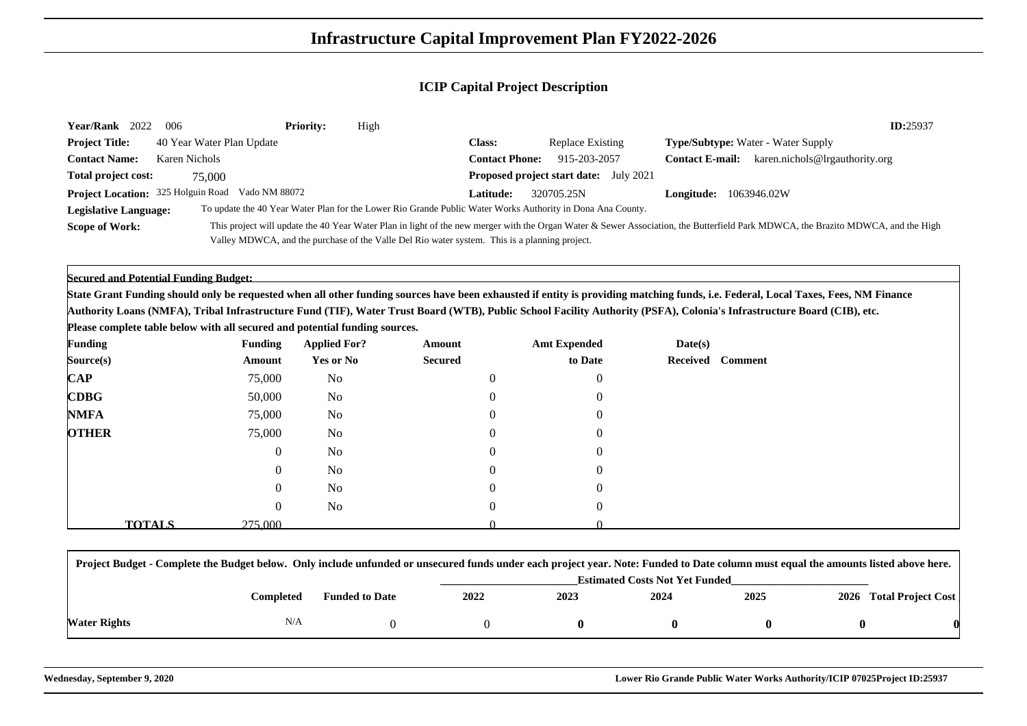| <b>Year/Rank</b><br>2022                  | -006                      | <b>Priority:</b> | High                                                                                          |                       |                                                                                                            | ID:25937                                                                                                                                                                         |  |
|-------------------------------------------|---------------------------|------------------|-----------------------------------------------------------------------------------------------|-----------------------|------------------------------------------------------------------------------------------------------------|----------------------------------------------------------------------------------------------------------------------------------------------------------------------------------|--|
| <b>Project Title:</b>                     | 40 Year Water Plan Update |                  |                                                                                               | <b>Class:</b>         | Replace Existing                                                                                           | <b>Type/Subtype:</b> Water - Water Supply                                                                                                                                        |  |
| <b>Contact Name:</b>                      | Karen Nichols             |                  |                                                                                               | <b>Contact Phone:</b> | 915-203-2057                                                                                               | karen.nichols@lrgauthority.org<br><b>Contact E-mail:</b>                                                                                                                         |  |
| <b>Total project cost:</b>                | 75,000                    |                  |                                                                                               |                       | <b>Proposed project start date:</b> July 2021                                                              |                                                                                                                                                                                  |  |
| <b>Project Location:</b> 325 Holguin Road | Vado NM 88072             |                  |                                                                                               | Latitude:             | 320705.25N                                                                                                 | <b>Longitude:</b> 1063946.02W                                                                                                                                                    |  |
| <b>Legislative Language:</b>              |                           |                  |                                                                                               |                       | To update the 40 Year Water Plan for the Lower Rio Grande Public Water Works Authority in Dona Ana County. |                                                                                                                                                                                  |  |
| <b>Scope of Work:</b>                     |                           |                  |                                                                                               |                       |                                                                                                            | This project will update the 40 Year Water Plan in light of the new merger with the Organ Water & Sewer Association, the Butterfield Park MDWCA, the Brazito MDWCA, and the High |  |
|                                           |                           |                  | Valley MDWCA, and the purchase of the Valle Del Rio water system. This is a planning project. |                       |                                                                                                            |                                                                                                                                                                                  |  |

**Secured and Potential Funding Budget:**

 **State Grant Funding should only be requested when all other funding sources have been exhausted if entity is providing matching funds, i.e. Federal, Local Taxes, Fees, NM FinanceAuthority Loans (NMFA), Tribal Infrastructure Fund (TIF), Water Trust Board (WTB), Public School Facility Authority (PSFA), Colonia's Infrastructure Board (CIB), etc.**

**Please complete table below with all secured and potential funding sources.**

| <b>Funding</b> | <b>Funding</b>           |                | <b>Applied For?</b> | Amount         | <b>Amt Expended</b> | Date(s) |                  |
|----------------|--------------------------|----------------|---------------------|----------------|---------------------|---------|------------------|
| Source(s)      |                          | Amount         | <b>Yes or No</b>    | <b>Secured</b> | to Date             |         | Received Comment |
| $\bf CAP$      |                          | 75,000         | No                  | $\Omega$       | $\overline{0}$      |         |                  |
| <b>CDBG</b>    |                          | 50,000         | No                  |                | $\overline{0}$      |         |                  |
| <b>NMFA</b>    |                          | 75,000         | No                  |                | $\overline{0}$      |         |                  |
| <b>OTHER</b>   |                          | 75,000         | No                  | $\Omega$       | $\theta$            |         |                  |
|                |                          | $\overline{0}$ | No                  |                | $\overline{0}$      |         |                  |
|                |                          | $\bf{0}$       | No                  | $\Omega$       | $\overline{0}$      |         |                  |
|                |                          | $\bf{0}$       | N <sub>o</sub>      |                | $\Omega$            |         |                  |
|                |                          | $\bf{0}$       | N <sub>o</sub>      | $\Omega$       | $\overline{0}$      |         |                  |
|                | <b>TOTALS</b><br>275,000 |                |                     |                |                     |         |                  |

|              | Project Budget - Complete the Budget below. Only include unfunded or unsecured funds under each project year. Note: Funded to Date column must equal the amounts listed above here. |                       |      |                                       |      |      |  |                         |  |
|--------------|-------------------------------------------------------------------------------------------------------------------------------------------------------------------------------------|-----------------------|------|---------------------------------------|------|------|--|-------------------------|--|
|              |                                                                                                                                                                                     |                       |      | <b>Estimated Costs Not Yet Funded</b> |      |      |  |                         |  |
|              | Completed                                                                                                                                                                           | <b>Funded to Date</b> | 2022 | 2023                                  | 2024 | 2025 |  | 2026 Total Project Cost |  |
| Water Rights | N/A                                                                                                                                                                                 |                       |      |                                       |      |      |  |                         |  |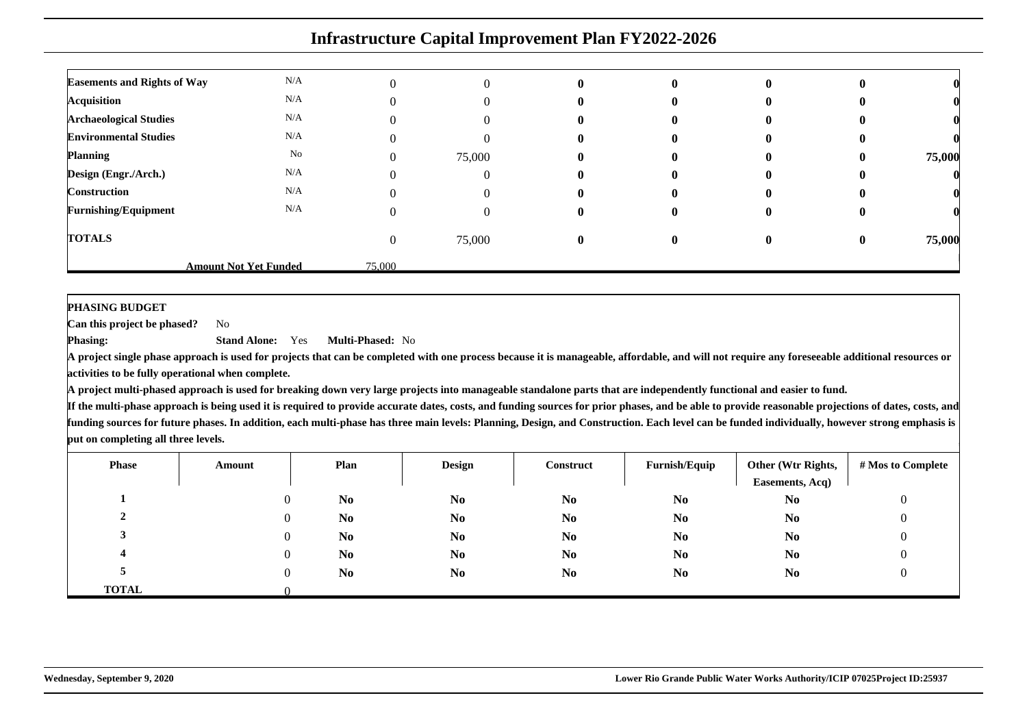| <b>Infrastructure Capital Improvement Plan FY2022-2026</b> |                              |        |          |              |              |              |              |        |  |
|------------------------------------------------------------|------------------------------|--------|----------|--------------|--------------|--------------|--------------|--------|--|
| <b>Easements and Rights of Way</b>                         | N/A                          |        | $\Omega$ | $\mathbf{0}$ | $\mathbf{0}$ | $\mathbf{0}$ |              |        |  |
| <b>Acquisition</b>                                         | N/A                          |        | $\Omega$ | $\mathbf{0}$ | $\mathbf{0}$ | o            | o            |        |  |
| <b>Archaeological Studies</b>                              | N/A                          |        | $\theta$ | o            |              | u            |              |        |  |
| <b>Environmental Studies</b>                               | N/A                          |        | $\left($ |              |              |              | o            |        |  |
| <b>Planning</b>                                            | No                           | 0      | 75,000   | 0            |              | o            | $\mathbf{0}$ | 75,000 |  |
| Design (Engr./Arch.)                                       | N/A                          |        | $\theta$ | $\mathbf{0}$ | $\mathbf{0}$ | $\mathbf{0}$ | 0            |        |  |
| Construction                                               | N/A                          | በ      | $\Omega$ | $\mathbf{0}$ | $\mathbf{0}$ | $\mathbf{0}$ | o            |        |  |
| <b>Furnishing/Equipment</b>                                | N/A                          |        | $\theta$ | 0            | $\mathbf{0}$ | o            | o            |        |  |
| <b>TOTALS</b>                                              |                              | 0      | 75,000   | $\mathbf{0}$ | $\mathbf{0}$ | 0            | $\mathbf{0}$ | 75,000 |  |
|                                                            | <b>Amount Not Yet Funded</b> | 75,000 |          |              |              |              |              |        |  |

#### **PHASING BUDGET**

 **Can this project be phased?**No

**Phasing: Stand Alone:** Yes**Multi-Phased:** No

 **A project single phase approach is used for projects that can be completed with one process because it is manageable, affordable, and will not require any foreseeable additional resources oractivities to be fully operational when complete.**

**A project multi-phased approach is used for breaking down very large projects into manageable standalone parts that are independently functional and easier to fund.**

| <b>Phase</b> | Amount | Plan           | <b>Design</b>  | Construct      | Furnish/Equip  | Other (Wtr Rights,<br>Easements, Acq) | # Mos to Complete |
|--------------|--------|----------------|----------------|----------------|----------------|---------------------------------------|-------------------|
|              |        | N <sub>0</sub> | N <sub>0</sub> | N <sub>0</sub> | N <sub>0</sub> | N <sub>0</sub>                        | U                 |
|              |        | N <sub>0</sub> | N <sub>0</sub> | N <sub>0</sub> | N <sub>0</sub> | N <sub>0</sub>                        |                   |
|              |        | N <sub>0</sub> | N <sub>0</sub> | N <sub>0</sub> | N <sub>0</sub> | N <sub>0</sub>                        |                   |
|              |        | N <sub>0</sub> | N <sub>0</sub> | N <sub>0</sub> | N <sub>0</sub> | N <sub>0</sub>                        |                   |
|              |        | N <sub>0</sub> | N <sub>0</sub> | N <sub>0</sub> | N <sub>0</sub> | N <sub>0</sub>                        |                   |
| <b>TOTAL</b> |        |                |                |                |                |                                       |                   |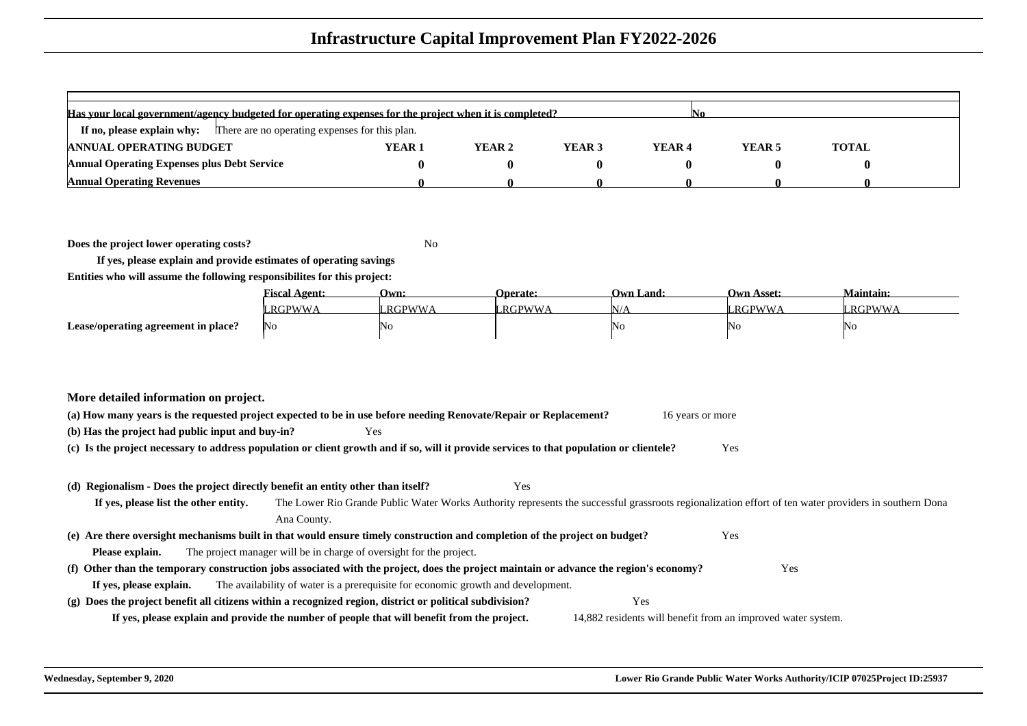| Has your local government/agency budgeted for operating expenses for the project when it is completed?<br>IN0 |        |        |        |                   |        |              |  |  |
|---------------------------------------------------------------------------------------------------------------|--------|--------|--------|-------------------|--------|--------------|--|--|
| There are no operating expenses for this plan.<br>If no, please explain why:                                  |        |        |        |                   |        |              |  |  |
| <b>ANNUAL OPERATING BUDGET</b>                                                                                | YEAR 1 | YEAR 2 | YEAR 3 | YEAR <sub>4</sub> | YEAR 5 | <b>TOTAL</b> |  |  |
| <b>Annual Operating Expenses plus Debt Service</b>                                                            |        |        |        |                   |        |              |  |  |
| <b>Annual Operating Revenues</b>                                                                              |        |        |        |                   |        |              |  |  |

**Does the project lower operating costs?**

<sup>2</sup> No

**If yes, please explain and provide estimates of operating savingsEntities who will assume the following responsibilites for this project:**

|                                     | <b>Fiscal Agent:</b> | Own:            | <b>Operate:</b> | <b>Own Land:</b> | <b>Own Asset:</b> | <b>Maintain:</b> |
|-------------------------------------|----------------------|-----------------|-----------------|------------------|-------------------|------------------|
|                                     | RGPWWA               | <b>" RGPWWA</b> | RGPWWA          | $\sqrt{2}$       | <b>RGPWWA</b>     | <b>RGPWWA</b>    |
| Lease/operating agreement in place? | No                   | 'No             |                 | NO               | ING.              | 'NG              |

|  |  | More detailed information on project. |  |  |
|--|--|---------------------------------------|--|--|
|--|--|---------------------------------------|--|--|

| (a) How many years is the requested project expected to be in use before needing Renovate/Repair or Replacement? | 16 years or more |
|------------------------------------------------------------------------------------------------------------------|------------------|
| (b) Has the project had public input and buy-in?                                                                 |                  |

**(c) Is the project necessary to address population or client growth and if so, will it provide services to that population or clientele?**Yes

#### **(d) Regionalism - Does the project directly benefit an entity other than itself?**

Yes

**If yes, please list the other entity.** The Lower Rio Grande Public Water Works Authority represents the successful grassroots regionalization effort of ten water providers in southern DonaAna County.

**(e) Are there oversight mechanisms built in that would ensure timely construction and completion of the project on budget?**Yes

**Please explain.**The project manager will be in charge of oversight for the project.

#### **(f) Other than the temporary construction jobs associated with the project, does the project maintain or advance the region's economy?If yes, please explain.**The availability of water is a prerequisite for economic growth and development.

**(g) Does the project benefit all citizens within a recognized region, district or political subdivision?**Yes

**If yes, please explain and provide the number of people that will benefit from the project.**14,882 residents will benefit from an improved water system.

Yes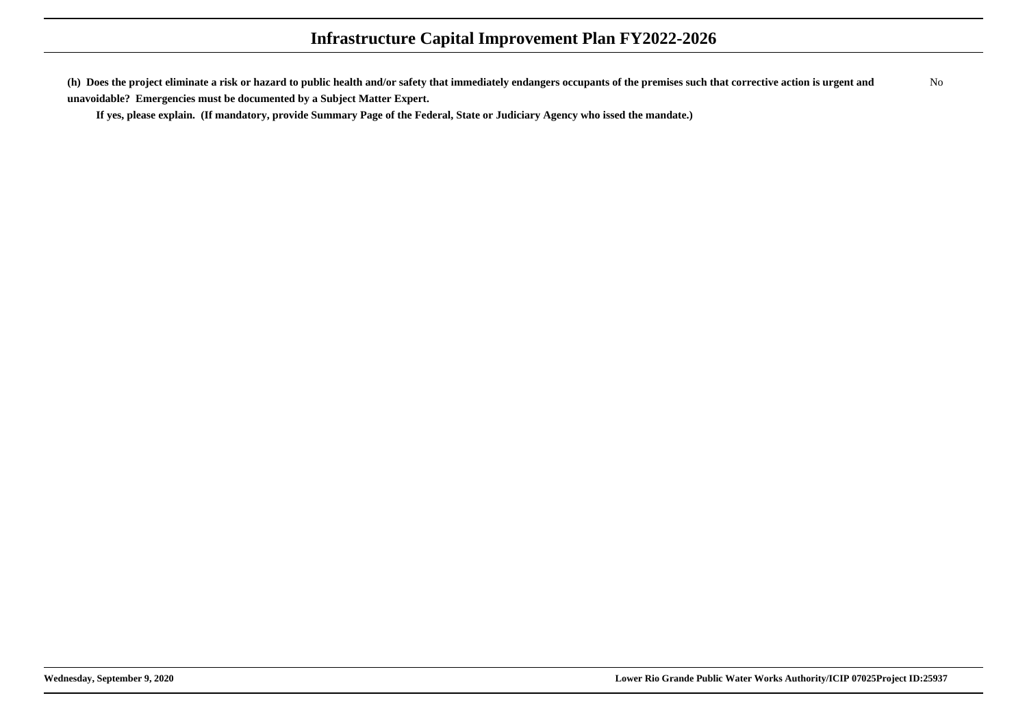**(h) Does the project eliminate a risk or hazard to public health and/or safety that immediately endangers occupants of the premises such that corrective action is urgent andunavoidable? Emergencies must be documented by a Subject Matter Expert.**No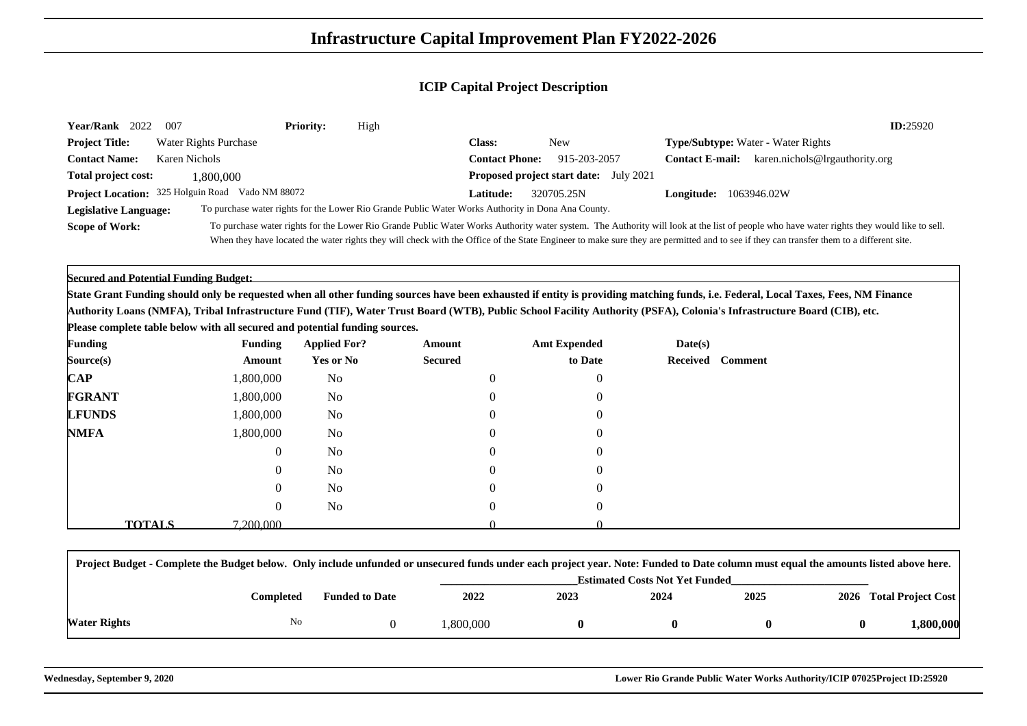| <b>Year/Rank</b><br>2022           | - 007                 | <b>Priority:</b> | High                                                                                               |                       |                                               |                        | ID:25920                                                                                                                                                                                  |
|------------------------------------|-----------------------|------------------|----------------------------------------------------------------------------------------------------|-----------------------|-----------------------------------------------|------------------------|-------------------------------------------------------------------------------------------------------------------------------------------------------------------------------------------|
| <b>Project Title:</b>              | Water Rights Purchase |                  |                                                                                                    | <b>Class:</b>         | <b>New</b>                                    |                        | <b>Type/Subtype:</b> Water - Water Rights                                                                                                                                                 |
| <b>Contact Name:</b>               | Karen Nichols         |                  |                                                                                                    | <b>Contact Phone:</b> | 915-203-2057                                  | <b>Contact E-mail:</b> | karen.nichols@lrgauthority.org                                                                                                                                                            |
| <b>Total project cost:</b>         | 1.800.000             |                  |                                                                                                    |                       | <b>Proposed project start date:</b> July 2021 |                        |                                                                                                                                                                                           |
| Project Location: 325 Holguin Road | Vado NM 88072         |                  |                                                                                                    | Latitude:             | 320705.25N                                    | Longitude:             | 1063946.02W                                                                                                                                                                               |
| <b>Legislative Language:</b>       |                       |                  | To purchase water rights for the Lower Rio Grande Public Water Works Authority in Dona Ana County. |                       |                                               |                        |                                                                                                                                                                                           |
| <b>Scope of Work:</b>              |                       |                  |                                                                                                    |                       |                                               |                        | To purchase water rights for the Lower Rio Grande Public Water Works Authority water system. The Authority will look at the list of people who have water rights they would like to sell. |
|                                    |                       |                  |                                                                                                    |                       |                                               |                        | When they have located the water rights they will check with the Office of the State Engineer to make sure they are permitted and to see if they can transfer them to a different site.   |

**Secured and Potential Funding Budget:**

 **State Grant Funding should only be requested when all other funding sources have been exhausted if entity is providing matching funds, i.e. Federal, Local Taxes, Fees, NM FinanceAuthority Loans (NMFA), Tribal Infrastructure Fund (TIF), Water Trust Board (WTB), Public School Facility Authority (PSFA), Colonia's Infrastructure Board (CIB), etc.**

**Please complete table below with all secured and potential funding sources.**

| <b>Funding</b> |               | <b>Funding</b> | <b>Applied For?</b> | Amount         | <b>Amt Expended</b> | Date(s)          |  |
|----------------|---------------|----------------|---------------------|----------------|---------------------|------------------|--|
| Source(s)      |               | Amount         | Yes or No           | <b>Secured</b> | to Date             | Received Comment |  |
| $\mathbf{CAP}$ |               | 1,800,000      | No                  | $\overline{0}$ | $\overline{0}$      |                  |  |
| <b>FGRANT</b>  |               | 1,800,000      | No                  | $\theta$       | $\overline{0}$      |                  |  |
| <b>LFUNDS</b>  |               | 1,800,000      | No                  | $\Omega$       | $\overline{0}$      |                  |  |
| <b>NMFA</b>    |               | 1,800,000      | N <sub>o</sub>      | $\overline{0}$ | $\overline{0}$      |                  |  |
|                |               | $\overline{0}$ | N <sub>o</sub>      | $\Omega$       | $\overline{0}$      |                  |  |
|                |               | $\overline{0}$ | N <sub>o</sub>      | $\overline{0}$ | $\overline{0}$      |                  |  |
|                |               | $\overline{0}$ | N <sub>o</sub>      | $\Omega$       | $\overline{0}$      |                  |  |
|                |               | $\overline{0}$ | N <sub>o</sub>      | $\overline{0}$ | $\overline{0}$      |                  |  |
|                | <b>TOTALS</b> | 7.200.000      |                     |                |                     |                  |  |

|              | Project Budget - Complete the Budget below. Only include unfunded or unsecured funds under each project year. Note: Funded to Date column must equal the amounts listed above here. |                                       |          |      |      |      |  |                         |
|--------------|-------------------------------------------------------------------------------------------------------------------------------------------------------------------------------------|---------------------------------------|----------|------|------|------|--|-------------------------|
|              |                                                                                                                                                                                     | <b>Estimated Costs Not Yet Funded</b> |          |      |      |      |  |                         |
|              | Completed                                                                                                                                                                           | <b>Funded to Date</b>                 | 2022     | 2023 | 2024 | 2025 |  | 2026 Total Project Cost |
| Water Rights | No                                                                                                                                                                                  |                                       | .800.000 |      |      |      |  | l <b>.800.000</b>       |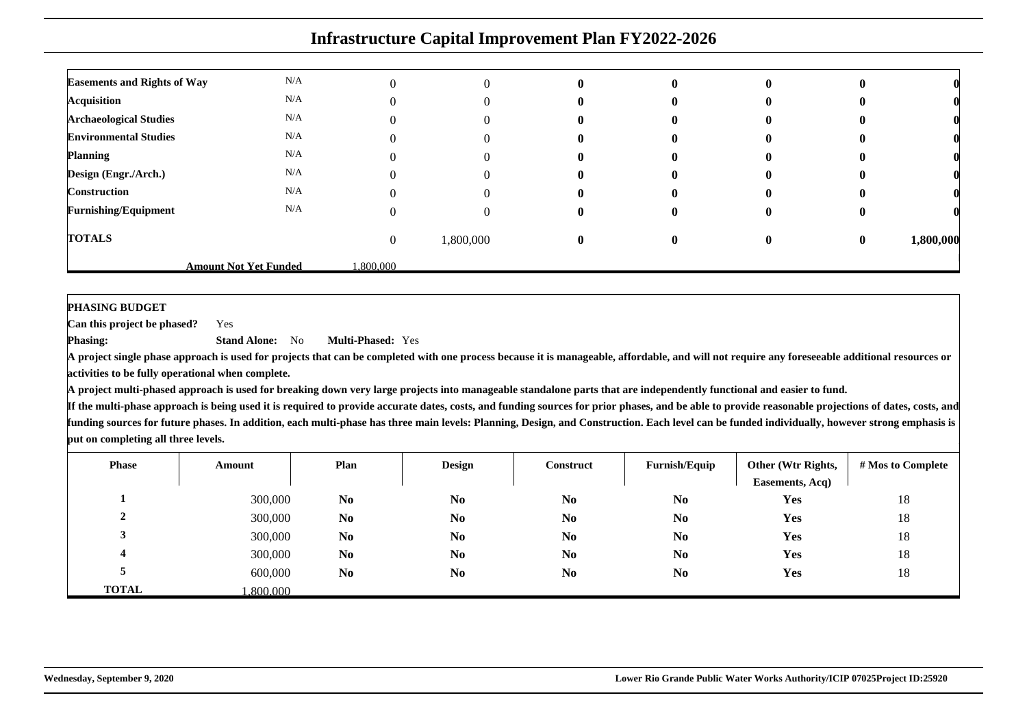|                                    | <b>Infrastructure Capital Improvement Plan FY2022-2026</b> |          |           |              |   |              |          |           |  |  |
|------------------------------------|------------------------------------------------------------|----------|-----------|--------------|---|--------------|----------|-----------|--|--|
| <b>Easements and Rights of Way</b> | N/A                                                        |          | 0         | $\mathbf{0}$ | 0 | 0            |          |           |  |  |
| <b>Acquisition</b>                 | N/A                                                        |          | 0         | $\mathbf{u}$ | o |              |          |           |  |  |
| <b>Archaeological Studies</b>      | N/A                                                        |          |           |              |   |              |          |           |  |  |
| <b>Environmental Studies</b>       | N/A                                                        |          |           |              |   |              |          |           |  |  |
| <b>Planning</b>                    | N/A                                                        |          |           |              |   |              |          |           |  |  |
| Design (Engr./Arch.)               | N/A                                                        |          |           |              |   |              |          |           |  |  |
| <b>Construction</b>                | N/A                                                        |          |           | o            |   |              |          |           |  |  |
| <b>Furnishing/Equipment</b>        | N/A                                                        |          |           |              |   | O            |          |           |  |  |
| <b>TOTALS</b>                      |                                                            | $\Omega$ | 1,800,000 | $\mathbf{0}$ | 0 | $\mathbf{0}$ | $\bf{0}$ | 1,800,000 |  |  |
|                                    | <b>Amount Not Yet Funded</b>                               | .800.000 |           |              |   |              |          |           |  |  |

**PHASING BUDGET**

 **Can this project be phased?**Yes

**Phasing: Stand Alone:** No**Multi-Phased:** Yes

**A project single phase approach is used for projects that can be completed with one process because it is manageable, affordable, and will not require any foreseeable additional resources oractivities to be fully operational when complete.**

**A project multi-phased approach is used for breaking down very large projects into manageable standalone parts that are independently functional and easier to fund.**

| <b>Phase</b> | Amount   | Plan           | <b>Design</b>  | Construct      | Furnish/Equip  | Other (Wtr Rights,<br>Easements, Acq) | # Mos to Complete |
|--------------|----------|----------------|----------------|----------------|----------------|---------------------------------------|-------------------|
|              | 300,000  | N <sub>0</sub> | N <sub>0</sub> | N <sub>0</sub> | N <sub>0</sub> | Yes                                   | 18                |
| ↑<br>∠       | 300,000  | N <sub>0</sub> | N <sub>0</sub> | N <sub>0</sub> | N <sub>0</sub> | Yes                                   | 18                |
|              | 300,000  | N <sub>0</sub> | N <sub>0</sub> | N <sub>0</sub> | N <sub>0</sub> | Yes                                   | 18                |
| 4            | 300,000  | N <sub>0</sub> | N <sub>0</sub> | N <sub>0</sub> | N <sub>0</sub> | Yes                                   | 18                |
|              | 600,000  | N <sub>0</sub> | N <sub>0</sub> | N <sub>0</sub> | N <sub>0</sub> | Yes                                   | 18                |
| <b>TOTAL</b> | .800.000 |                |                |                |                |                                       |                   |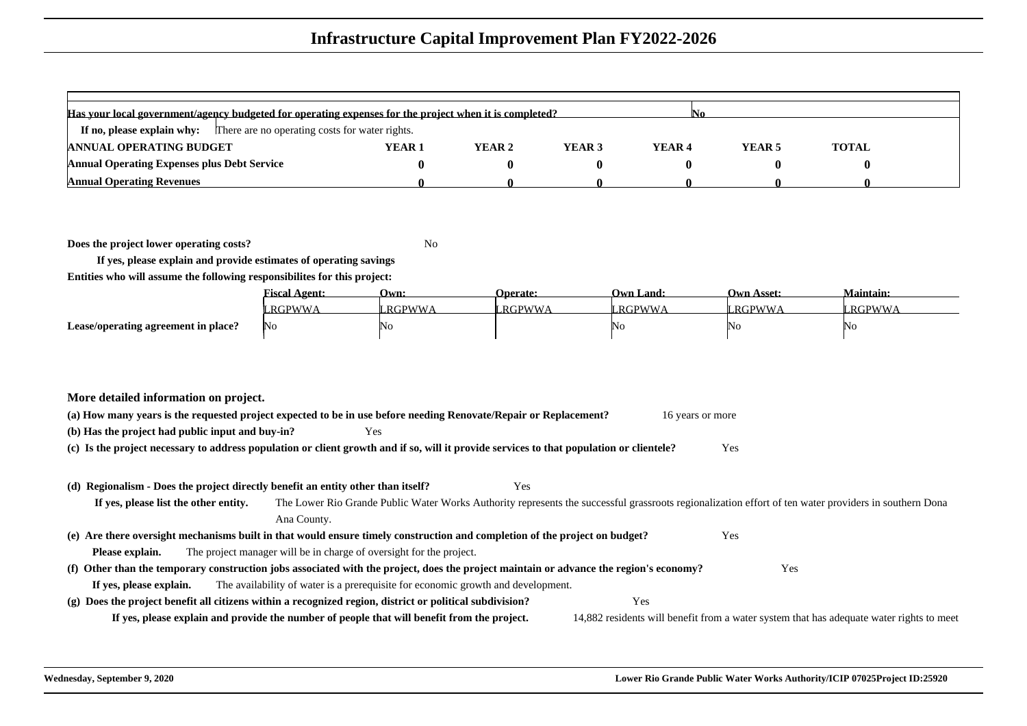| Has your local government/agency budgeted for operating expenses for the project when it is completed? |                   |        |        |                   |        |              |  |  |  |
|--------------------------------------------------------------------------------------------------------|-------------------|--------|--------|-------------------|--------|--------------|--|--|--|
| <b>If no, please explain why:</b> There are no operating costs for water rights.                       |                   |        |        |                   |        |              |  |  |  |
| <b>ANNUAL OPERATING BUDGET</b>                                                                         | YEAR <sub>1</sub> | YEAR 2 | YEAR 3 | YEAR <sub>4</sub> | YEAR 5 | <b>TOTAL</b> |  |  |  |
| <b>Annual Operating Expenses plus Debt Service</b>                                                     |                   |        |        |                   |        |              |  |  |  |
| <b>Annual Operating Revenues</b>                                                                       |                   |        |        |                   |        |              |  |  |  |

**Does the project lower operating costs?**

<sup>2</sup> No

**If yes, please explain and provide estimates of operating savingsEntities who will assume the following responsibilites for this project:**

|                                     | <b>Fiscal Agent:</b> | Own:           | <b>Operate:</b> | <b>Own Land:</b> | <b>Own Asset:</b> | <b>Maintain:</b> |
|-------------------------------------|----------------------|----------------|-----------------|------------------|-------------------|------------------|
|                                     | RGPWWA               | <b>LRGPWWA</b> | <b>LRGPWWA</b>  | RGPWWA           | RGPWWA            | <b>RGPWWA</b>    |
| Lease/operating agreement in place? | No                   | 'No            |                 | NO               | ING.              | 'NG              |

| (a) How many years is the requested project expected to be in use before needing Renovate/Repair or Replacement? |      | 16 years or more |
|------------------------------------------------------------------------------------------------------------------|------|------------------|
| (b) Has the project had public input and buy-in?                                                                 | Yes. |                  |

**(c) Is the project necessary to address population or client growth and if so, will it provide services to that population or clientele?**Yes

#### **(d) Regionalism - Does the project directly benefit an entity other than itself?**

Yes

#### **If yes, please list the other entity.** The Lower Rio Grande Public Water Works Authority represents the successful grassroots regionalization effort of ten water providers in southern DonaAna County.**(e) Are there oversight mechanisms built in that would ensure timely construction and completion of the project on budget?**Yes

**Please explain.**The project manager will be in charge of oversight for the project.

#### **(f) Other than the temporary construction jobs associated with the project, does the project maintain or advance the region's economy?** Yes **If yes, please explain.**The availability of water is a prerequisite for economic growth and development.

**(g) Does the project benefit all citizens within a recognized region, district or political subdivision?** Yes **If yes, please explain and provide the number of people that will benefit from the project.**14,882 residents will benefit from a water system that has adequate water rights to meet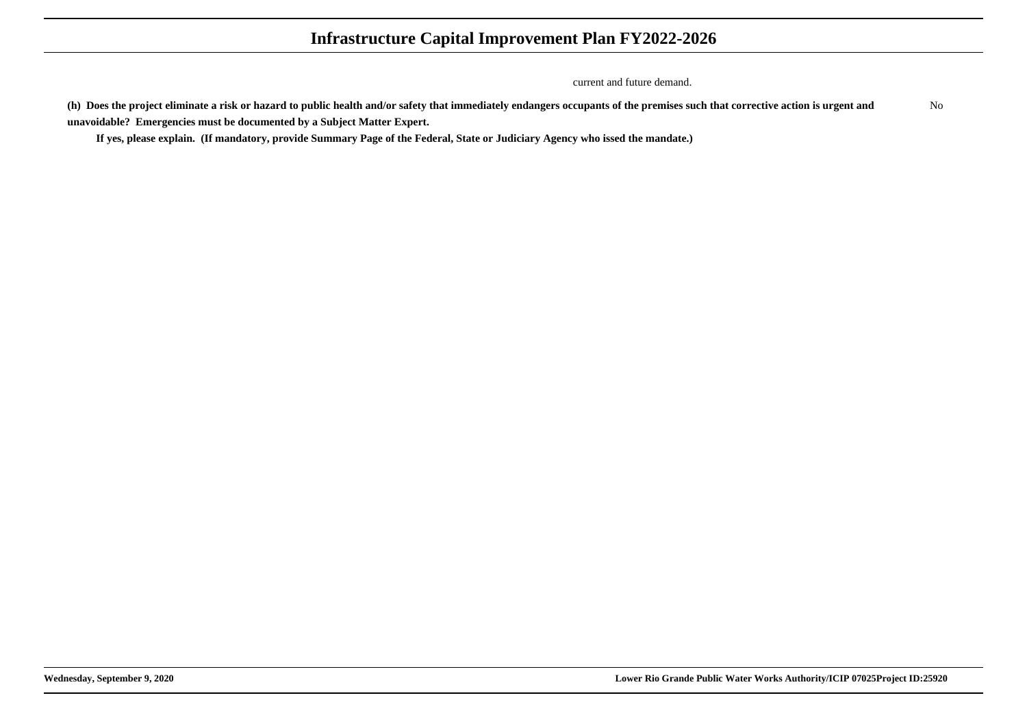current and future demand.

**(h) Does the project eliminate a risk or hazard to public health and/or safety that immediately endangers occupants of the premises such that corrective action is urgent andunavoidable? Emergencies must be documented by a Subject Matter Expert.**No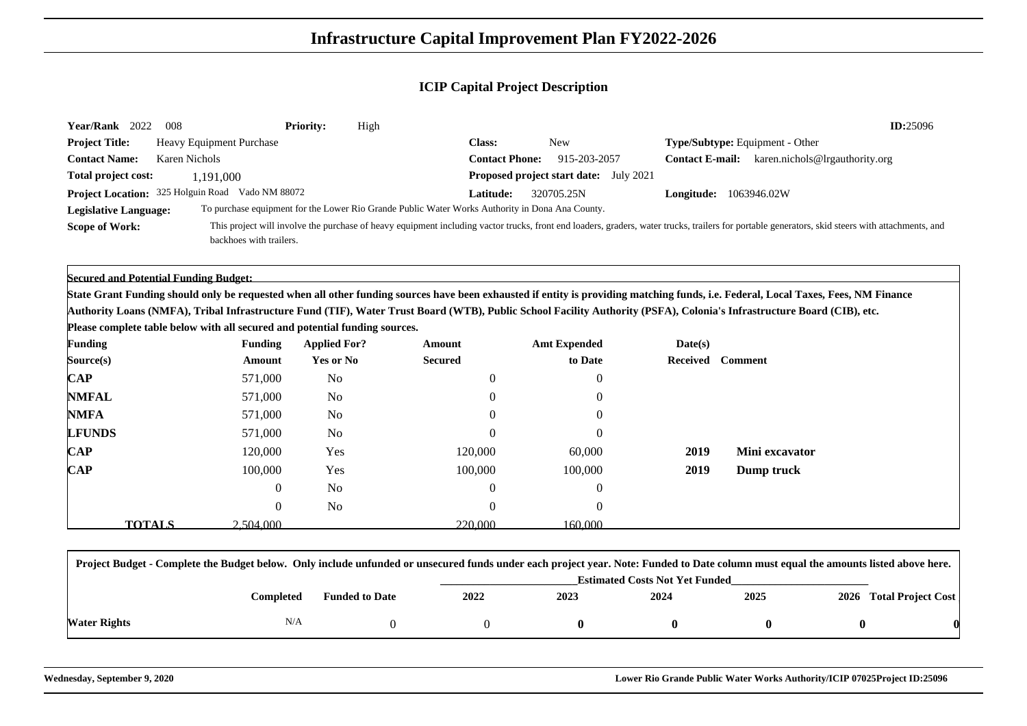| Year/Rank 2022<br>008                                                       |                                 | <b>Priority:</b><br>High |                                                                                                 |                                               |            | ID:25096                                                                                                                                                                                         |
|-----------------------------------------------------------------------------|---------------------------------|--------------------------|-------------------------------------------------------------------------------------------------|-----------------------------------------------|------------|--------------------------------------------------------------------------------------------------------------------------------------------------------------------------------------------------|
| <b>Project Title:</b>                                                       | <b>Heavy Equipment Purchase</b> |                          | <b>Class:</b>                                                                                   | <b>New</b>                                    |            | Type/Subtype: Equipment - Other                                                                                                                                                                  |
| <b>Contact Name:</b><br><b>Karen Nichols</b>                                |                                 |                          | <b>Contact Phone:</b>                                                                           | 915-203-2057                                  |            | <b>Contact E-mail:</b> karen.nichols@lrgauthority.org                                                                                                                                            |
| Total project cost:                                                         | 1,191,000                       |                          |                                                                                                 | <b>Proposed project start date:</b> July 2021 |            |                                                                                                                                                                                                  |
| Project Location: 325 Holguin Road Vado NM 88072                            |                                 |                          | Latitude:                                                                                       | 320705.25N                                    | Longitude: | 1063946.02W                                                                                                                                                                                      |
| <b>Legislative Language:</b>                                                |                                 |                          | To purchase equipment for the Lower Rio Grande Public Water Works Authority in Dona Ana County. |                                               |            |                                                                                                                                                                                                  |
| <b>Scope of Work:</b>                                                       | backhoes with trailers.         |                          |                                                                                                 |                                               |            | This project will involve the purchase of heavy equipment including vactor trucks, front end loaders, graders, water trucks, trailers for portable generators, skid steers with attachments, and |
| <b>Secured and Potential Funding Budget:</b>                                |                                 |                          |                                                                                                 |                                               |            |                                                                                                                                                                                                  |
|                                                                             |                                 |                          |                                                                                                 |                                               |            | State Grant Funding should only be requested when all other funding sources have been exhausted if entity is providing matching funds, i.e. Federal, Local Taxes, Fees, NM Finance               |
|                                                                             |                                 |                          |                                                                                                 |                                               |            | Authority Loans (NMFA), Tribal Infrastructure Fund (TIF), Water Trust Board (WTB), Public School Facility Authority (PSFA), Colonia's Infrastructure Board (CIB), etc.                           |
| Please complete table below with all secured and potential funding sources. |                                 |                          |                                                                                                 |                                               |            |                                                                                                                                                                                                  |
| <b>Funding</b>                                                              | <b>Funding</b>                  | <b>Applied For?</b>      | Amount                                                                                          | <b>Amt Expended</b>                           | Date(s)    |                                                                                                                                                                                                  |
| Source(s)                                                                   | Amount                          | <b>Yes or No</b>         | <b>Secured</b>                                                                                  | to Date                                       | Received   | <b>Comment</b>                                                                                                                                                                                   |
| $\bf CAP$                                                                   | 571,000                         | N <sub>0</sub>           |                                                                                                 |                                               |            |                                                                                                                                                                                                  |
| <b>NMFAL</b>                                                                | 571,000                         | N <sub>0</sub>           |                                                                                                 |                                               |            |                                                                                                                                                                                                  |
| <b>NMFA</b>                                                                 | 571,000                         | N <sub>0</sub>           |                                                                                                 |                                               |            |                                                                                                                                                                                                  |
| <b>LFUNDS</b>                                                               | 571,000                         | N <sub>0</sub>           |                                                                                                 |                                               |            |                                                                                                                                                                                                  |
| $\mathbf{CAP}$                                                              | 120,000                         | Yes                      | 120,000                                                                                         | 60,000                                        | 2019       | Mini excavator                                                                                                                                                                                   |
| $\mathbf{CAP}$                                                              | 100,000                         | Yes                      | 100,000                                                                                         | 100,000                                       | 2019       | Dump truck                                                                                                                                                                                       |
|                                                                             | 0                               | N <sub>0</sub>           |                                                                                                 |                                               |            |                                                                                                                                                                                                  |
|                                                                             | 0                               | N <sub>0</sub>           |                                                                                                 | $\sqrt{ }$                                    |            |                                                                                                                                                                                                  |

| Project Budget - Complete the Budget below. Only include unfunded or unsecured funds under each project year. Note: Funded to Date column must equal the amounts listed above here. |           |                                       |      |      |      |      |  |                         |
|-------------------------------------------------------------------------------------------------------------------------------------------------------------------------------------|-----------|---------------------------------------|------|------|------|------|--|-------------------------|
|                                                                                                                                                                                     |           | <b>Estimated Costs Not Yet Funded</b> |      |      |      |      |  |                         |
|                                                                                                                                                                                     | Completed | <b>Funded to Date</b>                 | 2022 | 2023 | 2024 | 2025 |  | 2026 Total Project Cost |
| Water Rights                                                                                                                                                                        | N/A       |                                       |      |      |      |      |  |                         |

160,000

220,000

 $\mathbf{S}$  2,504,000 220,000 160,000

**TOTALS**

**Wednesday, September 9, 2020 Lower Rio Grande Public Water Works Authority/ICIP 07025Project ID:25096**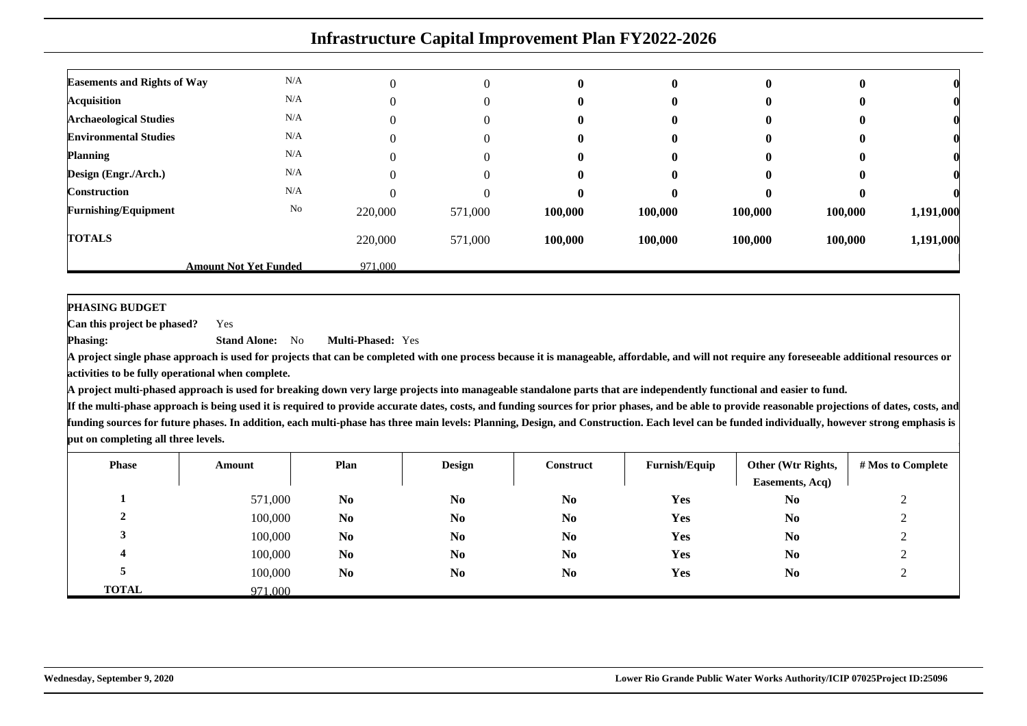| <b>Easements and Rights of Way</b> | N/A                          |         | 0        | $\mathbf{0}$ | $\mathbf{0}$ | $\bf{0}$ |         |           |
|------------------------------------|------------------------------|---------|----------|--------------|--------------|----------|---------|-----------|
| <b>Acquisition</b>                 | N/A                          |         | $\Omega$ | $\mathbf{0}$ | $\mathbf{0}$ | 0        | v       |           |
| <b>Archaeological Studies</b>      | N/A                          |         | 0        | 0            | $\bf{0}$     | $\bf{0}$ |         |           |
| <b>Environmental Studies</b>       | N/A                          |         | 0        | 0            | $\bf{0}$     | 0        |         |           |
| <b>Planning</b>                    | N/A                          |         | 0        | $\mathbf{0}$ | $\mathbf{0}$ | 0        | v       |           |
| Design (Engr./Arch.)               | N/A                          |         | 0        | $\mathbf{0}$ | $\mathbf{0}$ | 0        | o       |           |
| <b>Construction</b>                | N/A                          |         | $\Omega$ | $\mathbf{0}$ | $\mathbf{0}$ | 0        |         |           |
| <b>Furnishing/Equipment</b>        | No                           | 220,000 | 571,000  | 100,000      | 100,000      | 100,000  | 100,000 | 1,191,000 |
| <b>TOTALS</b>                      |                              | 220,000 | 571,000  | 100,000      | 100,000      | 100,000  | 100,000 | 1,191,000 |
|                                    | <b>Amount Not Yet Funded</b> | 971.000 |          |              |              |          |         |           |

**PHASING BUDGET**

 **Can this project be phased?**Yes

**Phasing: Stand Alone:** No**Multi-Phased:** Yes

**A project single phase approach is used for projects that can be completed with one process because it is manageable, affordable, and will not require any foreseeable additional resources oractivities to be fully operational when complete.**

**A project multi-phased approach is used for breaking down very large projects into manageable standalone parts that are independently functional and easier to fund.**

| <b>Phase</b> | Amount  | Plan           | <b>Design</b>  | Construct      | Furnish/Equip | Other (Wtr Rights,<br>Easements, Acq) | # Mos to Complete |
|--------------|---------|----------------|----------------|----------------|---------------|---------------------------------------|-------------------|
|              | 571,000 | N <sub>0</sub> | N <sub>0</sub> | N <sub>0</sub> | Yes           | N <sub>0</sub>                        | $\bigcap$         |
|              | 100,000 | N <sub>0</sub> | N <sub>0</sub> | N <sub>0</sub> | Yes           | N <sub>0</sub>                        | ◠<br>∸            |
|              | 100,000 | N <sub>0</sub> | N <sub>0</sub> | N <sub>0</sub> | Yes           | N <sub>0</sub>                        |                   |
|              | 100,000 | N <sub>0</sub> | N <sub>0</sub> | N <sub>0</sub> | Yes           | N <sub>0</sub>                        | ∸                 |
|              | 100,000 | N <sub>0</sub> | N <sub>0</sub> | N <sub>0</sub> | <b>Yes</b>    | N <sub>0</sub>                        |                   |
| <b>TOTAL</b> | 971.000 |                |                |                |               |                                       |                   |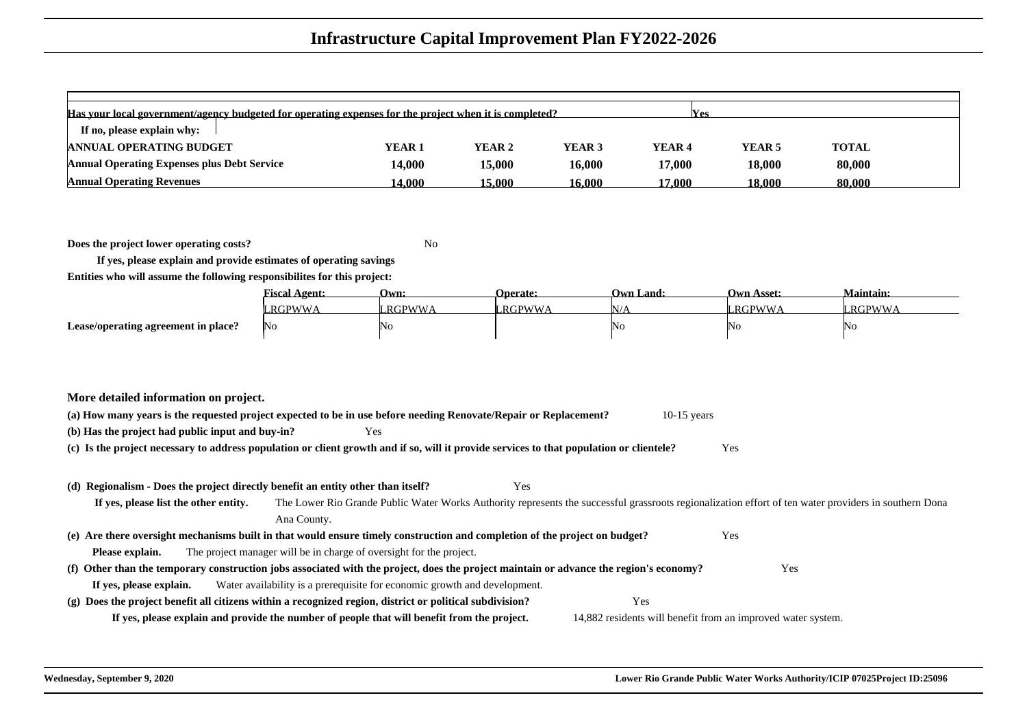| Has your local government/agency budgeted for operating expenses for the project when it is completed?<br><b>Nes</b> |                   |               |        |        |                   |              |  |  |  |  |  |  |
|----------------------------------------------------------------------------------------------------------------------|-------------------|---------------|--------|--------|-------------------|--------------|--|--|--|--|--|--|
| If no, please explain why:                                                                                           |                   |               |        |        |                   |              |  |  |  |  |  |  |
| <b>ANNUAL OPERATING BUDGET</b>                                                                                       | YEAR <sub>1</sub> | YEAR 2        | YEAR 3 | YEAR 4 | YEAR <sub>5</sub> | <b>TOTAL</b> |  |  |  |  |  |  |
| <b>Annual Operating Expenses plus Debt Service</b>                                                                   | 14.000            | <b>15.000</b> | 16.000 | 17.000 | 18,000            | 80,000       |  |  |  |  |  |  |
| <b>Annual Operating Revenues</b>                                                                                     | 14.000            | 15.000        | 16.000 | 17.000 | 18.000            | 80,000       |  |  |  |  |  |  |

**Does the project lower operating costs?**<sup>2</sup> No

**If yes, please explain and provide estimates of operating savingsEntities who will assume the following responsibilites for this project:**

|                                     | <b><i><u>Fiscal Agent:</u></i></b> | Own:     | <b>Operate:</b> | Own Land: | <b>Own Asset:</b> | <b>Maintain:</b> |
|-------------------------------------|------------------------------------|----------|-----------------|-----------|-------------------|------------------|
|                                     | RGPWWA                             | ' RGPWWA | RGPWWA          | `YL       | <b>LRGPWWA</b>    | RGPWWA           |
| Lease/operating agreement in place? | 1No                                | 'NC      |                 | INC       | ΙNΟ               | No               |

| More detailed information on project. |
|---------------------------------------|
|---------------------------------------|

| (a) How many years is the requested project expected to be in use before needing Renovate/Repair or Replacement? |      | 10-15 years |
|------------------------------------------------------------------------------------------------------------------|------|-------------|
| (b) Has the project had public input and buy-in?                                                                 | Yes. |             |

**(c) Is the project necessary to address population or client growth and if so, will it provide services to that population or clientele?**Yes

#### **(d) Regionalism - Does the project directly benefit an entity other than itself?**

Yes

**If yes, please list the other entity.** The Lower Rio Grande Public Water Works Authority represents the successful grassroots regionalization effort of ten water providers in southern DonaAna County.**(e) Are there oversight mechanisms built in that would ensure timely construction and completion of the project on budget?** Yes **Please explain.**The project manager will be in charge of oversight for the project.

#### **(f) Other than the temporary construction jobs associated with the project, does the project maintain or advance the region's economy?If yes, please explain.**Water availability is a prerequisite for economic growth and development.

**(g) Does the project benefit all citizens within a recognized region, district or political subdivision?**Yes

**If yes, please explain and provide the number of people that will benefit from the project.**

14,882 residents will benefit from an improved water system.

Yes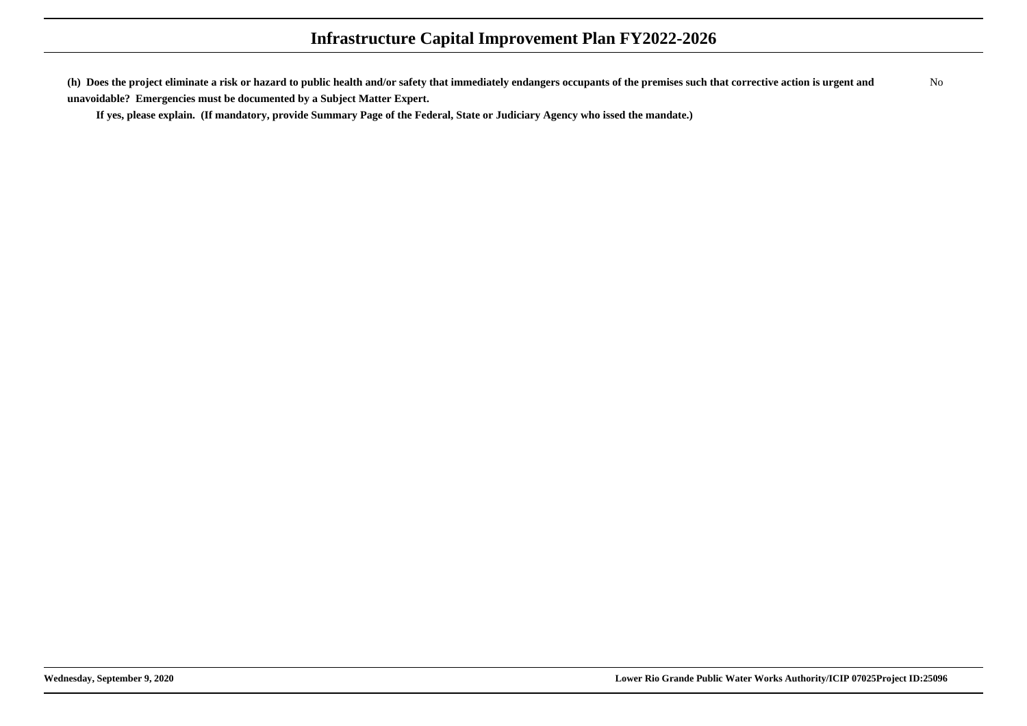**(h) Does the project eliminate a risk or hazard to public health and/or safety that immediately endangers occupants of the premises such that corrective action is urgent andunavoidable? Emergencies must be documented by a Subject Matter Expert.**No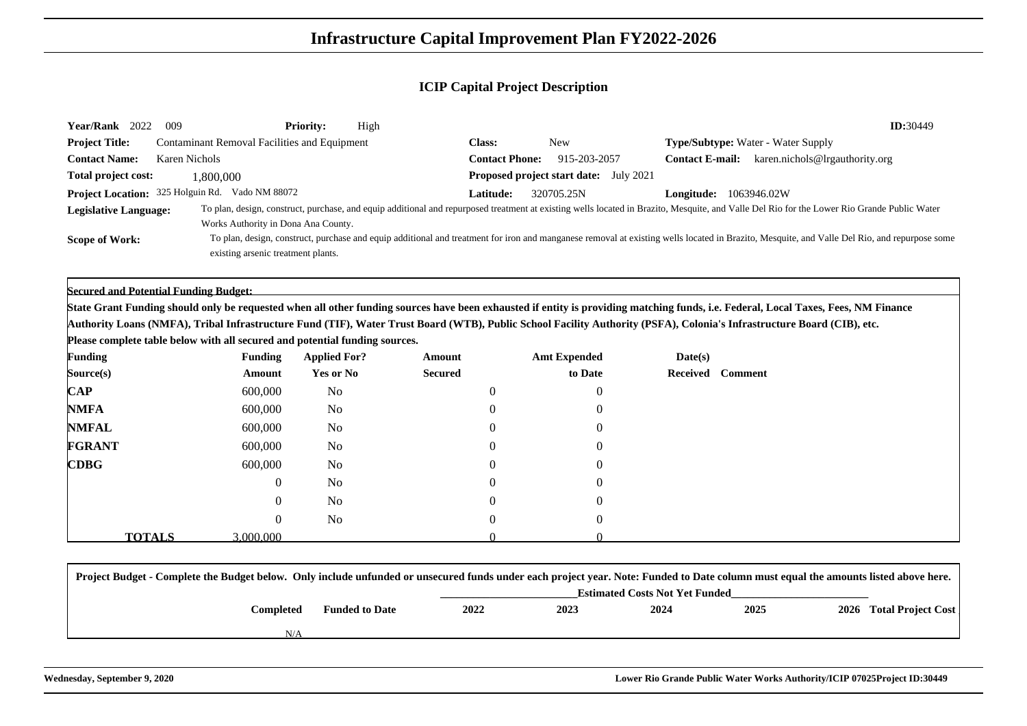| Year/Rank 2022                                                                    | 009                                                 | <b>Priority:</b> | High |                       |              |                        | ID:30449                                                                                                                                                                                     |  |
|-----------------------------------------------------------------------------------|-----------------------------------------------------|------------------|------|-----------------------|--------------|------------------------|----------------------------------------------------------------------------------------------------------------------------------------------------------------------------------------------|--|
| <b>Project Title:</b>                                                             | <b>Contaminant Removal Facilities and Equipment</b> |                  |      | Class:                | New          |                        | <b>Type/Subtype:</b> Water - Water Supply                                                                                                                                                    |  |
| <b>Contact Name:</b>                                                              | Karen Nichols                                       |                  |      | <b>Contact Phone:</b> | 915-203-2057 | <b>Contact E-mail:</b> | karen.nichols@lrgauthority.org                                                                                                                                                               |  |
| Total project cost:<br><b>Proposed project start date:</b> July 2021<br>1.800.000 |                                                     |                  |      |                       |              |                        |                                                                                                                                                                                              |  |
|                                                                                   | Project Location: 325 Holguin Rd. Vado NM 88072     |                  |      | <b>Latitude:</b>      | 320705.25N   | Longitude:             | 1063946.02W                                                                                                                                                                                  |  |
| <b>Legislative Language:</b>                                                      |                                                     |                  |      |                       |              |                        | To plan, design, construct, purchase, and equip additional and repurposed treatment at existing wells located in Brazito, Mesquite, and Valle Del Rio for the Lower Rio Grande Public Water  |  |
|                                                                                   | Works Authority in Dona Ana County.                 |                  |      |                       |              |                        |                                                                                                                                                                                              |  |
| <b>Scope of Work:</b>                                                             | existing arsenic treatment plants.                  |                  |      |                       |              |                        | To plan, design, construct, purchase and equip additional and treatment for iron and manganese removal at existing wells located in Brazito, Mesquite, and Valle Del Rio, and repurpose some |  |

**Secured and Potential Funding Budget:**

**State Grant Funding should only be requested when all other funding sources have been exhausted if entity is providing matching funds, i.e. Federal, Local Taxes, Fees, NM FinanceAuthority Loans (NMFA), Tribal Infrastructure Fund (TIF), Water Trust Board (WTB), Public School Facility Authority (PSFA), Colonia's Infrastructure Board (CIB), etc.**

**Please complete table below with all secured and potential funding sources.**

| <b>Funding</b> |               | <b>Funding</b> | <b>Applied For?</b> | Amount         | <b>Amt Expended</b> | Date(s) |                  |
|----------------|---------------|----------------|---------------------|----------------|---------------------|---------|------------------|
| Source(s)      |               | Amount         | <b>Yes or No</b>    | <b>Secured</b> | to Date             |         | Received Comment |
| $\mathbf{CAP}$ |               | 600,000        | No                  | $\overline{0}$ | $\overline{0}$      |         |                  |
| <b>NMFA</b>    |               | 600,000        | No                  | $\overline{0}$ | $\overline{0}$      |         |                  |
| <b>NMFAL</b>   |               | 600,000        | No                  | $\overline{0}$ | $\overline{0}$      |         |                  |
| <b>FGRANT</b>  |               | 600,000        | No                  | $\overline{0}$ | $\overline{0}$      |         |                  |
| <b>CDBG</b>    |               | 600,000        | No                  | $\overline{0}$ | $\overline{0}$      |         |                  |
|                |               | $\overline{0}$ | No                  | $\overline{0}$ | $\overline{0}$      |         |                  |
|                |               | $\overline{0}$ | No                  | $\overline{0}$ | $\overline{0}$      |         |                  |
|                |               | $\overline{0}$ | No                  | $\overline{0}$ | $\overline{0}$      |         |                  |
|                | <b>TOTALS</b> | 3,000,000      |                     |                |                     |         |                  |

| Project Budget - Complete the Budget below. Only include unfunded or unsecured funds under each project year. Note: Funded to Date column must equal the amounts listed above here. |                       |      |      |                                       |      |                         |
|-------------------------------------------------------------------------------------------------------------------------------------------------------------------------------------|-----------------------|------|------|---------------------------------------|------|-------------------------|
|                                                                                                                                                                                     |                       |      |      | <b>Estimated Costs Not Yet Funded</b> |      |                         |
| Completed                                                                                                                                                                           | <b>Funded to Date</b> | 2022 | 2023 | 2024                                  | 2025 | 2026 Total Project Cost |
|                                                                                                                                                                                     |                       |      |      |                                       |      |                         |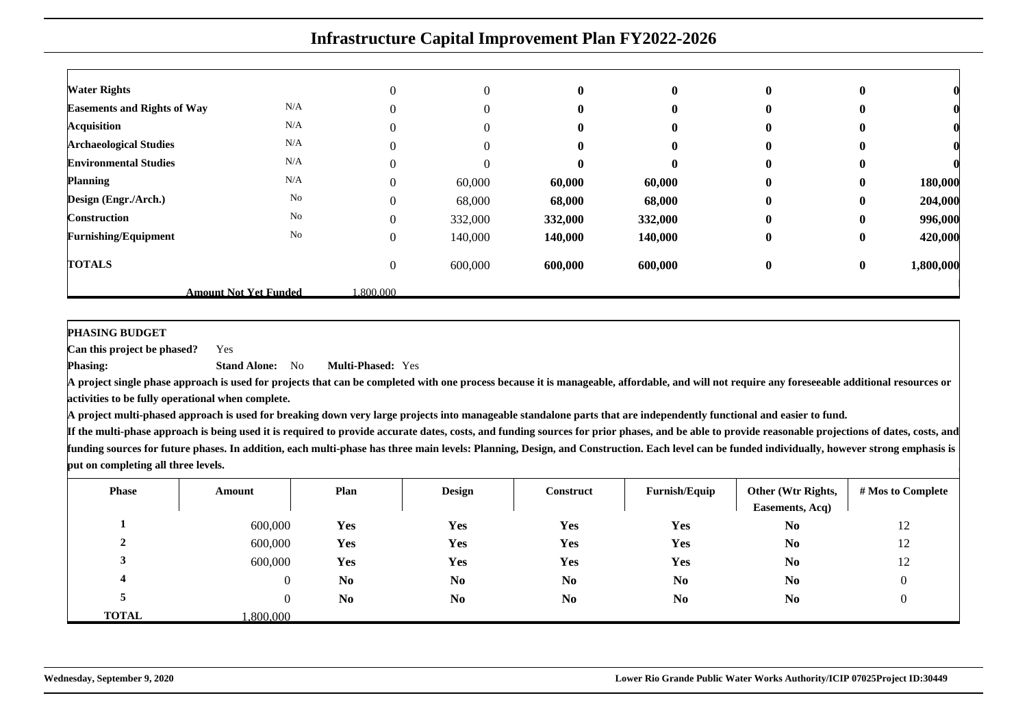|                                    | <b>Infrastructure Capital Improvement Plan FY2022-2026</b> |                  |                |              |              |              |                  |           |  |  |  |  |  |
|------------------------------------|------------------------------------------------------------|------------------|----------------|--------------|--------------|--------------|------------------|-----------|--|--|--|--|--|
|                                    |                                                            |                  |                |              |              |              |                  |           |  |  |  |  |  |
| <b>Water Rights</b>                |                                                            | $\Omega$         | $\mathbf{0}$   | $\mathbf{0}$ | $\mathbf{0}$ | $\mathbf{0}$ | $\bf{0}$         |           |  |  |  |  |  |
| <b>Easements and Rights of Way</b> | N/A                                                        | $\theta$         | $\overline{0}$ |              |              | $\mathbf{0}$ | $\bf{0}$         |           |  |  |  |  |  |
| <b>Acquisition</b>                 | N/A                                                        | $\Omega$         | $\Omega$       |              |              | $\mathbf{0}$ | $\bf{0}$         |           |  |  |  |  |  |
| <b>Archaeological Studies</b>      | N/A                                                        | $\theta$         | $\Omega$       | 0            |              | $\mathbf{0}$ | $\bf{0}$         |           |  |  |  |  |  |
| <b>Environmental Studies</b>       | N/A                                                        | $\theta$         | $\Omega$       | 0            |              | $\mathbf{0}$ | $\mathbf{0}$     |           |  |  |  |  |  |
| <b>Planning</b>                    | N/A                                                        | $\Omega$         | 60,000         | 60,000       | 60,000       | $\mathbf{0}$ | $\mathbf{0}$     | 180,000   |  |  |  |  |  |
| Design (Engr./Arch.)               | No                                                         | $\overline{0}$   | 68,000         | 68,000       | 68,000       | $\mathbf{0}$ | $\bf{0}$         | 204,000   |  |  |  |  |  |
| Construction                       | No                                                         | $\mathbf{0}$     | 332,000        | 332,000      | 332,000      | $\mathbf{0}$ | $\mathbf{0}$     | 996,000   |  |  |  |  |  |
| <b>Furnishing/Equipment</b>        | No                                                         | $\boldsymbol{0}$ | 140,000        | 140,000      | 140,000      | $\bf{0}$     | $\boldsymbol{0}$ | 420,000   |  |  |  |  |  |
| <b>TOTALS</b>                      |                                                            | $\mathbf{0}$     | 600,000        | 600,000      | 600,000      | $\bf{0}$     | $\bf{0}$         | 1,800,000 |  |  |  |  |  |
|                                    | <b>Amount Not Yet Funded</b>                               | .800.000         |                |              |              |              |                  |           |  |  |  |  |  |

#### **PHASING BUDGET**

 **Can this project be phased?**Yes

**Phasing: Stand Alone:** No**Multi-Phased:** Yes

**A project single phase approach is used for projects that can be completed with one process because it is manageable, affordable, and will not require any foreseeable additional resources oractivities to be fully operational when complete.**

**A project multi-phased approach is used for breaking down very large projects into manageable standalone parts that are independently functional and easier to fund.**

| <b>Phase</b> | Amount         | Plan           | <b>Design</b>  | <b>Construct</b> | Furnish/Equip  | Other (Wtr Rights,<br>Easements, Acq) | # Mos to Complete |
|--------------|----------------|----------------|----------------|------------------|----------------|---------------------------------------|-------------------|
|              | 600,000        | Yes            | <b>Yes</b>     | Yes              | Yes            | N <sub>0</sub>                        | 12                |
|              | 600,000        | Yes            | Yes            | Yes              | Yes            | N <sub>0</sub>                        | 12                |
|              | 600,000        | Yes            | Yes            | Yes              | Yes            | N <sub>0</sub>                        | 12                |
| 4            | 0              | N <sub>0</sub> | N <sub>0</sub> | N <sub>0</sub>   | N <sub>0</sub> | N <sub>0</sub>                        | $\overline{0}$    |
|              | $\overline{0}$ | N <sub>0</sub> | N <sub>0</sub> | N <sub>0</sub>   | N <sub>0</sub> | N <sub>0</sub>                        | 0                 |
| <b>TOTAL</b> | .800.000       |                |                |                  |                |                                       |                   |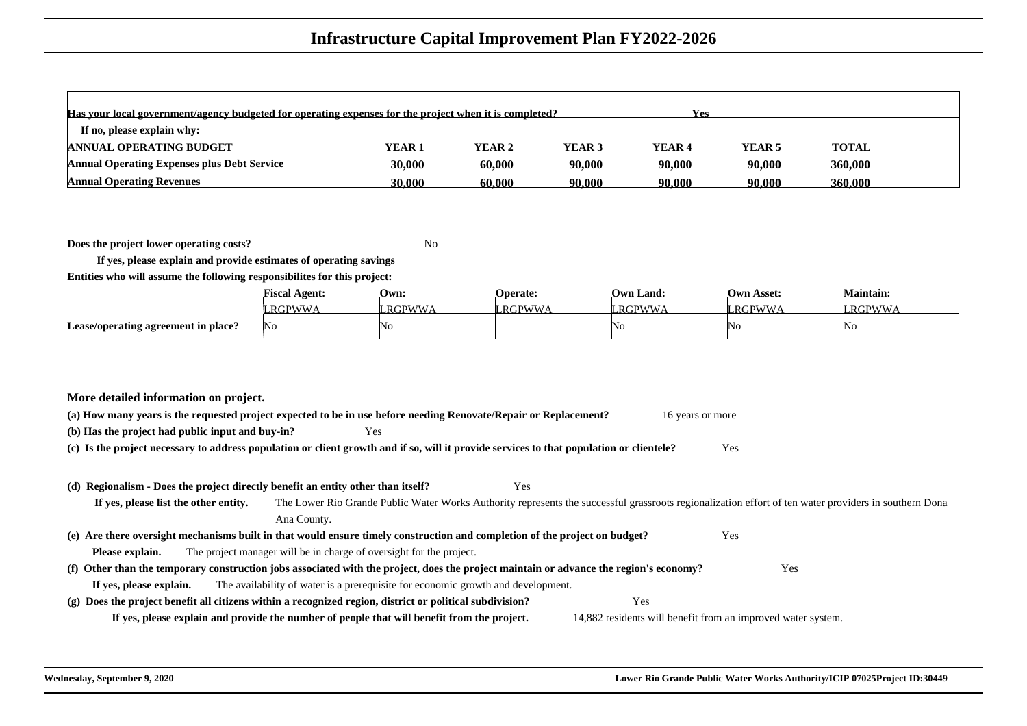| Has your local government/agency budgeted for operating expenses for the project when it is completed?<br><b>Nes</b> |                   |        |                   |        |                   |              |  |  |  |  |  |
|----------------------------------------------------------------------------------------------------------------------|-------------------|--------|-------------------|--------|-------------------|--------------|--|--|--|--|--|
| If no, please explain why:                                                                                           |                   |        |                   |        |                   |              |  |  |  |  |  |
| <b>ANNUAL OPERATING BUDGET</b>                                                                                       | YEAR <sub>1</sub> | YEAR 2 | YEAR <sub>3</sub> | YEAR 4 | YEAR <sub>5</sub> | <b>TOTAL</b> |  |  |  |  |  |
| <b>Annual Operating Expenses plus Debt Service</b>                                                                   | 30,000            | 60,000 | 90,000            | 90,000 | 90,000            | 360,000      |  |  |  |  |  |
| <b>Annual Operating Revenues</b>                                                                                     | 30.000            | 60.000 | 90.000            | 90.000 | 90.000            | 360,000      |  |  |  |  |  |

**Does the project lower operating costs?**<sup>2</sup> No

**If yes, please explain and provide estimates of operating savingsEntities who will assume the following responsibilites for this project:**

|                                     | <b><i><u>Fiscal Agent:</u></i></b> | Own:         | <b>Operate:</b> | <b>Own Land:</b> | <b>Own Asset:</b> | Maintain:     |
|-------------------------------------|------------------------------------|--------------|-----------------|------------------|-------------------|---------------|
|                                     | '.RGPWWA                           | <b>RGPWW</b> | '.RGPWWA        | <b>RGPWW</b>     | RGPWWA            | <b>RGPWWA</b> |
| Lease/operating agreement in place? | - INO                              | ΙNο          |                 | NC               | 'NC               | 'NG           |

|  |  | More detailed information on project. |  |  |
|--|--|---------------------------------------|--|--|
|--|--|---------------------------------------|--|--|

| (a) How many years is the requested project expected to be in use before needing Renovate/Repair or Replacement? |     | 16 years or more |
|------------------------------------------------------------------------------------------------------------------|-----|------------------|
| (b) Has the project had public input and buy-in?                                                                 | Yes |                  |

**(c) Is the project necessary to address population or client growth and if so, will it provide services to that population or clientele?**Yes

#### **(d) Regionalism - Does the project directly benefit an entity other than itself?**

**If yes, please list the other entity.** The Lower Rio Grande Public Water Works Authority represents the successful grassroots regionalization effort of ten water providers in southern DonaAna County.**(e) Are there oversight mechanisms built in that would ensure timely construction and completion of the project on budget?** Yes **Please explain.** The project manager will be in charge of oversight for the project. **(f) Other than the temporary construction jobs associated with the project, does the project maintain or advance the region's economy?** Yes **If yes, please explain.**The availability of water is a prerequisite for economic growth and development.

Yes

**(g) Does the project benefit all citizens within a recognized region, district or political subdivision?** Yes **If yes, please explain and provide the number of people that will benefit from the project.**14,882 residents will benefit from an improved water system.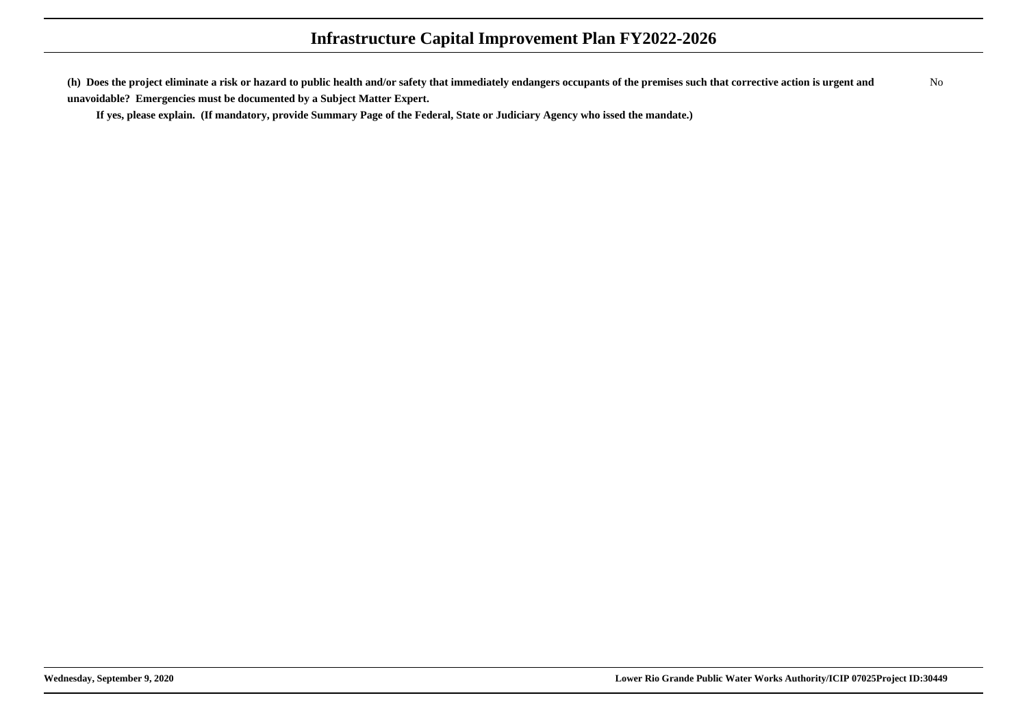**(h) Does the project eliminate a risk or hazard to public health and/or safety that immediately endangers occupants of the premises such that corrective action is urgent andunavoidable? Emergencies must be documented by a Subject Matter Expert.**No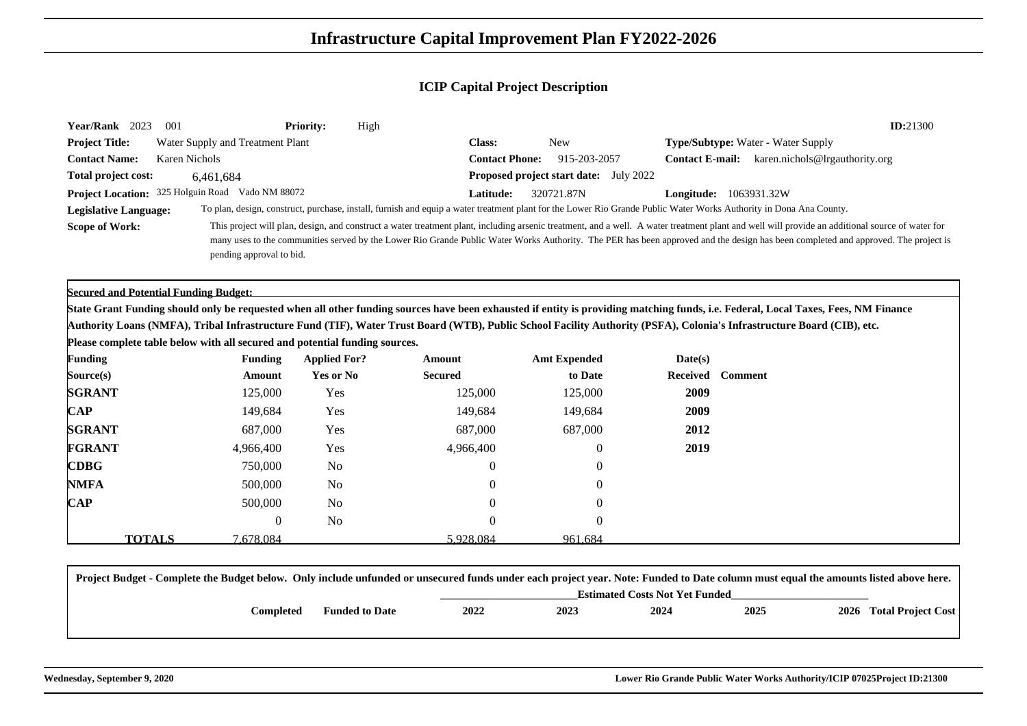| Year/Rank 2023                     | -001                             | <b>Priority:</b> | High |                       |                                                                                                                                                                    |                        | ID:21300                                                                                                                                                                                        |
|------------------------------------|----------------------------------|------------------|------|-----------------------|--------------------------------------------------------------------------------------------------------------------------------------------------------------------|------------------------|-------------------------------------------------------------------------------------------------------------------------------------------------------------------------------------------------|
| <b>Project Title:</b>              | Water Supply and Treatment Plant |                  |      | <b>Class:</b>         | <b>New</b>                                                                                                                                                         |                        | <b>Type/Subtype:</b> Water - Water Supply                                                                                                                                                       |
| <b>Contact Name:</b>               | Karen Nichols                    |                  |      | <b>Contact Phone:</b> | 915-203-2057                                                                                                                                                       | <b>Contact E-mail:</b> | karen.nichols@lrgauthority.org                                                                                                                                                                  |
| <b>Total project cost:</b>         | 6.461.684                        |                  |      |                       | <b>Proposed project start date:</b> July 2022                                                                                                                      |                        |                                                                                                                                                                                                 |
| Project Location: 325 Holguin Road | Vado NM 88072                    |                  |      | <b>Latitude:</b>      | 320721.87N                                                                                                                                                         | Longitude:             | 1063931.32W                                                                                                                                                                                     |
| <b>Legislative Language:</b>       |                                  |                  |      |                       | To plan, design, construct, purchase, install, furnish and equip a water treatment plant for the Lower Rio Grande Public Water Works Authority in Dona Ana County. |                        |                                                                                                                                                                                                 |
| <b>Scope of Work:</b>              |                                  |                  |      |                       |                                                                                                                                                                    |                        | This project will plan, design, and construct a water treatment plant, including arsenic treatment, and a well. A water treatment plant and well will provide an additional source of water for |
|                                    |                                  |                  |      |                       |                                                                                                                                                                    |                        | many uses to the communities served by the Lower Rio Grande Public Water Works Authority. The PER has been approved and the design has been completed and approved. The project is              |
|                                    | pending approval to bid.         |                  |      |                       |                                                                                                                                                                    |                        |                                                                                                                                                                                                 |

**Secured and Potential Funding Budget:**

**State Grant Funding should only be requested when all other funding sources have been exhausted if entity is providing matching funds, i.e. Federal, Local Taxes, Fees, NM FinanceAuthority Loans (NMFA), Tribal Infrastructure Fund (TIF), Water Trust Board (WTB), Public School Facility Authority (PSFA), Colonia's Infrastructure Board (CIB), etc.**

**Please complete table below with all secured and potential funding sources.**

| <b>Funding</b> |               | <b>Funding</b> | <b>Applied For?</b> | Amount           | <b>Amt Expended</b> | Date(s)          |  |
|----------------|---------------|----------------|---------------------|------------------|---------------------|------------------|--|
| Source(s)      |               | Amount         | Yes or No           | <b>Secured</b>   | to Date             | Received Comment |  |
| <b>SGRANT</b>  |               | 125,000        | Yes                 | 125,000          | 125,000             | 2009             |  |
| $\bf CAP$      |               | 149,684        | Yes                 | 149,684          | 149,684             | 2009             |  |
| <b>SGRANT</b>  |               | 687,000        | Yes                 | 687,000          | 687,000             | 2012             |  |
| <b>FGRANT</b>  |               | 4,966,400      | Yes                 | 4,966,400        | $\boldsymbol{0}$    | 2019             |  |
| <b>CDBG</b>    |               | 750,000        | N <sub>0</sub>      | $\boldsymbol{0}$ | $\boldsymbol{0}$    |                  |  |
| <b>NMFA</b>    |               | 500,000        | N <sub>0</sub>      | $\mathbf{0}$     | $\theta$            |                  |  |
| $\mathbf{CAP}$ |               | 500,000        | N <sub>o</sub>      | $\overline{0}$   | $\overline{0}$      |                  |  |
|                |               | $\theta$       | N <sub>o</sub>      | $\overline{0}$   | $\theta$            |                  |  |
|                | <b>TOTALS</b> | 7.678.084      |                     | 5.928.084        | 961.684             |                  |  |

| Project Budget - Complete the Budget below. Only include unfunded or unsecured funds under each project year. Note: Funded to Date column must equal the amounts listed above here. |                       |      |      |                                       |      |                         |
|-------------------------------------------------------------------------------------------------------------------------------------------------------------------------------------|-----------------------|------|------|---------------------------------------|------|-------------------------|
|                                                                                                                                                                                     |                       |      |      | <b>Estimated Costs Not Yet Funded</b> |      |                         |
| Completed                                                                                                                                                                           | <b>Funded to Date</b> | 2022 | 2023 | 2024                                  | 2025 | 2026 Total Project Cost |
|                                                                                                                                                                                     |                       |      |      |                                       |      |                         |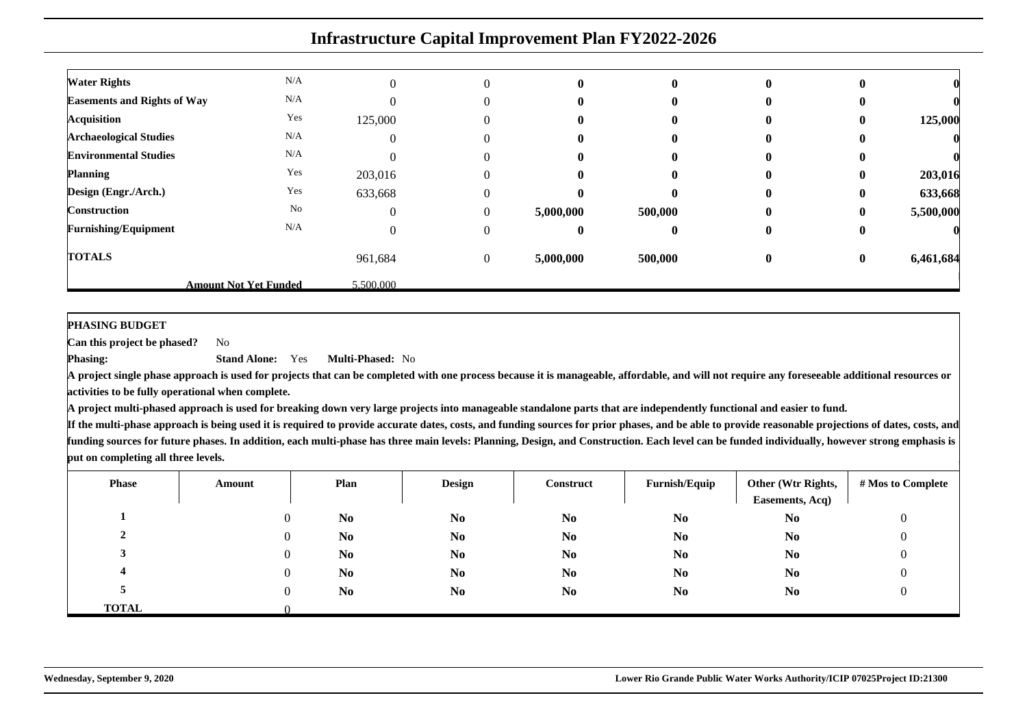|                                    | <b>Infrastructure Capital Improvement Plan FY2022-2026</b> |           |                  |           |              |                  |              |           |  |
|------------------------------------|------------------------------------------------------------|-----------|------------------|-----------|--------------|------------------|--------------|-----------|--|
| <b>Water Rights</b>                | N/A                                                        | $\Omega$  | $\Omega$         | 0         | $\mathbf{0}$ | $\mathbf{0}$     |              |           |  |
| <b>Easements and Rights of Way</b> | N/A                                                        |           | $\theta$         | 0         | 0            | $\mathbf{0}$     |              |           |  |
| <b>Acquisition</b>                 | Yes                                                        | 125,000   | $\Omega$         |           |              | 0                | 0            | 125,000   |  |
| <b>Archaeological Studies</b>      | N/A                                                        | 0         | $\Omega$         | o         | $\mathbf{0}$ | 0                |              |           |  |
| <b>Environmental Studies</b>       | N/A                                                        |           | 0                |           |              |                  |              |           |  |
| <b>Planning</b>                    | Yes                                                        | 203,016   | $\Omega$         |           |              | 0                | 0            | 203,016   |  |
| Design (Engr./Arch.)               | Yes                                                        | 633,668   | $\Omega$         | 0         | $\mathbf{0}$ | 0                | $\mathbf{0}$ | 633,668   |  |
| <b>Construction</b>                | No                                                         | 0         | $\Omega$         | 5,000,000 | 500,000      | 0                | 0            | 5,500,000 |  |
| <b>Furnishing/Equipment</b>        | N/A                                                        | $\Omega$  | $\theta$         | 0         | $\mathbf{0}$ | $\bf{0}$         | $\mathbf{0}$ |           |  |
| <b>TOTALS</b>                      |                                                            | 961,684   | $\boldsymbol{0}$ | 5,000,000 | 500,000      | $\boldsymbol{0}$ | $\bf{0}$     | 6,461,684 |  |
|                                    | <b>Amount Not Yet Funded</b>                               | 5,500,000 |                  |           |              |                  |              |           |  |

**PHASING BUDGET**

**Phasing:**

 **Can this project be phased?**No

> **Stand Alone:** Yes**Multi-Phased:** No

 **A project single phase approach is used for projects that can be completed with one process because it is manageable, affordable, and will not require any foreseeable additional resources oractivities to be fully operational when complete.**

**A project multi-phased approach is used for breaking down very large projects into manageable standalone parts that are independently functional and easier to fund.**

| <b>Phase</b> | Amount   | Plan           | <b>Design</b>  | Construct      | Furnish/Equip  | Other (Wtr Rights,<br>Easements, Acq) | # Mos to Complete |
|--------------|----------|----------------|----------------|----------------|----------------|---------------------------------------|-------------------|
|              | $\Omega$ | N <sub>0</sub> | N <sub>0</sub> | N <sub>0</sub> | N <sub>0</sub> | N <sub>0</sub>                        | 0                 |
|              | $\Omega$ | N <sub>0</sub> | N <sub>0</sub> | N <sub>0</sub> | N <sub>0</sub> | N <sub>0</sub>                        | 0                 |
|              | $\theta$ | N <sub>0</sub> | N <sub>0</sub> | N <sub>0</sub> | N <sub>0</sub> | N <sub>0</sub>                        | O                 |
|              | $\Omega$ | N <sub>0</sub> | N <sub>0</sub> | N <sub>0</sub> | N <sub>0</sub> | N <sub>0</sub>                        | 0                 |
|              | $\Omega$ | N <sub>0</sub> | N <sub>0</sub> | N <sub>0</sub> | N <sub>0</sub> | N <sub>0</sub>                        |                   |
| <b>TOTAL</b> |          |                |                |                |                |                                       |                   |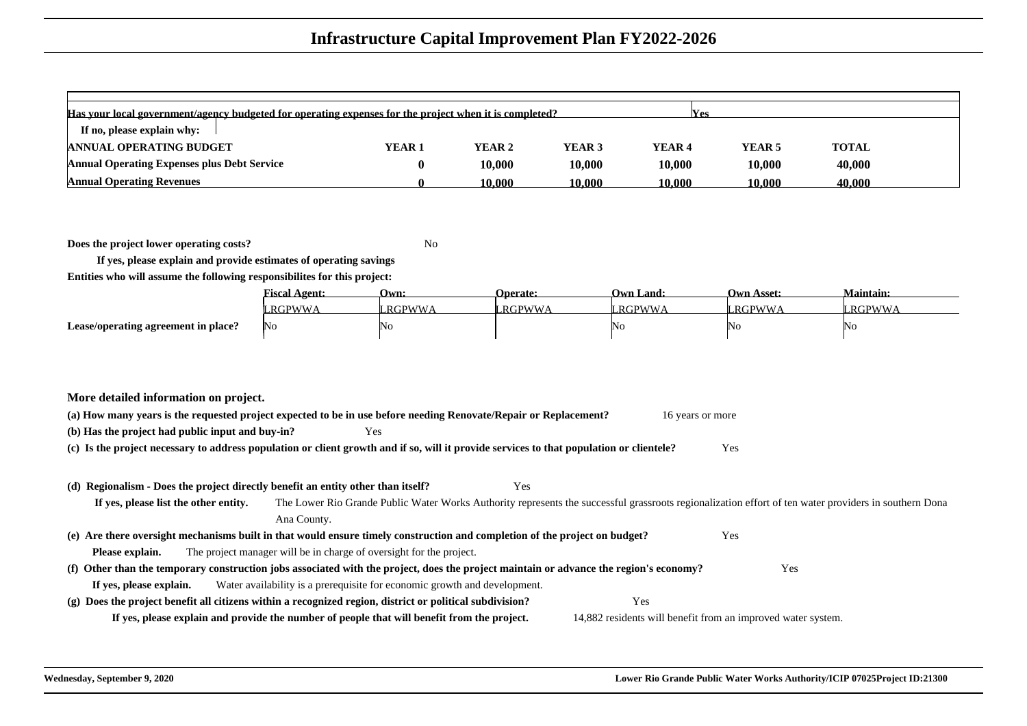| Has your local government/agency budgeted for operating expenses for the project when it is completed?<br><b>Nes</b> |                   |        |                   |        |                   |              |  |
|----------------------------------------------------------------------------------------------------------------------|-------------------|--------|-------------------|--------|-------------------|--------------|--|
| If no, please explain why:                                                                                           |                   |        |                   |        |                   |              |  |
| <b>ANNUAL OPERATING BUDGET</b>                                                                                       | YEAR <sub>1</sub> | YEAR 2 | YEAR <sub>3</sub> | YEAR 4 | YEAR <sub>5</sub> | <b>TOTAL</b> |  |
| <b>Annual Operating Expenses plus Debt Service</b>                                                                   |                   | 10.000 | 10.000            | 10,000 | 10,000            | 40,000       |  |
| <b>Annual Operating Revenues</b>                                                                                     |                   | 10.000 | 10.000            | 10.000 | 10.000            | 40.000       |  |

**Does the project lower operating costs?**<sup>2</sup> No

**If yes, please explain and provide estimates of operating savingsEntities who will assume the following responsibilites for this project:**

|                                     | <b>Fiscal Agent:</b> | Own:          | <b>Operate:</b> | <b>Own Land:</b> | <b>Own Asset:</b> | Maintain: |
|-------------------------------------|----------------------|---------------|-----------------|------------------|-------------------|-----------|
|                                     | RGPWWA               | <b>RGPWWA</b> | " RGPWWA        | `RGPWWA          | <b>RGPWWA</b>     | RGPWW     |
| Lease/operating agreement in place? | No                   | 'No           |                 | NU               | 4N G              | 'NG       |

|  |  | More detailed information on project. |  |  |
|--|--|---------------------------------------|--|--|
|--|--|---------------------------------------|--|--|

| (a) How many years is the requested project expected to be in use before needing Renovate/Repair or Replacement? |      | 16 years or more |
|------------------------------------------------------------------------------------------------------------------|------|------------------|
| (b) Has the project had public input and buy-in?                                                                 | Yes. |                  |

**(c) Is the project necessary to address population or client growth and if so, will it provide services to that population or clientele?**Yes

#### **(d) Regionalism - Does the project directly benefit an entity other than itself?**

Yes

**If yes, please list the other entity.** The Lower Rio Grande Public Water Works Authority represents the successful grassroots regionalization effort of ten water providers in southern DonaAna County.**(e) Are there oversight mechanisms built in that would ensure timely construction and completion of the project on budget?**Yes

**Please explain.**The project manager will be in charge of oversight for the project.

#### **(f) Other than the temporary construction jobs associated with the project, does the project maintain or advance the region's economy?** Yes **If yes, please explain.**Water availability is a prerequisite for economic growth and development.

**(g) Does the project benefit all citizens within a recognized region, district or political subdivision?**Yes

**If yes, please explain and provide the number of people that will benefit from the project.**

14,882 residents will benefit from an improved water system.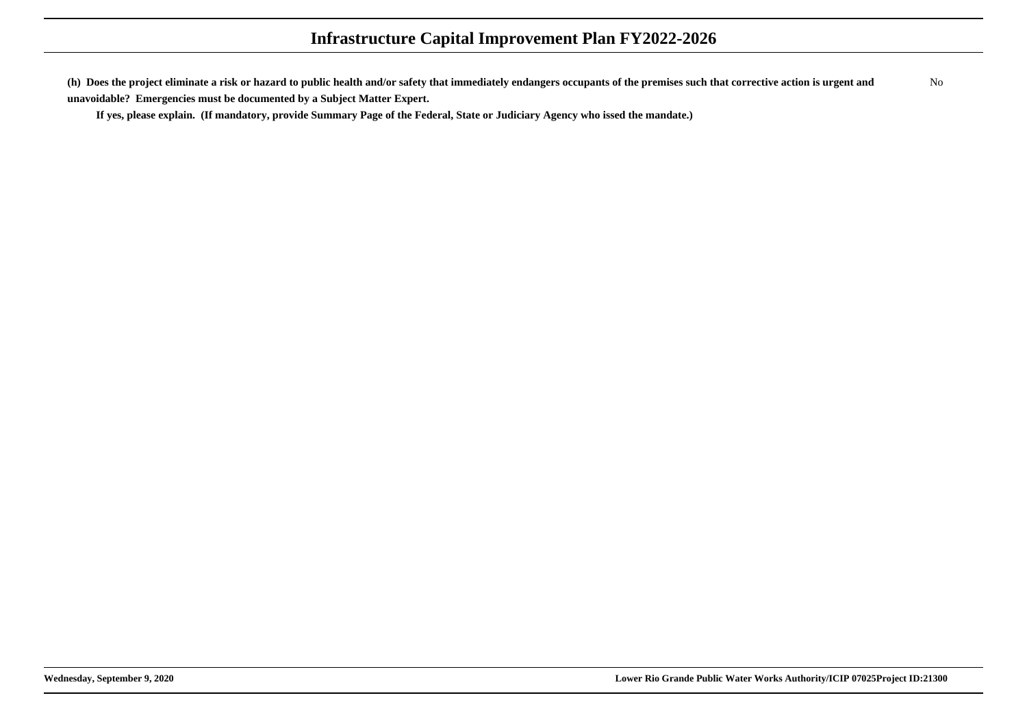**(h) Does the project eliminate a risk or hazard to public health and/or safety that immediately endangers occupants of the premises such that corrective action is urgent andunavoidable? Emergencies must be documented by a Subject Matter Expert.**No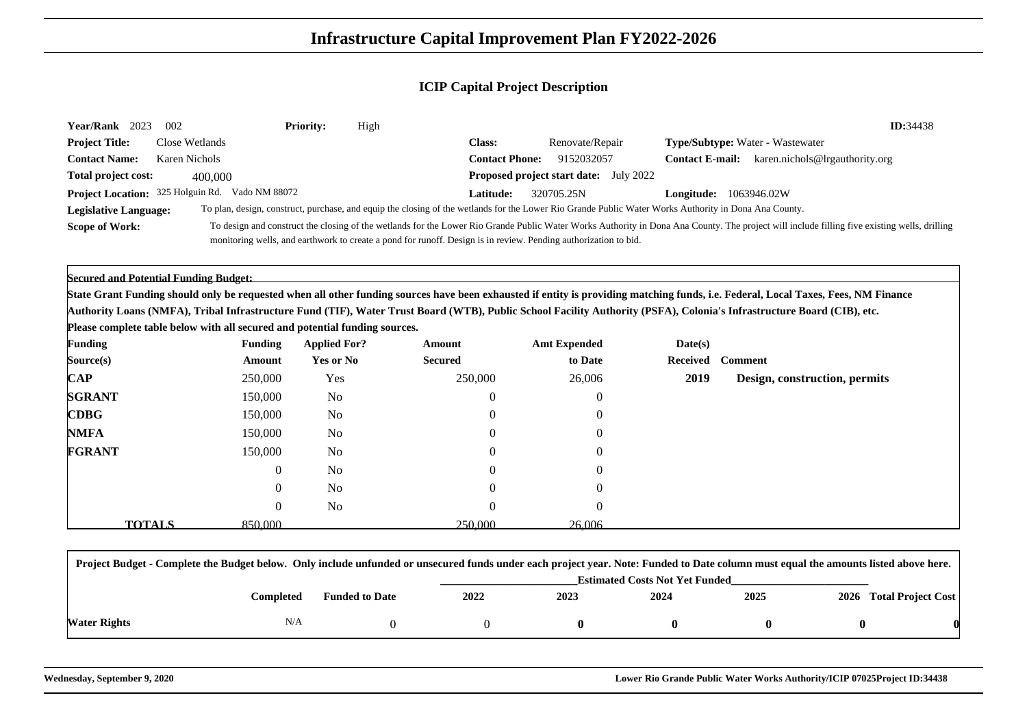| Year/Rank 2023             | 002                                             | <b>Priority:</b> | High |                       |                                                                                                                                                       |                        |                                                                                                                                                                                              | ID:34438 |
|----------------------------|-------------------------------------------------|------------------|------|-----------------------|-------------------------------------------------------------------------------------------------------------------------------------------------------|------------------------|----------------------------------------------------------------------------------------------------------------------------------------------------------------------------------------------|----------|
| <b>Project Title:</b>      | Close Wetlands                                  |                  |      | Class:                | Renovate/Repair                                                                                                                                       |                        | <b>Type/Subtype:</b> Water - Wastewater                                                                                                                                                      |          |
| <b>Contact Name:</b>       | Karen Nichols                                   |                  |      | <b>Contact Phone:</b> | 9152032057                                                                                                                                            | <b>Contact E-mail:</b> | karen.nichols@lrgauthority.org                                                                                                                                                               |          |
| <b>Total project cost:</b> | 400,000                                         |                  |      |                       | <b>Proposed project start date:</b> July 2022                                                                                                         |                        |                                                                                                                                                                                              |          |
|                            | Project Location: 325 Holguin Rd. Vado NM 88072 |                  |      | <b>Latitude:</b>      | 320705.25N                                                                                                                                            | Longitude:             | 1063946.02W                                                                                                                                                                                  |          |
| Legislative Language:      |                                                 |                  |      |                       | To plan, design, construct, purchase, and equip the closing of the wetlands for the Lower Rio Grande Public Water Works Authority in Dona Ana County. |                        |                                                                                                                                                                                              |          |
| <b>Scope of Work:</b>      |                                                 |                  |      |                       |                                                                                                                                                       |                        | To design and construct the closing of the wetlands for the Lower Rio Grande Public Water Works Authority in Dona Ana County. The project will include filling five existing wells, drilling |          |
|                            |                                                 |                  |      |                       | monitoring wells, and earthwork to create a pond for runoff. Design is in review. Pending authorization to bid.                                       |                        |                                                                                                                                                                                              |          |

**Secured and Potential Funding Budget:**

**State Grant Funding should only be requested when all other funding sources have been exhausted if entity is providing matching funds, i.e. Federal, Local Taxes, Fees, NM FinanceAuthority Loans (NMFA), Tribal Infrastructure Fund (TIF), Water Trust Board (WTB), Public School Facility Authority (PSFA), Colonia's Infrastructure Board (CIB), etc.**

**Please complete table below with all secured and potential funding sources.**

| <b>Funding</b>                             | <b>Funding</b> | <b>Applied For?</b> | Amount           | <b>Amt Expended</b> | Date(s) |                               |
|--------------------------------------------|----------------|---------------------|------------------|---------------------|---------|-------------------------------|
| Source(s)                                  | Amount         | Yes or No           | <b>Secured</b>   | to Date             |         | Received Comment              |
| $\bf CAP$                                  | 250,000        | Yes                 | 250,000          | 26,006              | 2019    | Design, construction, permits |
| <b>SGRANT</b>                              | 150,000        | No                  | $\boldsymbol{0}$ | $\theta$            |         |                               |
| $\mathbf{C}\mathbf{D}\mathbf{B}\mathbf{G}$ | 150,000        | No                  | $\theta$         | $\Omega$            |         |                               |
| <b>NMFA</b>                                | 150,000        | No                  | $\mathbf{0}$     | $\Omega$            |         |                               |
| <b>FGRANT</b>                              | 150,000        | N <sub>0</sub>      | $\theta$         |                     |         |                               |
|                                            | 0              | No                  | $\theta$         | -0                  |         |                               |
|                                            | $\theta$       | N <sub>0</sub>      | 0                |                     |         |                               |
|                                            | $\theta$       | No                  | $\theta$         | $\Omega$            |         |                               |
| <b>TOTALS</b>                              | 850,000        |                     | 250,000          | 26,006              |         |                               |

|              | Project Budget - Complete the Budget below. Only include unfunded or unsecured funds under each project year. Note: Funded to Date column must equal the amounts listed above here. |                       |                                       |      |      |      |  |                         |  |  |  |
|--------------|-------------------------------------------------------------------------------------------------------------------------------------------------------------------------------------|-----------------------|---------------------------------------|------|------|------|--|-------------------------|--|--|--|
|              |                                                                                                                                                                                     |                       | <b>Estimated Costs Not Yet Funded</b> |      |      |      |  |                         |  |  |  |
|              | Completed                                                                                                                                                                           | <b>Funded to Date</b> | 2022                                  | 2023 | 2024 | 2025 |  | 2026 Total Project Cost |  |  |  |
| Water Rights | N/A                                                                                                                                                                                 |                       |                                       |      |      |      |  |                         |  |  |  |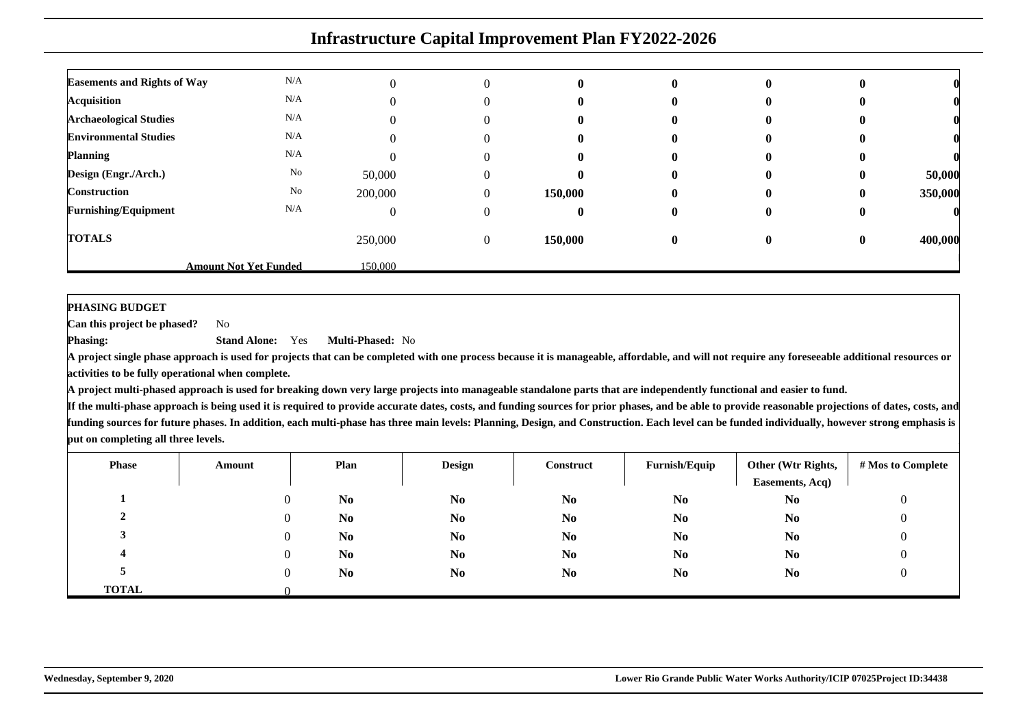| <b>Infrastructure Capital Improvement Plan FY2022-2026</b> |                              |         |                |              |              |   |          |         |  |  |
|------------------------------------------------------------|------------------------------|---------|----------------|--------------|--------------|---|----------|---------|--|--|
| <b>Easements and Rights of Way</b>                         | N/A                          |         |                |              |              |   |          |         |  |  |
|                                                            | N/A                          |         | 0              | 0            | $\mathbf{0}$ | 0 |          |         |  |  |
| <b>Acquisition</b>                                         |                              |         |                |              |              |   |          |         |  |  |
| <b>Archaeological Studies</b>                              | N/A                          |         |                |              |              |   |          |         |  |  |
| <b>Environmental Studies</b>                               | N/A                          |         |                | $\mathbf{0}$ |              |   |          |         |  |  |
| <b>Planning</b>                                            | N/A                          |         | 0              | o            | $\mathbf{0}$ | o |          |         |  |  |
| Design (Engr./Arch.)                                       | No                           | 50,000  | 0              | 0            |              | O |          | 50,000  |  |  |
| <b>Construction</b>                                        | No                           | 200,000 | $\Omega$       | 150,000      |              | 0 |          | 350,000 |  |  |
| <b>Furnishing/Equipment</b>                                | N/A                          |         | 0              | o            | 0            | o |          |         |  |  |
| <b>TOTALS</b>                                              |                              | 250,000 | $\overline{0}$ | 150,000      | $\mathbf{0}$ | 0 | $\bf{0}$ | 400,000 |  |  |
|                                                            | <b>Amount Not Yet Funded</b> | 150,000 |                |              |              |   |          |         |  |  |

#### **PHASING BUDGET**

 **Can this project be phased?**No

**Phasing: Stand Alone:** Yes**Multi-Phased:** No

 **A project single phase approach is used for projects that can be completed with one process because it is manageable, affordable, and will not require any foreseeable additional resources oractivities to be fully operational when complete.**

**A project multi-phased approach is used for breaking down very large projects into manageable standalone parts that are independently functional and easier to fund.**

| <b>Phase</b> | Amount | Plan           | <b>Design</b>  | <b>Construct</b> | Furnish/Equip  | Other (Wtr Rights,<br>Easements, Acq) | # Mos to Complete |
|--------------|--------|----------------|----------------|------------------|----------------|---------------------------------------|-------------------|
|              |        | N <sub>0</sub> | N <sub>0</sub> | N <sub>0</sub>   | N <sub>0</sub> | N <sub>0</sub>                        | υ                 |
|              |        | N <sub>0</sub> | N <sub>0</sub> | N <sub>0</sub>   | N <sub>0</sub> | N <sub>0</sub>                        |                   |
|              |        | N <sub>0</sub> | N <sub>0</sub> | N <sub>0</sub>   | N <sub>0</sub> | N <sub>0</sub>                        |                   |
|              |        | N <sub>0</sub> | N <sub>0</sub> | N <sub>0</sub>   | N <sub>0</sub> | N <sub>0</sub>                        |                   |
|              |        | N <sub>0</sub> | N <sub>0</sub> | N <sub>0</sub>   | N <sub>0</sub> | N <sub>0</sub>                        |                   |
| <b>TOTAL</b> |        |                |                |                  |                |                                       |                   |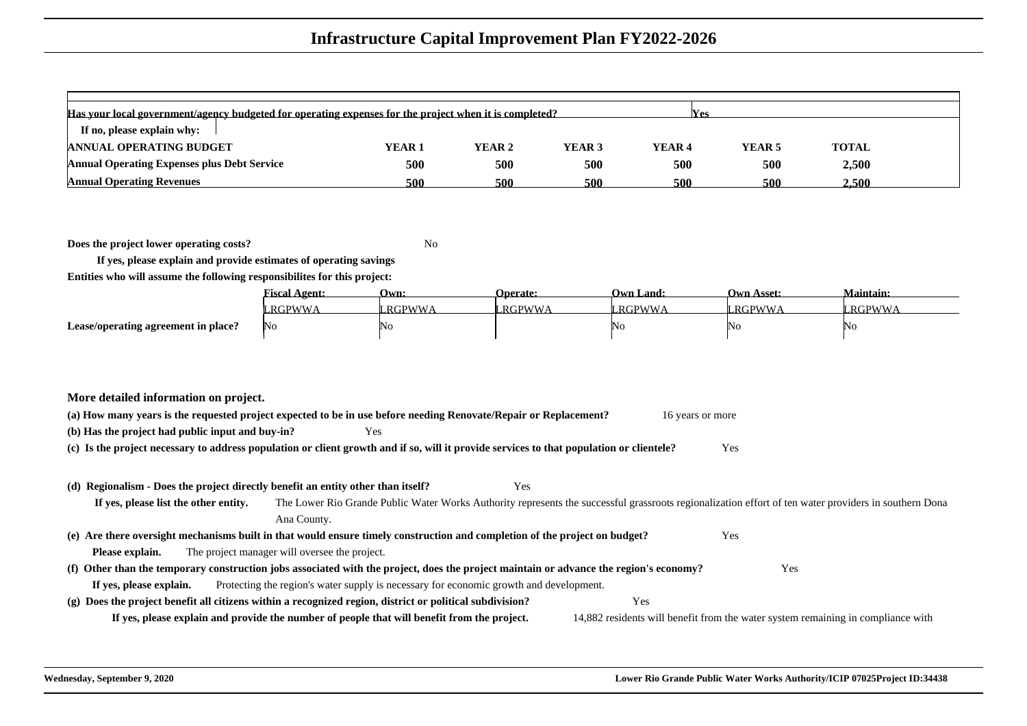| Has your local government/agency budgeted for operating expenses for the project when it is completed?<br><b>Yes</b> |        |        |        |                   |                   |              |  |  |  |  |
|----------------------------------------------------------------------------------------------------------------------|--------|--------|--------|-------------------|-------------------|--------------|--|--|--|--|
| If no, please explain why:                                                                                           |        |        |        |                   |                   |              |  |  |  |  |
| <b>ANNUAL OPERATING BUDGET</b>                                                                                       | YEAR 1 | YEAR 2 | YEAR 3 | YEAR <sub>4</sub> | YEAR <sub>5</sub> | <b>TOTAL</b> |  |  |  |  |
| <b>Annual Operating Expenses plus Debt Service</b>                                                                   | 500    | 500    | 500    | 500               | 500               | 2,500        |  |  |  |  |
| <b>Annual Operating Revenues</b>                                                                                     | 500    | 500    | 500    | 500               | 500               | 2.500        |  |  |  |  |

**Does the project lower operating costs?**<sup>2</sup> No

**If yes, please explain and provide estimates of operating savingsEntities who will assume the following responsibilites for this project:**

|                                     | Fiscal Agent: | Own:                  | <b>Operate:</b> | Own Land:     | Own Asset:     | <b>Maintain:</b> |
|-------------------------------------|---------------|-----------------------|-----------------|---------------|----------------|------------------|
|                                     | RGPWWA        | <sup>'</sup> ' RGPWWA | RGPWWA          | <b>RGPWWA</b> | <b>LRGPWWA</b> | ' RGPWWA         |
| Lease/operating agreement in place? | N0.           | 'NC                   |                 | INC           | ΙNΟ            | ΙNο              |

|  |  | More detailed information on project. |  |  |
|--|--|---------------------------------------|--|--|
|--|--|---------------------------------------|--|--|

| (a) How many years is the requested project expected to be in use before needing Renovate/Repair or Replacement? |     | 16 years or more |
|------------------------------------------------------------------------------------------------------------------|-----|------------------|
| (b) Has the project had public input and buy-in?                                                                 | Yes |                  |

**(c) Is the project necessary to address population or client growth and if so, will it provide services to that population or clientele?**Yes

#### **(d) Regionalism - Does the project directly benefit an entity other than itself?**Yes

**If yes, please list the other entity.** The Lower Rio Grande Public Water Works Authority represents the successful grassroots regionalization effort of ten water providers in southern DonaAna County.**(e) Are there oversight mechanisms built in that would ensure timely construction and completion of the project on budget?**Yes

**Please explain.**The project manager will oversee the project.

#### **(f) Other than the temporary construction jobs associated with the project, does the project maintain or advance the region's economy?** Yes **If yes, please explain.** Protecting the region's water supply is necessary for economic growth and development. **(g) Does the project benefit all citizens within a recognized region, district or political subdivision?**Yes

**If yes, please explain and provide the number of people that will benefit from the project.**

14,882 residents will benefit from the water system remaining in compliance with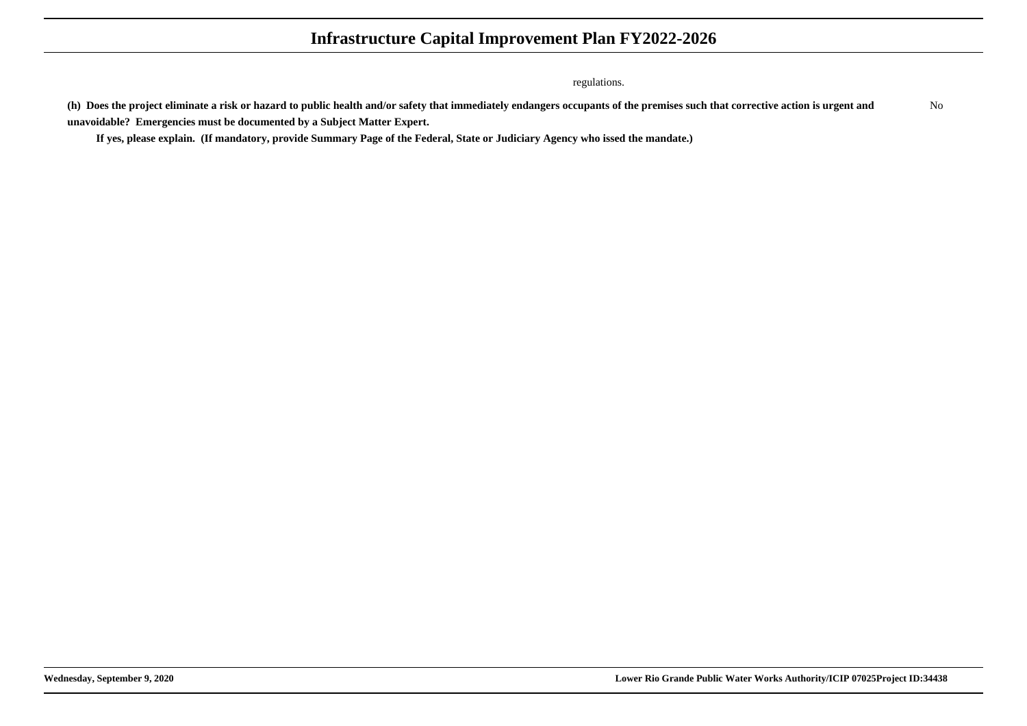regulations.

**(h) Does the project eliminate a risk or hazard to public health and/or safety that immediately endangers occupants of the premises such that corrective action is urgent andunavoidable? Emergencies must be documented by a Subject Matter Expert.**No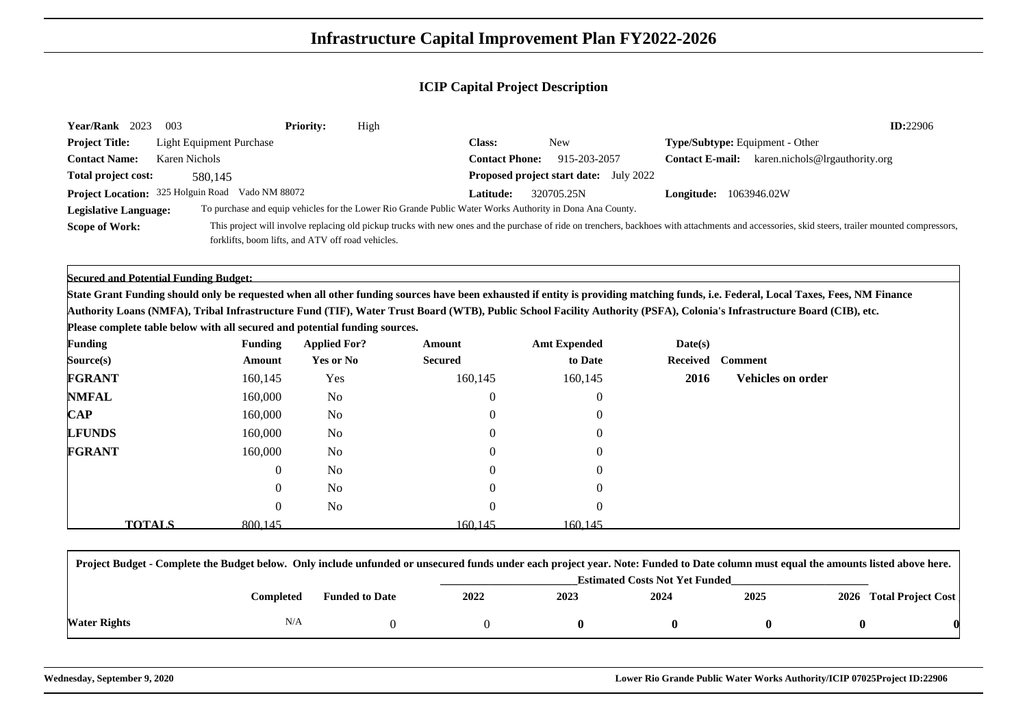| Year/Rank 2023                            | 003                                               | <b>Priority:</b> | High                                                                                                     |                       |                                               |                                                                                                                                                                                                 | ID:22906 |
|-------------------------------------------|---------------------------------------------------|------------------|----------------------------------------------------------------------------------------------------------|-----------------------|-----------------------------------------------|-------------------------------------------------------------------------------------------------------------------------------------------------------------------------------------------------|----------|
| <b>Project Title:</b>                     | <b>Light Equipment Purchase</b>                   |                  |                                                                                                          | <b>Class:</b>         | New                                           | <b>Type/Subtype:</b> Equipment - Other                                                                                                                                                          |          |
| <b>Contact Name:</b>                      | Karen Nichols                                     |                  |                                                                                                          | <b>Contact Phone:</b> | 915-203-2057                                  | karen.nichols@lrgauthority.org<br><b>Contact E-mail:</b>                                                                                                                                        |          |
| Total project cost:                       | 580.145                                           |                  |                                                                                                          |                       | <b>Proposed project start date:</b> July 2022 |                                                                                                                                                                                                 |          |
| <b>Project Location:</b> 325 Holguin Road | Vado NM 88072                                     |                  |                                                                                                          | <b>Latitude:</b>      | 320705.25N                                    | 1063946.02W<br><b>Longitude:</b>                                                                                                                                                                |          |
| Legislative Language:                     |                                                   |                  | To purchase and equip vehicles for the Lower Rio Grande Public Water Works Authority in Dona Ana County. |                       |                                               |                                                                                                                                                                                                 |          |
| <b>Scope of Work:</b>                     |                                                   |                  |                                                                                                          |                       |                                               | This project will involve replacing old pickup trucks with new ones and the purchase of ride on trenchers, backhoes with attachments and accessories, skid steers, trailer mounted compressors, |          |
|                                           | forklifts, boom lifts, and ATV off road vehicles. |                  |                                                                                                          |                       |                                               |                                                                                                                                                                                                 |          |

**Secured and Potential Funding Budget:**

**State Grant Funding should only be requested when all other funding sources have been exhausted if entity is providing matching funds, i.e. Federal, Local Taxes, Fees, NM FinanceAuthority Loans (NMFA), Tribal Infrastructure Fund (TIF), Water Trust Board (WTB), Public School Facility Authority (PSFA), Colonia's Infrastructure Board (CIB), etc.**

**Please complete table below with all secured and potential funding sources.**

| <b>Funding</b> | <b>Funding</b> | <b>Applied For?</b> | Amount           | <b>Amt Expended</b> | Date(s) |                   |
|----------------|----------------|---------------------|------------------|---------------------|---------|-------------------|
| Source(s)      | Amount         | Yes or No           | <b>Secured</b>   | to Date             |         | Received Comment  |
| <b>FGRANT</b>  | 160,145        | Yes                 | 160,145          | 160,145             | 2016    | Vehicles on order |
| <b>NMFAL</b>   | 160,000        | No                  | $\boldsymbol{0}$ | $\overline{0}$      |         |                   |
| $\mathbf{CAP}$ | 160,000        | No                  | $\mathbf{0}$     | $\overline{0}$      |         |                   |
| <b>LFUNDS</b>  | 160,000        | N <sub>o</sub>      | $\mathbf{0}$     | $\overline{0}$      |         |                   |
| <b>FGRANT</b>  | 160,000        | No                  | $\mathbf{0}$     | $\overline{0}$      |         |                   |
|                | $\overline{0}$ | N <sub>o</sub>      | $\theta$         | $\Omega$            |         |                   |
|                | $\overline{0}$ | N <sub>o</sub>      |                  | $\overline{0}$      |         |                   |
|                | $\theta$       | N <sub>o</sub>      | $\Omega$         | $\Omega$            |         |                   |
| <b>TOTALS</b>  | 800.145        |                     | 160.145          | 160.145             |         |                   |

|              | Project Budget - Complete the Budget below. Only include unfunded or unsecured funds under each project year. Note: Funded to Date column must equal the amounts listed above here. |                                       |      |      |      |      |  |                         |  |  |
|--------------|-------------------------------------------------------------------------------------------------------------------------------------------------------------------------------------|---------------------------------------|------|------|------|------|--|-------------------------|--|--|
|              |                                                                                                                                                                                     | <b>Estimated Costs Not Yet Funded</b> |      |      |      |      |  |                         |  |  |
|              | Completed                                                                                                                                                                           | <b>Funded to Date</b>                 | 2022 | 2023 | 2024 | 2025 |  | 2026 Total Project Cost |  |  |
| Water Rights | N/A                                                                                                                                                                                 |                                       |      |      |      |      |  |                         |  |  |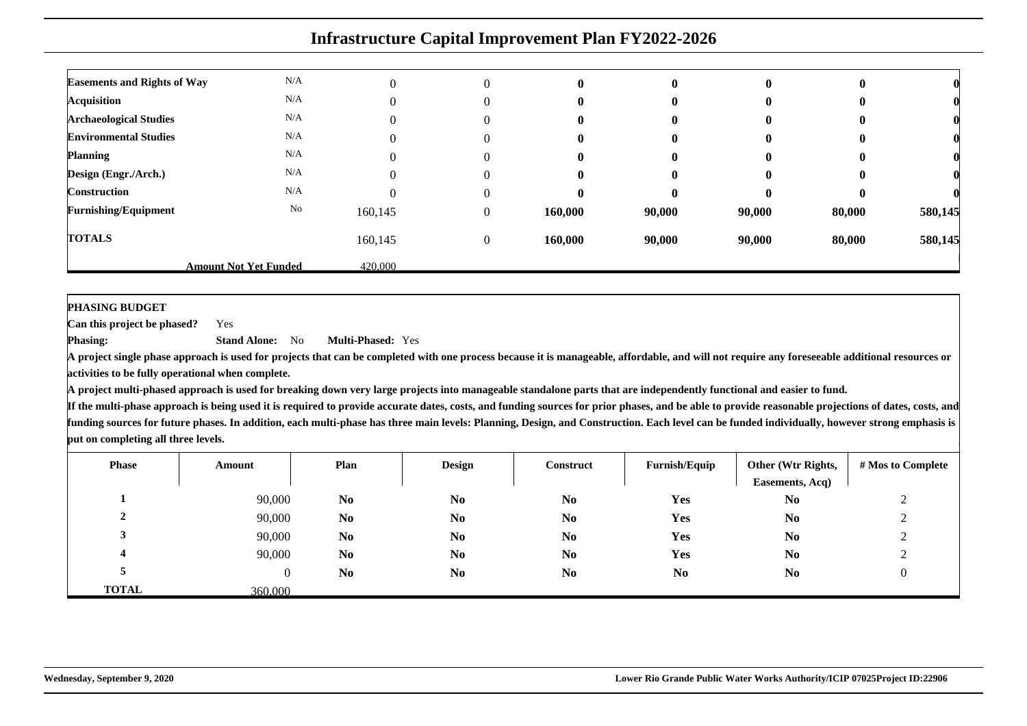|                                    | <b>Infrastructure Capital Improvement Plan FY2022-2026</b> |         |                  |         |          |        |        |         |  |  |  |  |
|------------------------------------|------------------------------------------------------------|---------|------------------|---------|----------|--------|--------|---------|--|--|--|--|
| <b>Easements and Rights of Way</b> | N/A                                                        |         | $\Omega$         | 0       | $\bf{0}$ | 0      |        |         |  |  |  |  |
| <b>Acquisition</b>                 | N/A                                                        |         | 0                | 0       | 0        |        |        |         |  |  |  |  |
| <b>Archaeological Studies</b>      | N/A                                                        |         | 0                | 0       | 0        |        |        |         |  |  |  |  |
| <b>Environmental Studies</b>       | N/A                                                        |         | 0                | 0       | 0        |        |        |         |  |  |  |  |
| <b>Planning</b>                    | N/A                                                        | 0       | $\Omega$         | 0       | 0        | O      |        |         |  |  |  |  |
| Design (Engr./Arch.)               | N/A                                                        |         | 0                | 0       | 0        |        |        |         |  |  |  |  |
| <b>Construction</b>                | N/A                                                        |         | 0                |         | 0        |        |        |         |  |  |  |  |
| <b>Furnishing/Equipment</b>        | No                                                         | 160,145 | 0                | 160,000 | 90,000   | 90,000 | 80,000 | 580,145 |  |  |  |  |
| <b>TOTALS</b>                      |                                                            | 160,145 | $\boldsymbol{0}$ | 160,000 | 90,000   | 90,000 | 80,000 | 580,145 |  |  |  |  |
|                                    | <b>Amount Not Yet Funded</b>                               | 420,000 |                  |         |          |        |        |         |  |  |  |  |

**PHASING BUDGET**

 **Can this project be phased?**Yes

**Phasing: Stand Alone:** No**Multi-Phased:** Yes

**A project single phase approach is used for projects that can be completed with one process because it is manageable, affordable, and will not require any foreseeable additional resources oractivities to be fully operational when complete.**

**A project multi-phased approach is used for breaking down very large projects into manageable standalone parts that are independently functional and easier to fund.**

| <b>Phase</b> | Amount  | Plan           | <b>Design</b>  | Construct      | Furnish/Equip  | Other (Wtr Rights,<br>Easements, Acq) | # Mos to Complete |
|--------------|---------|----------------|----------------|----------------|----------------|---------------------------------------|-------------------|
|              | 90,000  | N <sub>0</sub> | N <sub>0</sub> | N <sub>0</sub> | Yes            | N <sub>0</sub>                        |                   |
| ∠            | 90,000  | N <sub>0</sub> | N <sub>0</sub> | N <sub>0</sub> | <b>Yes</b>     | N <sub>0</sub>                        | ∸                 |
|              | 90,000  | N <sub>0</sub> | N <sub>0</sub> | N <sub>0</sub> | Yes            | N <sub>0</sub>                        |                   |
|              | 90,000  | N <sub>0</sub> | N <sub>0</sub> | N <sub>0</sub> | Yes            | N <sub>0</sub>                        | ∠                 |
|              | O       | N <sub>0</sub> | N <sub>0</sub> | N <sub>0</sub> | N <sub>0</sub> | N <sub>0</sub>                        |                   |
| <b>TOTAL</b> | 360,000 |                |                |                |                |                                       |                   |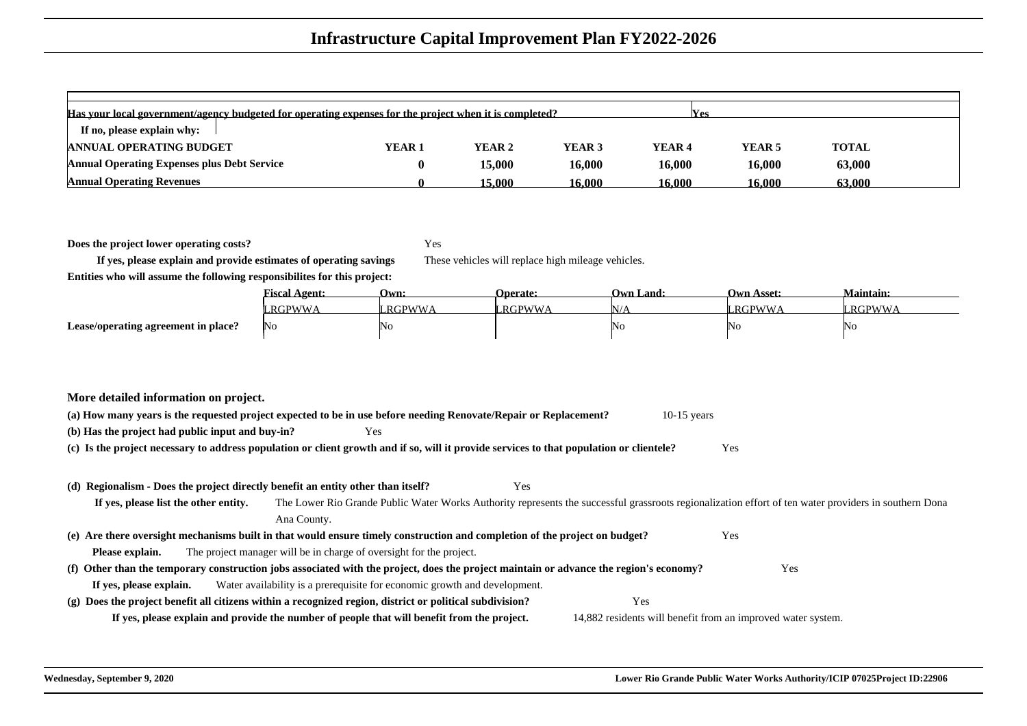| Has your local government/agency budgeted for operating expenses for the project when it is completed?<br><b>Yes</b> |        |        |        |                   |                   |        |  |  |  |  |  |
|----------------------------------------------------------------------------------------------------------------------|--------|--------|--------|-------------------|-------------------|--------|--|--|--|--|--|
| If no, please explain why:                                                                                           |        |        |        |                   |                   |        |  |  |  |  |  |
| <b>ANNUAL OPERATING BUDGET</b>                                                                                       | YEAR 1 | YEAR 2 | YEAR 3 | YEAR <sub>4</sub> | YEAR <sub>5</sub> | TOTAL  |  |  |  |  |  |
| <b>Annual Operating Expenses plus Debt Service</b>                                                                   |        | 15,000 | 16.000 | 16,000            | 16,000            | 63,000 |  |  |  |  |  |
| <b>Annual Operating Revenues</b>                                                                                     |        | 15.000 | 16.000 | 16.000            | 16.000            | 63,000 |  |  |  |  |  |

**Does the project lower operating costs?**

Yes

These vehicles will replace high mileage vehicles.

**If yes, please explain and provide estimates of operating savingsEntities who will assume the following responsibilites for this project:**

|                                     | <b>Fiscal Agent:</b> | Own:         | <b>Operate:</b> | <b>Own Land:</b> | Own Asset: | Maintain: |
|-------------------------------------|----------------------|--------------|-----------------|------------------|------------|-----------|
|                                     | '.RGPWWA             | <b>RGPWW</b> | '.RGPWWA        |                  | RGPWWA     | RGPWWA    |
| Lease/operating agreement in place? | - INO                | ΙNο          |                 | NC               | 'NC        | 'NG       |

| (a) How many vears is the requested project expected to be in use before needing Renovate/Repair or Replacement?<br>$10-15$ years               |     |  |  |  |  |  |  |  |  |  |
|-------------------------------------------------------------------------------------------------------------------------------------------------|-----|--|--|--|--|--|--|--|--|--|
| (b) Has the project had public input and buy-in?<br>Y es                                                                                        |     |  |  |  |  |  |  |  |  |  |
| (c) Is the project necessary to address population or client growth and if so, will it provide services to that population or clientele?<br>Yes |     |  |  |  |  |  |  |  |  |  |
|                                                                                                                                                 |     |  |  |  |  |  |  |  |  |  |
| (d) Regionalism - Does the project directly benefit an entity other than itself?                                                                | Yes |  |  |  |  |  |  |  |  |  |

**If yes, please list the other entity.** The Lower Rio Grande Public Water Works Authority represents the successful grassroots regionalization effort of ten water providers in southern DonaAna County.**(e) Are there oversight mechanisms built in that would ensure timely construction and completion of the project on budget?** Yes **Please explain.** The project manager will be in charge of oversight for the project. **(f) Other than the temporary construction jobs associated with the project, does the project maintain or advance the region's economy?** Yes **If yes, please explain.** Water availability is a prerequisite for economic growth and development. **(g) Does the project benefit all citizens within a recognized region, district or political subdivision?** Yes **If yes, please explain and provide the number of people that will benefit from the project.**14,882 residents will benefit from an improved water system.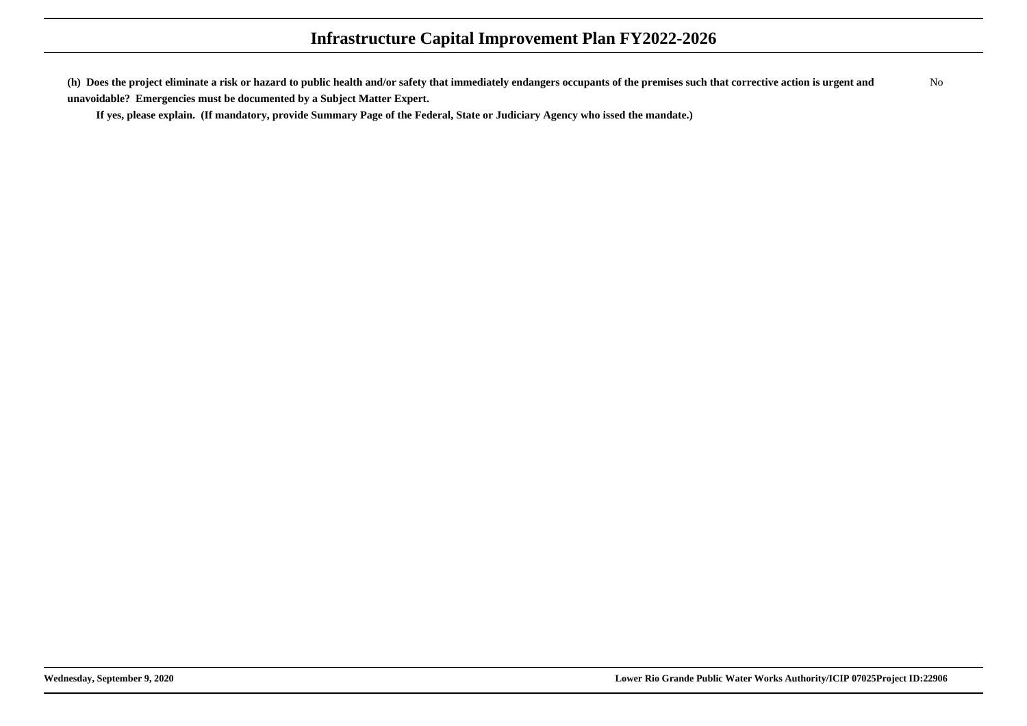**(h) Does the project eliminate a risk or hazard to public health and/or safety that immediately endangers occupants of the premises such that corrective action is urgent andunavoidable? Emergencies must be documented by a Subject Matter Expert.**No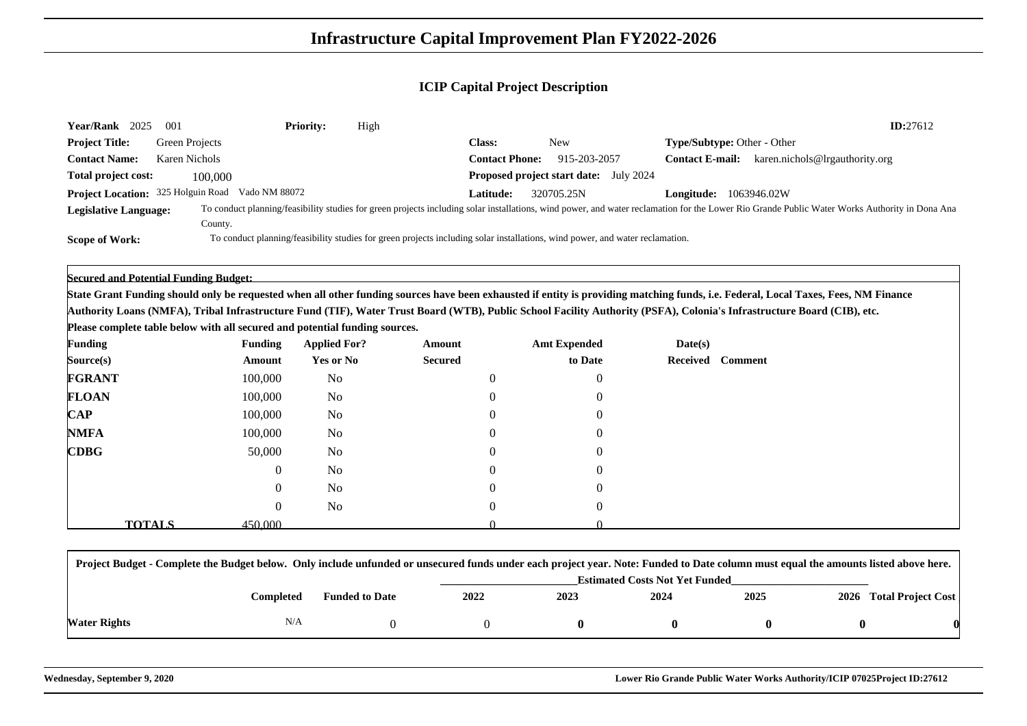| <b>Year/Rank</b><br>2025           | 001            | <b>Priority:</b> | High |                              |                                                                                                                              |                                    | ID:27612                                                                                                                                                                                      |
|------------------------------------|----------------|------------------|------|------------------------------|------------------------------------------------------------------------------------------------------------------------------|------------------------------------|-----------------------------------------------------------------------------------------------------------------------------------------------------------------------------------------------|
| <b>Project Title:</b>              | Green Projects |                  |      | Class:                       | New                                                                                                                          | <b>Type/Subtype: Other - Other</b> |                                                                                                                                                                                               |
| <b>Contact Name:</b>               | Karen Nichols  |                  |      | <b>Contact Phone:</b>        | 915-203-2057                                                                                                                 | <b>Contact E-mail:</b>             | karen.nichols@lrgauthority.org                                                                                                                                                                |
| Total project cost:                | 100,000        |                  |      | Proposed project start date: | July 2024                                                                                                                    |                                    |                                                                                                                                                                                               |
| Project Location: 325 Holguin Road |                | Vado NM 88072    |      | <b>Latitude:</b>             | 320705.25N                                                                                                                   | <b>Longitude:</b>                  | 1063946.02W                                                                                                                                                                                   |
| <b>Legislative Language:</b>       | County.        |                  |      |                              |                                                                                                                              |                                    | To conduct planning/feasibility studies for green projects including solar installations, wind power, and water reclamation for the Lower Rio Grande Public Water Works Authority in Dona Ana |
| <b>Scope of Work:</b>              |                |                  |      |                              | To conduct planning/feasibility studies for green projects including solar installations, wind power, and water reclamation. |                                    |                                                                                                                                                                                               |

**Secured and Potential Funding Budget:**

**State Grant Funding should only be requested when all other funding sources have been exhausted if entity is providing matching funds, i.e. Federal, Local Taxes, Fees, NM FinanceAuthority Loans (NMFA), Tribal Infrastructure Fund (TIF), Water Trust Board (WTB), Public School Facility Authority (PSFA), Colonia's Infrastructure Board (CIB), etc.**

**Please complete table below with all secured and potential funding sources.**

| <b>Funding</b>                             | <b>Funding</b>           |                  | <b>Applied For?</b> | Amount         | <b>Amt Expended</b> | Date(s) |                  |
|--------------------------------------------|--------------------------|------------------|---------------------|----------------|---------------------|---------|------------------|
| Source(s)                                  | Amount                   |                  | <b>Yes or No</b>    | <b>Secured</b> | to Date             |         | Received Comment |
| <b>FGRANT</b>                              | 100,000                  |                  | No                  | $\theta$       | $\theta$            |         |                  |
| <b>FLOAN</b>                               | 100,000                  |                  | No                  | $\Omega$       | $\Omega$            |         |                  |
| $\bf CAP$                                  | 100,000                  |                  | No                  | 0              |                     |         |                  |
| <b>NMFA</b>                                | 100,000                  |                  | No                  | $\theta$       | 0                   |         |                  |
| $\mathbf{C}\mathbf{D}\mathbf{B}\mathbf{G}$ |                          | 50,000           | No                  | 0              |                     |         |                  |
|                                            |                          | $\boldsymbol{0}$ | No                  | $\overline{0}$ | $\mathbf{r}$        |         |                  |
|                                            |                          | $\overline{0}$   | N <sub>o</sub>      | 0              |                     |         |                  |
|                                            |                          | 0                | <b>No</b>           | $\overline{0}$ |                     |         |                  |
|                                            | <b>TOTALS</b><br>450,000 |                  |                     |                |                     |         |                  |

| Project Budget - Complete the Budget below. Only include unfunded or unsecured funds under each project year. Note: Funded to Date column must equal the amounts listed above here. |           |                       |                                       |      |      |      |  |                         |  |  |
|-------------------------------------------------------------------------------------------------------------------------------------------------------------------------------------|-----------|-----------------------|---------------------------------------|------|------|------|--|-------------------------|--|--|
|                                                                                                                                                                                     |           |                       | <b>Estimated Costs Not Yet Funded</b> |      |      |      |  |                         |  |  |
|                                                                                                                                                                                     | Completed | <b>Funded to Date</b> | 2022                                  | 2023 | 2024 | 2025 |  | 2026 Total Project Cost |  |  |
| <b>Water Rights</b>                                                                                                                                                                 | N/A       |                       |                                       |      |      |      |  |                         |  |  |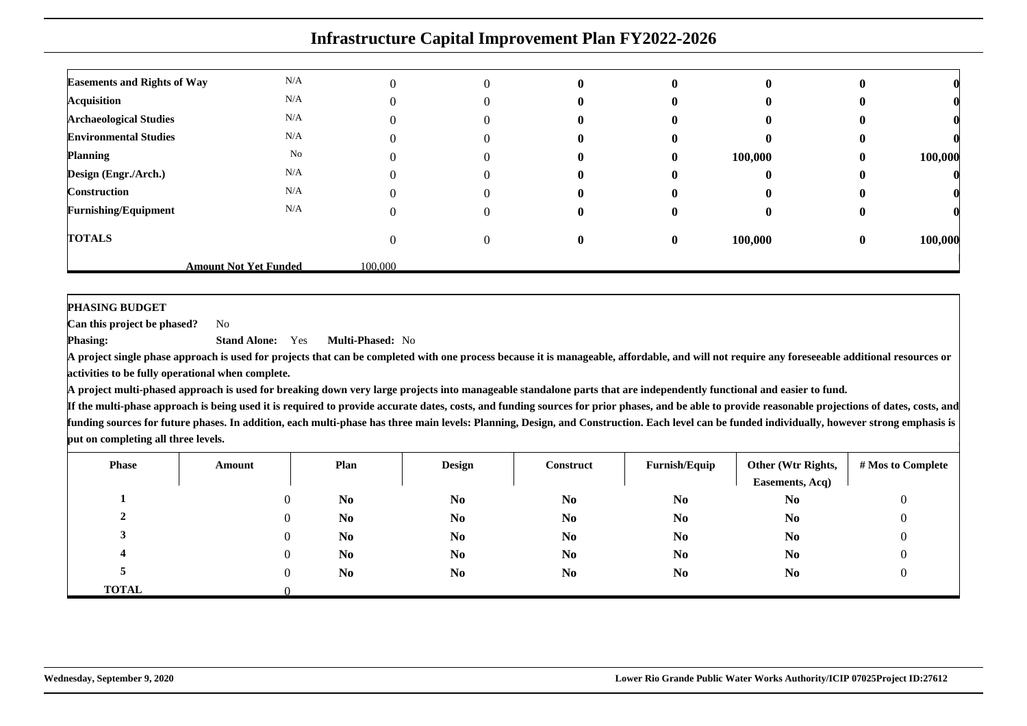|                                    | <b>Infrastructure Capital Improvement Plan FY2022-2026</b> |         |                   |   |              |         |          |         |  |  |  |  |
|------------------------------------|------------------------------------------------------------|---------|-------------------|---|--------------|---------|----------|---------|--|--|--|--|
| <b>Easements and Rights of Way</b> | N/A                                                        |         | $\Omega$          | 0 | 0            |         |          |         |  |  |  |  |
| <b>Acquisition</b>                 | N/A                                                        |         |                   |   |              |         |          |         |  |  |  |  |
| <b>Archaeological Studies</b>      | N/A                                                        |         | 0                 |   |              |         |          |         |  |  |  |  |
| <b>Environmental Studies</b>       | N/A                                                        |         |                   |   |              |         |          |         |  |  |  |  |
| <b>Planning</b>                    | No                                                         |         | $\Omega$          | o | $\mathbf{0}$ | 100,000 | $\bf{0}$ | 100,000 |  |  |  |  |
| Design (Engr./Arch.)               | N/A                                                        |         | $\mathbf{\Omega}$ | o | $\mathbf{0}$ |         |          |         |  |  |  |  |
| Construction                       | N/A                                                        |         |                   |   |              |         |          |         |  |  |  |  |
| <b>Furnishing/Equipment</b>        | N/A                                                        |         | $\theta$          | o | 0            |         |          |         |  |  |  |  |
| <b>TOTALS</b>                      |                                                            |         | $\Omega$          | 0 | $\mathbf{0}$ | 100,000 | $\bf{0}$ | 100,000 |  |  |  |  |
|                                    | <b>Amount Not Yet Funded</b>                               | 100,000 |                   |   |              |         |          |         |  |  |  |  |

**PHASING BUDGET**

 **Can this project be phased?**No

**Phasing: Stand Alone:** Yes**Multi-Phased:** No

 **A project single phase approach is used for projects that can be completed with one process because it is manageable, affordable, and will not require any foreseeable additional resources oractivities to be fully operational when complete.**

**A project multi-phased approach is used for breaking down very large projects into manageable standalone parts that are independently functional and easier to fund.**

| <b>Phase</b> | Amount | Plan           | <b>Design</b>  | <b>Construct</b> | Furnish/Equip  | Other (Wtr Rights,<br>Easements, Acq) | # Mos to Complete |
|--------------|--------|----------------|----------------|------------------|----------------|---------------------------------------|-------------------|
|              |        | N <sub>0</sub> | N <sub>0</sub> | N <sub>0</sub>   | N <sub>0</sub> | N <sub>0</sub>                        | υ                 |
|              |        | N <sub>0</sub> | N <sub>0</sub> | N <sub>0</sub>   | N <sub>0</sub> | N <sub>0</sub>                        |                   |
|              |        | N <sub>0</sub> | N <sub>0</sub> | N <sub>0</sub>   | N <sub>0</sub> | N <sub>0</sub>                        |                   |
|              |        | N <sub>0</sub> | N <sub>0</sub> | N <sub>0</sub>   | N <sub>0</sub> | N <sub>0</sub>                        |                   |
|              |        | N <sub>0</sub> | N <sub>0</sub> | N <sub>0</sub>   | N <sub>0</sub> | N <sub>0</sub>                        |                   |
| <b>TOTAL</b> |        |                |                |                  |                |                                       |                   |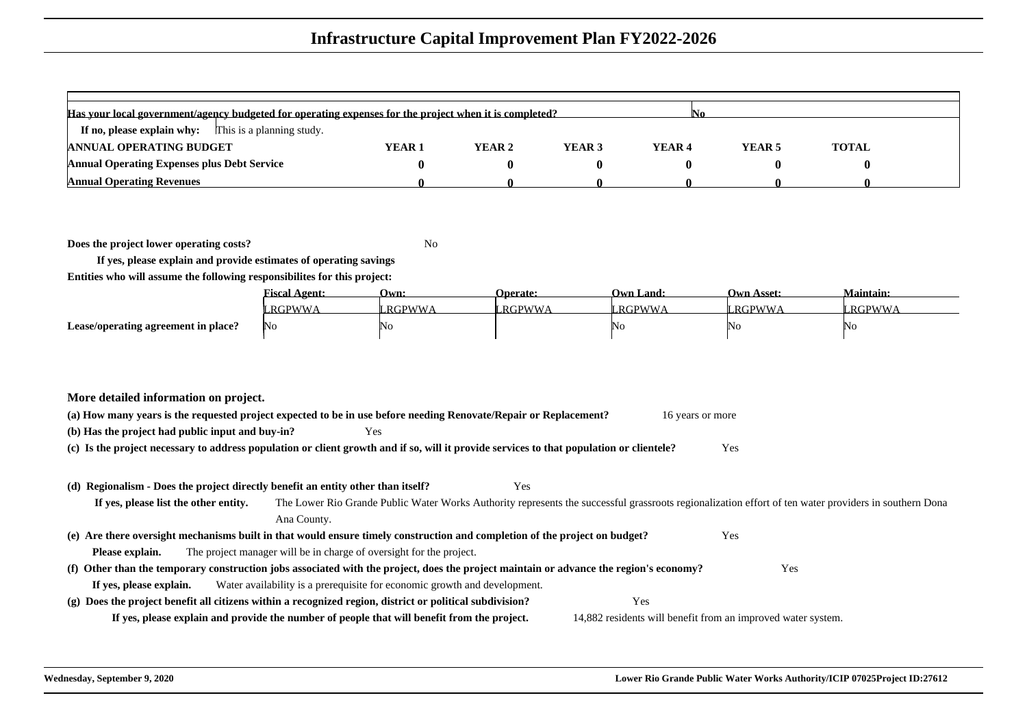| Has your local government/agency budgeted for operating expenses for the project when it is completed? |                   |        |        |                   |        |              |  |  |  |  |  |
|--------------------------------------------------------------------------------------------------------|-------------------|--------|--------|-------------------|--------|--------------|--|--|--|--|--|
| This is a planning study.<br>If no, please explain why:                                                |                   |        |        |                   |        |              |  |  |  |  |  |
| <b>ANNUAL OPERATING BUDGET</b>                                                                         | YEAR <sub>1</sub> | YEAR 2 | YEAR 3 | YEAR <sub>4</sub> | YEAR 5 | <b>TOTAL</b> |  |  |  |  |  |
| <b>Annual Operating Expenses plus Debt Service</b>                                                     |                   |        |        |                   |        |              |  |  |  |  |  |
| <b>Annual Operating Revenues</b>                                                                       |                   |        |        |                   |        |              |  |  |  |  |  |

**Does the project lower operating costs?**

<sup>2</sup> No

**If yes, please explain and provide estimates of operating savingsEntities who will assume the following responsibilites for this project:**

|                                     | <b>Fiscal Agent:</b> | Own:           | <b>Operate:</b> | <b>Own Land:</b> | <b>Own Asset:</b> | <b>Maintain:</b> |
|-------------------------------------|----------------------|----------------|-----------------|------------------|-------------------|------------------|
|                                     | RGPWWA               | <b>LRGPWWA</b> | <b>LRGPWWA</b>  | RGPWWA           | RGPWWA            | <b>RGPWWA</b>    |
| Lease/operating agreement in place? | No                   | 'No            |                 | NO               | ING.              | 'NG              |

| (a) How many years is the requested project expected to be in use before needing Renovate/Repair or Replacement? |     | 16 years or more |
|------------------------------------------------------------------------------------------------------------------|-----|------------------|
| (b) Has the project had public input and buy-in?                                                                 | Yes |                  |

**(c) Is the project necessary to address population or client growth and if so, will it provide services to that population or clientele?**Yes

#### **(d) Regionalism - Does the project directly benefit an entity other than itself?**

Yes

**If yes, please list the other entity.** The Lower Rio Grande Public Water Works Authority represents the successful grassroots regionalization effort of ten water providers in southern DonaAna County.**(e) Are there oversight mechanisms built in that would ensure timely construction and completion of the project on budget?**Yes

**Please explain.**The project manager will be in charge of oversight for the project.

#### **(f) Other than the temporary construction jobs associated with the project, does the project maintain or advance the region's economy?** Yes **If yes, please explain.**Water availability is a prerequisite for economic growth and development.

**(g) Does the project benefit all citizens within a recognized region, district or political subdivision?**Yes

**If yes, please explain and provide the number of people that will benefit from the project.**

14,882 residents will benefit from an improved water system.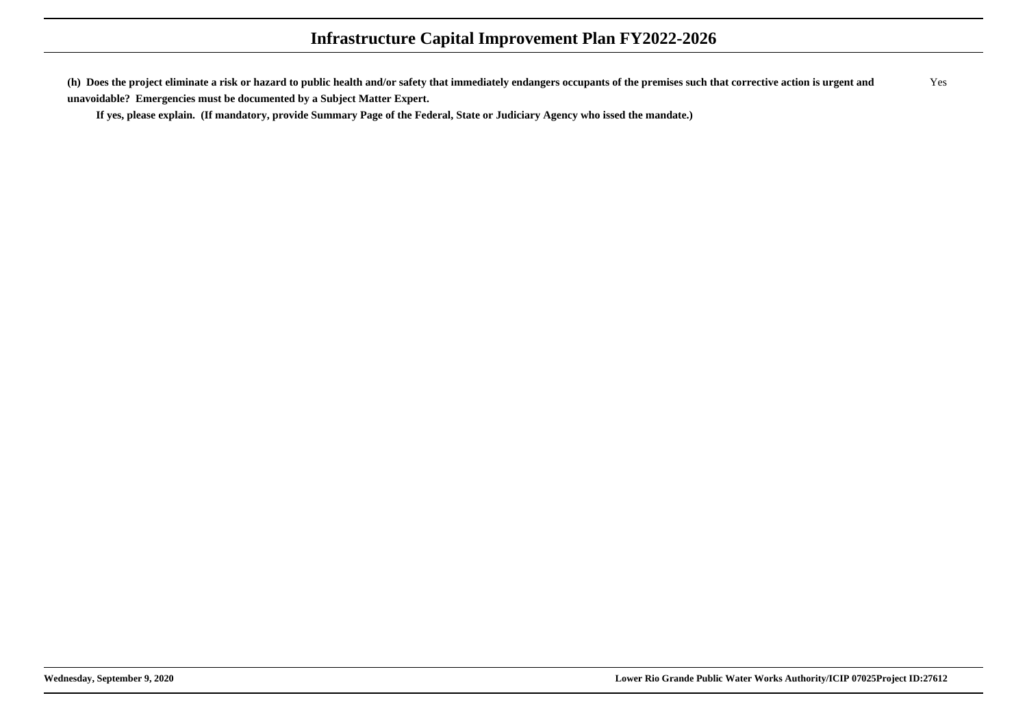**(h) Does the project eliminate a risk or hazard to public health and/or safety that immediately endangers occupants of the premises such that corrective action is urgent andunavoidable? Emergencies must be documented by a Subject Matter Expert.**Yes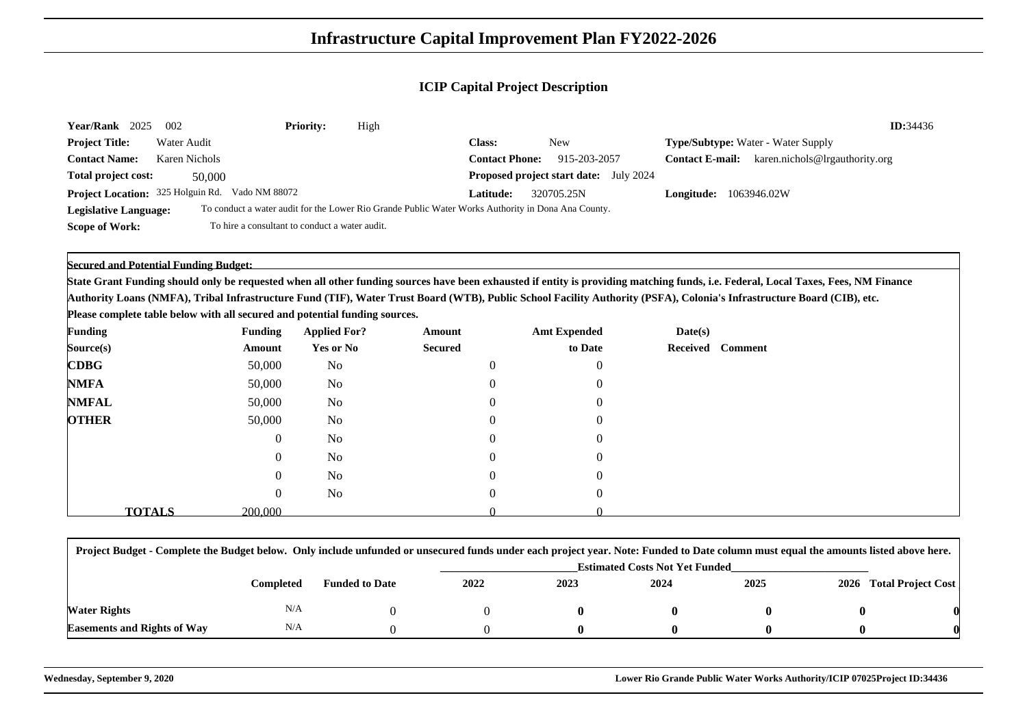| 2025<br><b>Year/Rank</b>     | 002                                             | <b>Priority:</b> | High                                                                                               |                       |                                               | ID:34436                                                 |  |
|------------------------------|-------------------------------------------------|------------------|----------------------------------------------------------------------------------------------------|-----------------------|-----------------------------------------------|----------------------------------------------------------|--|
| <b>Project Title:</b>        | Water Audit                                     |                  |                                                                                                    | <b>Class:</b>         | <b>New</b>                                    | <b>Type/Subtype:</b> Water - Water Supply                |  |
| <b>Contact Name:</b>         | Karen Nichols                                   |                  |                                                                                                    | <b>Contact Phone:</b> | 915-203-2057                                  | karen.nichols@lrgauthority.org<br><b>Contact E-mail:</b> |  |
| Total project cost:          | 50,000                                          |                  |                                                                                                    |                       | <b>Proposed project start date:</b> July 2024 |                                                          |  |
|                              | Project Location: 325 Holguin Rd. Vado NM 88072 |                  |                                                                                                    | Latitude: .           | 320705.25N                                    | 1063946.02W<br>Longitude:                                |  |
| <b>Legislative Language:</b> |                                                 |                  | To conduct a water audit for the Lower Rio Grande Public Water Works Authority in Dona Ana County. |                       |                                               |                                                          |  |
| Scope of Work:               | To hire a consultant to conduct a water audit.  |                  |                                                                                                    |                       |                                               |                                                          |  |

#### **Secured and Potential Funding Budget:**

**State Grant Funding should only be requested when all other funding sources have been exhausted if entity is providing matching funds, i.e. Federal, Local Taxes, Fees, NM FinanceAuthority Loans (NMFA), Tribal Infrastructure Fund (TIF), Water Trust Board (WTB), Public School Facility Authority (PSFA), Colonia's Infrastructure Board (CIB), etc.**

**Please complete table below with all secured and potential funding sources.**

| <b>Funding</b>                             |               | <b>Funding</b> | <b>Applied For?</b> | Amount         | <b>Amt Expended</b> | Date(s) |                  |
|--------------------------------------------|---------------|----------------|---------------------|----------------|---------------------|---------|------------------|
| Source(s)                                  |               | Amount         | <b>Yes or No</b>    | <b>Secured</b> | to Date             |         | Received Comment |
| $\mathbf{C}\mathbf{D}\mathbf{B}\mathbf{G}$ |               | 50,000         | No                  |                |                     |         |                  |
| <b>NMFA</b>                                |               | 50,000         | No                  | 0              |                     |         |                  |
| <b>NMFAL</b>                               |               | 50,000         | No                  | 0              |                     |         |                  |
| <b>OTHER</b>                               |               | 50,000         | No                  | 0              |                     |         |                  |
|                                            |               | $\overline{0}$ | No                  | 0              |                     |         |                  |
|                                            |               | 0              | No                  | 0              |                     |         |                  |
|                                            |               | 0              | No                  | 0              |                     |         |                  |
|                                            |               | 0              | No                  | 0              |                     |         |                  |
|                                            | <b>TOTALS</b> | 200,000        |                     |                |                     |         |                  |

| Project Budget - Complete the Budget below. Only include unfunded or unsecured funds under each project year. Note: Funded to Date column must equal the amounts listed above here. |           |                       |      |      |      |      |  |                         |  |  |
|-------------------------------------------------------------------------------------------------------------------------------------------------------------------------------------|-----------|-----------------------|------|------|------|------|--|-------------------------|--|--|
| <b>Estimated Costs Not Yet Funded</b>                                                                                                                                               |           |                       |      |      |      |      |  |                         |  |  |
|                                                                                                                                                                                     | Completed | <b>Funded to Date</b> | 2022 | 2023 | 2024 | 2025 |  | 2026 Total Project Cost |  |  |
| Water Rights                                                                                                                                                                        | N/A       |                       |      |      |      |      |  |                         |  |  |
| <b>Easements and Rights of Way</b>                                                                                                                                                  | N/A       |                       |      |      |      |      |  |                         |  |  |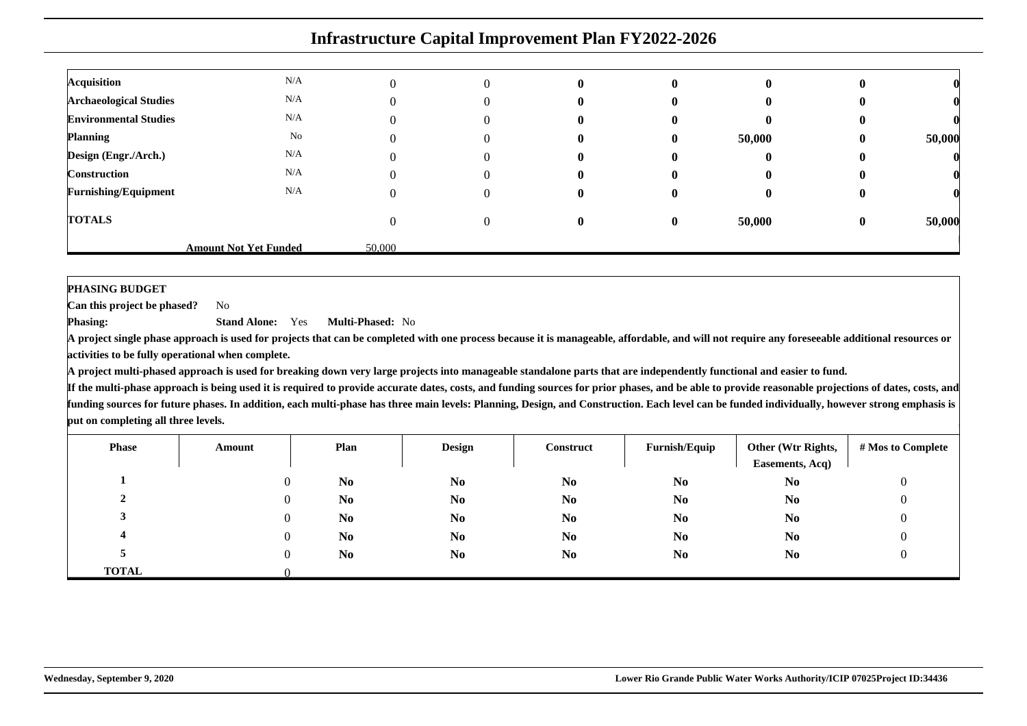|                               | <b>Infrastructure Capital Improvement Plan FY2022-2026</b> |        |          |  |              |        |          |        |  |  |
|-------------------------------|------------------------------------------------------------|--------|----------|--|--------------|--------|----------|--------|--|--|
| <b>Acquisition</b>            | N/A                                                        |        | $\Omega$ |  | $\mathbf{u}$ |        |          |        |  |  |
| <b>Archaeological Studies</b> | N/A                                                        |        |          |  |              |        |          |        |  |  |
| <b>Environmental Studies</b>  | N/A                                                        |        |          |  |              |        |          |        |  |  |
| <b>Planning</b>               | No                                                         |        |          |  |              | 50,000 | Ð        | 50,000 |  |  |
| Design (Engr./Arch.)          | N/A                                                        |        |          |  |              |        |          |        |  |  |
| <b>Construction</b>           | N/A                                                        |        |          |  |              |        |          |        |  |  |
| <b>Furnishing/Equipment</b>   | N/A                                                        |        |          |  |              |        |          |        |  |  |
| <b>TOTALS</b>                 |                                                            |        | 0        |  | $\mathbf{0}$ | 50,000 | $\bf{0}$ | 50,000 |  |  |
|                               | <b>Amount Not Yet Funded</b>                               | 50,000 |          |  |              |        |          |        |  |  |

#### **PHASING BUDGET**

 **Can this project be phased?**No

**Phasing: Stand Alone:** Yes**Multi-Phased:** No

 **A project single phase approach is used for projects that can be completed with one process because it is manageable, affordable, and will not require any foreseeable additional resources oractivities to be fully operational when complete.**

**A project multi-phased approach is used for breaking down very large projects into manageable standalone parts that are independently functional and easier to fund.**

| <b>Phase</b>   | Amount | Plan           | <b>Design</b>  | Construct      | Furnish/Equip  | Other (Wtr Rights,<br>Easements, Acq) | # Mos to Complete |
|----------------|--------|----------------|----------------|----------------|----------------|---------------------------------------|-------------------|
|                |        | N <sub>0</sub> | N <sub>0</sub> | N <sub>0</sub> | N <sub>0</sub> | N <sub>0</sub>                        |                   |
| $\overline{ }$ |        | N <sub>0</sub> | N <sub>0</sub> | N <sub>0</sub> | N <sub>0</sub> | N <sub>0</sub>                        |                   |
|                |        | N <sub>0</sub> | N <sub>0</sub> | N <sub>0</sub> | N <sub>0</sub> | N <sub>0</sub>                        |                   |
|                |        | N <sub>0</sub> | N <sub>0</sub> | N <sub>0</sub> | N <sub>0</sub> | N <sub>0</sub>                        |                   |
|                |        | N <sub>0</sub> | N <sub>0</sub> | N <sub>0</sub> | N <sub>0</sub> | N <sub>0</sub>                        |                   |
| <b>TOTAL</b>   |        |                |                |                |                |                                       |                   |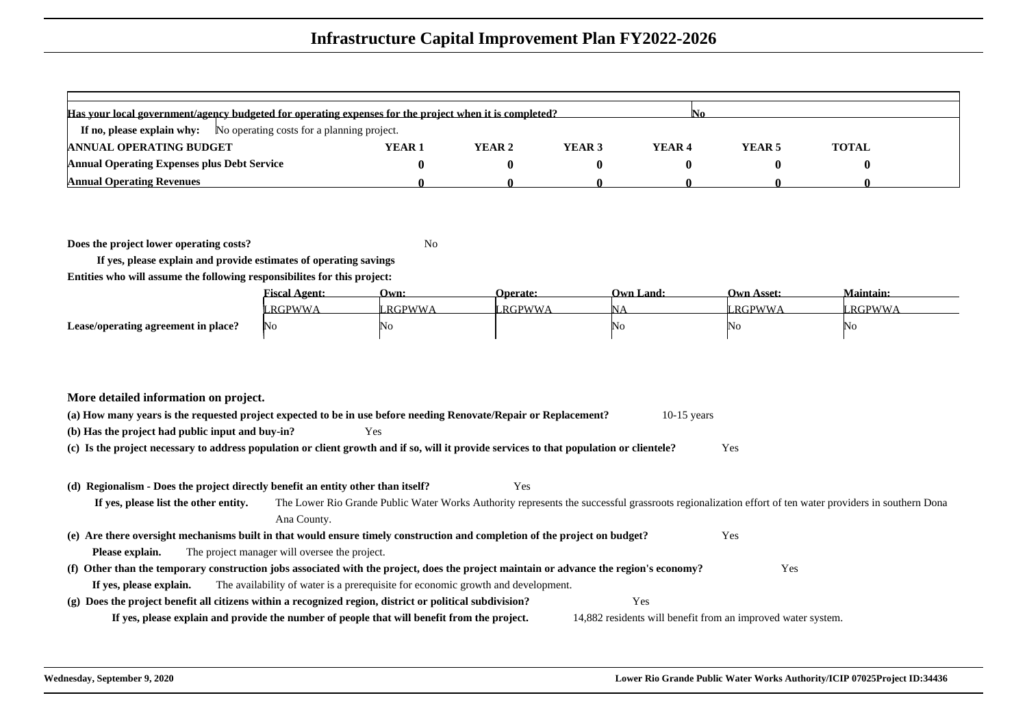| Has your local government/agency budgeted for operating expenses for the project when it is completed? |                   |        |        |                   |        |              |  |  |  |  |
|--------------------------------------------------------------------------------------------------------|-------------------|--------|--------|-------------------|--------|--------------|--|--|--|--|
| <b>If no, please explain why:</b> No operating costs for a planning project.                           |                   |        |        |                   |        |              |  |  |  |  |
| <b>ANNUAL OPERATING BUDGET</b>                                                                         | YEAR <sub>1</sub> | YEAR 2 | YEAR 3 | YEAR <sub>4</sub> | YEAR 5 | <b>TOTAL</b> |  |  |  |  |
| <b>Annual Operating Expenses plus Debt Service</b>                                                     |                   |        |        |                   |        |              |  |  |  |  |
| <b>Annual Operating Revenues</b>                                                                       |                   |        |        |                   |        |              |  |  |  |  |

**Does the project lower operating costs?**

<sup>2</sup> No

**If yes, please explain and provide estimates of operating savingsEntities who will assume the following responsibilites for this project:**

|                                     | <b>Fiscal Agent:</b> | Own:          | <b>Operate:</b> | Own Land: | Own Asset: | Maintain.     |
|-------------------------------------|----------------------|---------------|-----------------|-----------|------------|---------------|
|                                     | RGPWWA               | <b>RGPWWA</b> | LRGPWWA         |           | LRGPWWA    | <b>RGPWWA</b> |
| Lease/operating agreement in place? | No                   | NO            |                 | 'NG       | 'NΟ        | No            |

| More detailed information on project.                                                                                                    |                                                                                                                                                       |
|------------------------------------------------------------------------------------------------------------------------------------------|-------------------------------------------------------------------------------------------------------------------------------------------------------|
| (a) How many years is the requested project expected to be in use before needing Renovate/Repair or Replacement?                         | $10-15$ years                                                                                                                                         |
| (b) Has the project had public input and buy-in?<br>Yes                                                                                  |                                                                                                                                                       |
| (c) Is the project necessary to address population or client growth and if so, will it provide services to that population or clientele? | Yes                                                                                                                                                   |
|                                                                                                                                          |                                                                                                                                                       |
| Yes<br>(d) Regionalism - Does the project directly benefit an entity other than itself?                                                  |                                                                                                                                                       |
| If yes, please list the other entity.                                                                                                    | The Lower Rio Grande Public Water Works Authority represents the successful grassroots regionalization effort of ten water providers in southern Dona |
| Ana County.                                                                                                                              |                                                                                                                                                       |
| (e) Are there oversight mechanisms built in that would ensure timely construction and completion of the project on budget?               | Yes                                                                                                                                                   |
| The project manager will oversee the project.<br>Please explain.                                                                         |                                                                                                                                                       |
| (f) Other than the temporary construction jobs associated with the project, does the project maintain or advance the region's economy?   | Yes                                                                                                                                                   |
| The availability of water is a prerequisite for economic growth and development.<br>If yes, please explain.                              |                                                                                                                                                       |
| (g) Does the project benefit all citizens within a recognized region, district or political subdivision?                                 | Yes                                                                                                                                                   |
| If yes, please explain and provide the number of people that will benefit from the project.                                              | 14,882 residents will benefit from an improved water system.                                                                                          |
|                                                                                                                                          |                                                                                                                                                       |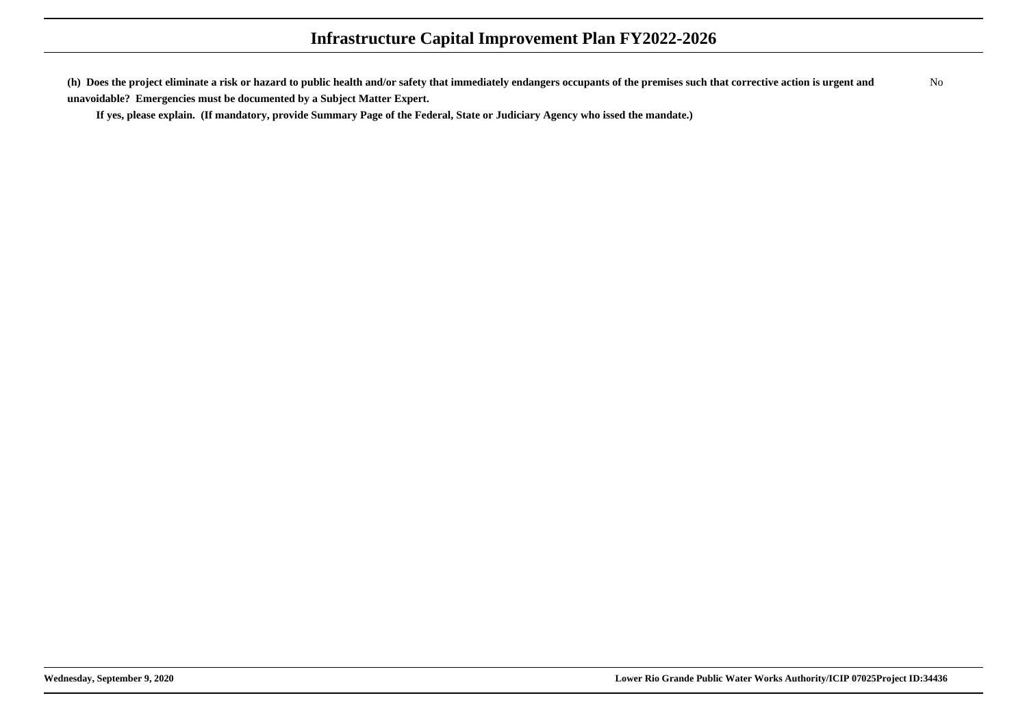**(h) Does the project eliminate a risk or hazard to public health and/or safety that immediately endangers occupants of the premises such that corrective action is urgent andunavoidable? Emergencies must be documented by a Subject Matter Expert.**No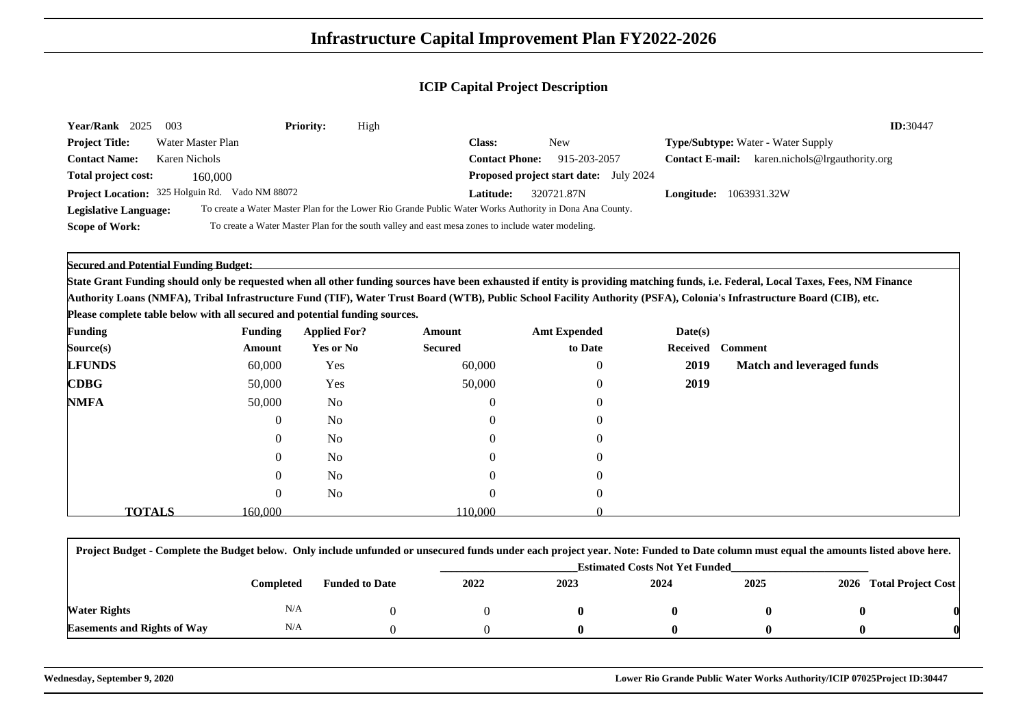| <b>Year/Rank</b><br>2025     | - 003                                           | <b>Priority:</b> | High                                                                                                    |                       |                                               |                               | ID:30447                                  |
|------------------------------|-------------------------------------------------|------------------|---------------------------------------------------------------------------------------------------------|-----------------------|-----------------------------------------------|-------------------------------|-------------------------------------------|
| <b>Project Title:</b>        | Water Master Plan                               |                  |                                                                                                         | <b>Class:</b>         | New                                           |                               | <b>Type/Subtype:</b> Water - Water Supply |
| <b>Contact Name:</b>         | Karen Nichols                                   |                  |                                                                                                         | <b>Contact Phone:</b> | 915-203-2057                                  | <b>Contact E-mail:</b>        | karen.nichols@lrgauthority.org            |
| Total project cost:          | 160,000                                         |                  |                                                                                                         |                       | <b>Proposed project start date:</b> July 2024 |                               |                                           |
|                              | Project Location: 325 Holguin Rd. Vado NM 88072 |                  |                                                                                                         | <b>Latitude:</b>      | 320721.87N                                    | <b>Longitude:</b> 1063931.32W |                                           |
| <b>Legislative Language:</b> |                                                 |                  | To create a Water Master Plan for the Lower Rio Grande Public Water Works Authority in Dona Ana County. |                       |                                               |                               |                                           |
| <b>Scope of Work:</b>        |                                                 |                  | To create a Water Master Plan for the south valley and east mesa zones to include water modeling.       |                       |                                               |                               |                                           |

**Secured and Potential Funding Budget:**

**State Grant Funding should only be requested when all other funding sources have been exhausted if entity is providing matching funds, i.e. Federal, Local Taxes, Fees, NM FinanceAuthority Loans (NMFA), Tribal Infrastructure Fund (TIF), Water Trust Board (WTB), Public School Facility Authority (PSFA), Colonia's Infrastructure Board (CIB), etc.**

**Please complete table below with all secured and potential funding sources.**

| <b>Funding</b>                             |               | <b>Funding</b> | <b>Applied For?</b> | Amount         | <b>Amt Expended</b> | Date(s) |                           |
|--------------------------------------------|---------------|----------------|---------------------|----------------|---------------------|---------|---------------------------|
| Source(s)                                  |               | Amount         | <b>Yes or No</b>    | <b>Secured</b> | to Date             |         | Received Comment          |
| <b>LFUNDS</b>                              |               | 60,000         | Yes                 | 60,000         | $\overline{0}$      | 2019    | Match and leveraged funds |
| $\mathbf{C}\mathbf{D}\mathbf{B}\mathbf{G}$ |               | 50,000         | Yes                 | 50,000         | $\overline{0}$      | 2019    |                           |
| <b>NMFA</b>                                |               | 50,000         | <b>No</b>           | $\bf{0}$       | $\overline{0}$      |         |                           |
|                                            |               | $\overline{0}$ | N <sub>o</sub>      | $\overline{0}$ | $\overline{0}$      |         |                           |
|                                            |               | 0              | No                  | $\overline{0}$ | $\overline{0}$      |         |                           |
|                                            |               | 0              | N <sub>o</sub>      | $\overline{0}$ | $\overline{0}$      |         |                           |
|                                            |               | 0              | No                  | $\Omega$       | $\overline{0}$      |         |                           |
|                                            |               | $\overline{0}$ | N <sub>o</sub>      | $\overline{0}$ | $\overline{0}$      |         |                           |
|                                            | <b>TOTALS</b> | 160.000        |                     | 110.000        |                     |         |                           |

| Project Budget - Complete the Budget below. Only include unfunded or unsecured funds under each project year. Note: Funded to Date column must equal the amounts listed above here. |           |                       |      |                                       |      |      |  |                         |  |  |
|-------------------------------------------------------------------------------------------------------------------------------------------------------------------------------------|-----------|-----------------------|------|---------------------------------------|------|------|--|-------------------------|--|--|
|                                                                                                                                                                                     |           |                       |      | <b>Estimated Costs Not Yet Funded</b> |      |      |  |                         |  |  |
|                                                                                                                                                                                     | Completed | <b>Funded to Date</b> | 2022 | 2023                                  | 2024 | 2025 |  | 2026 Total Project Cost |  |  |
| Water Rights                                                                                                                                                                        | N/A       |                       |      |                                       |      |      |  |                         |  |  |
| <b>Easements and Rights of Way</b>                                                                                                                                                  | N/A       |                       |      |                                       |      |      |  |                         |  |  |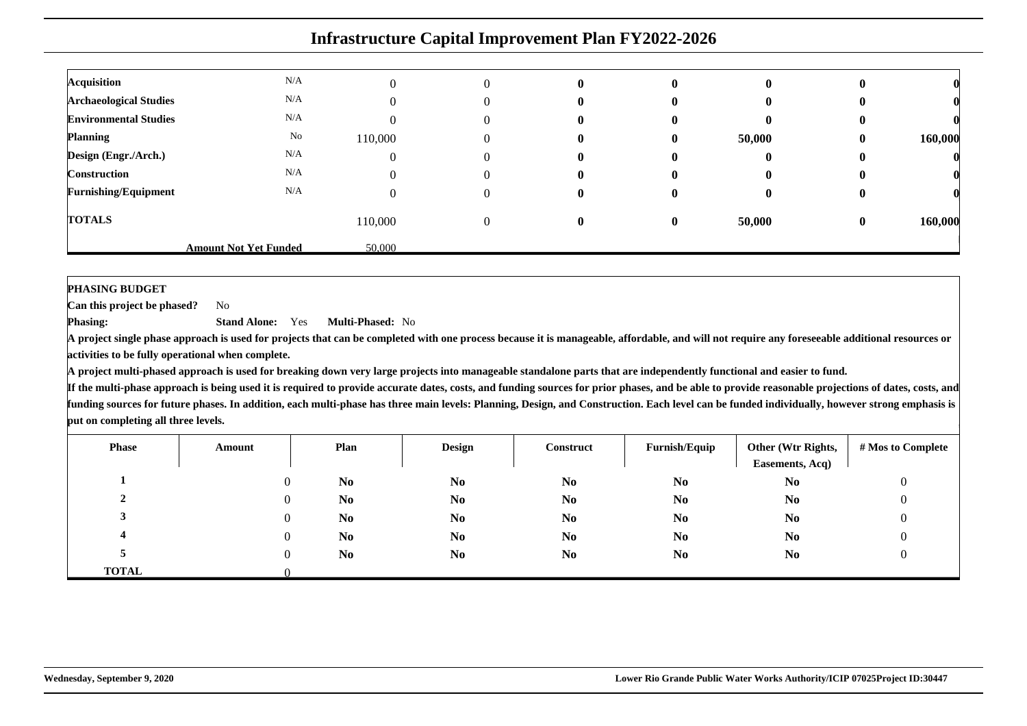| <b>Acquisition</b>            | N/A                          |         |   | $\bf{0}$     | $\mathbf{0}$ | v      |          |         |
|-------------------------------|------------------------------|---------|---|--------------|--------------|--------|----------|---------|
| <b>Archaeological Studies</b> | N/A                          |         |   | $\mathbf{0}$ | $\mathbf{0}$ | v      |          |         |
| <b>Environmental Studies</b>  | N/A                          |         |   | $\bf{0}$     | $\mathbf{0}$ | v      | o        |         |
| <b>Planning</b>               | No                           | 110,000 | U | $\mathbf{0}$ | $\mathbf{0}$ | 50,000 | $\bf{0}$ | 160,000 |
| Design (Engr./Arch.)          | N/A                          |         |   | $\bf{0}$     | $\mathbf{0}$ | o      | o        |         |
| <b>Construction</b>           | N/A                          |         |   | $\bf{0}$     | 0            | o      | o        |         |
| <b>Furnishing/Equipment</b>   | N/A                          |         |   | $\mathbf{0}$ | $_{0}$       | v      | v        |         |
| <b>TOTALS</b>                 |                              | 110,000 |   | $\mathbf{0}$ | $\bf{0}$     | 50,000 | $\bf{0}$ | 160,000 |
|                               | <b>Amount Not Yet Funded</b> | 50.000  |   |              |              |        |          |         |

#### **PHASING BUDGET**

 **Can this project be phased?**No

**Phasing: Stand Alone:** Yes**Multi-Phased:** No

 **A project single phase approach is used for projects that can be completed with one process because it is manageable, affordable, and will not require any foreseeable additional resources oractivities to be fully operational when complete.**

**A project multi-phased approach is used for breaking down very large projects into manageable standalone parts that are independently functional and easier to fund.**

| <b>Phase</b>   | Amount | Plan           | <b>Design</b>  | Construct      | Furnish/Equip  | Other (Wtr Rights,<br>Easements, Acq) | # Mos to Complete |
|----------------|--------|----------------|----------------|----------------|----------------|---------------------------------------|-------------------|
|                |        | N <sub>0</sub> | N <sub>0</sub> | N <sub>0</sub> | N <sub>0</sub> | N <sub>0</sub>                        |                   |
| $\overline{ }$ |        | N <sub>0</sub> | N <sub>0</sub> | N <sub>0</sub> | N <sub>0</sub> | N <sub>0</sub>                        |                   |
|                |        | N <sub>0</sub> | N <sub>0</sub> | N <sub>0</sub> | N <sub>0</sub> | N <sub>0</sub>                        |                   |
|                |        | N <sub>0</sub> | N <sub>0</sub> | N <sub>0</sub> | N <sub>0</sub> | N <sub>0</sub>                        |                   |
|                |        | N <sub>0</sub> | N <sub>0</sub> | N <sub>0</sub> | N <sub>0</sub> | N <sub>0</sub>                        |                   |
| <b>TOTAL</b>   |        |                |                |                |                |                                       |                   |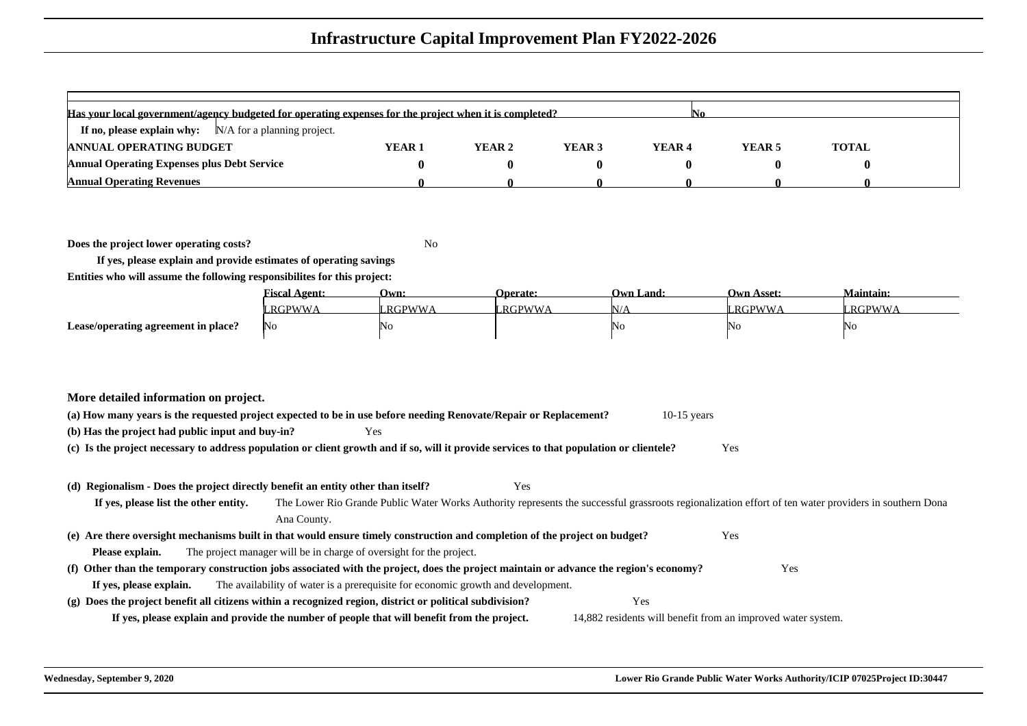| Has your local government/agency budgeted for operating expenses for the project when it is completed? |        |        |        |        |        |              |  |  |  |
|--------------------------------------------------------------------------------------------------------|--------|--------|--------|--------|--------|--------------|--|--|--|
| If no, please explain why: $N/A$ for a planning project.                                               |        |        |        |        |        |              |  |  |  |
| <b>ANNUAL OPERATING BUDGET</b>                                                                         | YEAR 1 | YEAR 2 | YEAR 3 | YEAR 4 | YEAR 5 | <b>TOTAL</b> |  |  |  |
| <b>Annual Operating Expenses plus Debt Service</b>                                                     |        |        |        |        |        |              |  |  |  |
| <b>Annual Operating Revenues</b>                                                                       |        |        |        |        |        |              |  |  |  |

**Does the project lower operating costs?**

<sup>2</sup> No

**If yes, please explain and provide estimates of operating savingsEntities who will assume the following responsibilites for this project:**

|                                     | <b>Fiscal Agent:</b> | Own:          | <b>Operate:</b> | <b>Own Land:</b> | <b>Own Asset:</b> | <b>Maintain:</b> |
|-------------------------------------|----------------------|---------------|-----------------|------------------|-------------------|------------------|
|                                     | RGPWWA               | <b>RGPWWA</b> | RGPWWA          | VLE              | <b>_RGPWWA</b>    | <b>RGPWWA</b>    |
| Lease/operating agreement in place? | No                   | 'No           |                 | NO               | 'NO               | 'Nο              |

| More detailed information on project.                                                                                                           |                                                                                                                                                       |  |  |  |  |  |  |  |
|-------------------------------------------------------------------------------------------------------------------------------------------------|-------------------------------------------------------------------------------------------------------------------------------------------------------|--|--|--|--|--|--|--|
| (a) How many years is the requested project expected to be in use before needing Renovate/Repair or Replacement?<br>$10-15$ years               |                                                                                                                                                       |  |  |  |  |  |  |  |
| (b) Has the project had public input and buy-in?<br>Yes                                                                                         |                                                                                                                                                       |  |  |  |  |  |  |  |
| (c) Is the project necessary to address population or client growth and if so, will it provide services to that population or clientele?<br>Yes |                                                                                                                                                       |  |  |  |  |  |  |  |
|                                                                                                                                                 |                                                                                                                                                       |  |  |  |  |  |  |  |
| Yes<br>(d) Regionalism - Does the project directly benefit an entity other than itself?                                                         |                                                                                                                                                       |  |  |  |  |  |  |  |
| If yes, please list the other entity.                                                                                                           | The Lower Rio Grande Public Water Works Authority represents the successful grassroots regionalization effort of ten water providers in southern Dona |  |  |  |  |  |  |  |
| Ana County.                                                                                                                                     |                                                                                                                                                       |  |  |  |  |  |  |  |
| (e) Are there oversight mechanisms built in that would ensure timely construction and completion of the project on budget?                      | Yes                                                                                                                                                   |  |  |  |  |  |  |  |
| The project manager will be in charge of oversight for the project.<br>Please explain.                                                          |                                                                                                                                                       |  |  |  |  |  |  |  |
| (f) Other than the temporary construction jobs associated with the project, does the project maintain or advance the region's economy?          | Yes                                                                                                                                                   |  |  |  |  |  |  |  |
| The availability of water is a prerequisite for economic growth and development.<br>If yes, please explain.                                     |                                                                                                                                                       |  |  |  |  |  |  |  |
| (g) Does the project benefit all citizens within a recognized region, district or political subdivision?                                        | Yes                                                                                                                                                   |  |  |  |  |  |  |  |
| If yes, please explain and provide the number of people that will benefit from the project.                                                     | 14,882 residents will benefit from an improved water system.                                                                                          |  |  |  |  |  |  |  |
|                                                                                                                                                 |                                                                                                                                                       |  |  |  |  |  |  |  |